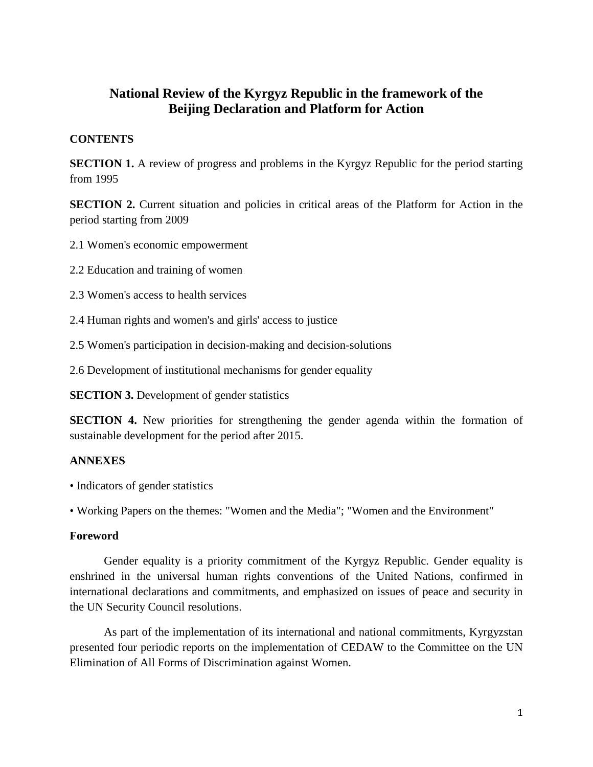# **National Review of the Kyrgyz Republic in the framework of the Beijing Declaration and Platform for Action**

# **CONTENTS**

**SECTION 1.** A review of progress and problems in the Kyrgyz Republic for the period starting from 1995

**SECTION 2.** Current situation and policies in critical areas of the Platform for Action in the period starting from 2009

2.1 Women's economic empowerment

2.2 Education and training of women

- 2.3 Women's access to health services
- 2.4 Human rights and women's and girls' access to justice
- 2.5 Women's participation in decision-making and decision-solutions

2.6 Development of institutional mechanisms for gender equality

**SECTION 3.** Development of gender statistics

**SECTION 4.** New priorities for strengthening the gender agenda within the formation of sustainable development for the period after 2015.

# **ANNEXES**

• Indicators of gender statistics

• Working Papers on the themes: "Women and the Media"; "Women and the Environment"

# **Foreword**

Gender equality is a priority commitment of the Kyrgyz Republic. Gender equality is enshrined in the universal human rights conventions of the United Nations, confirmed in international declarations and commitments, and emphasized on issues of peace and security in the UN Security Council resolutions.

As part of the implementation of its international and national commitments, Kyrgyzstan presented four periodic reports on the implementation of CEDAW to the Committee on the UN Elimination of All Forms of Discrimination against Women.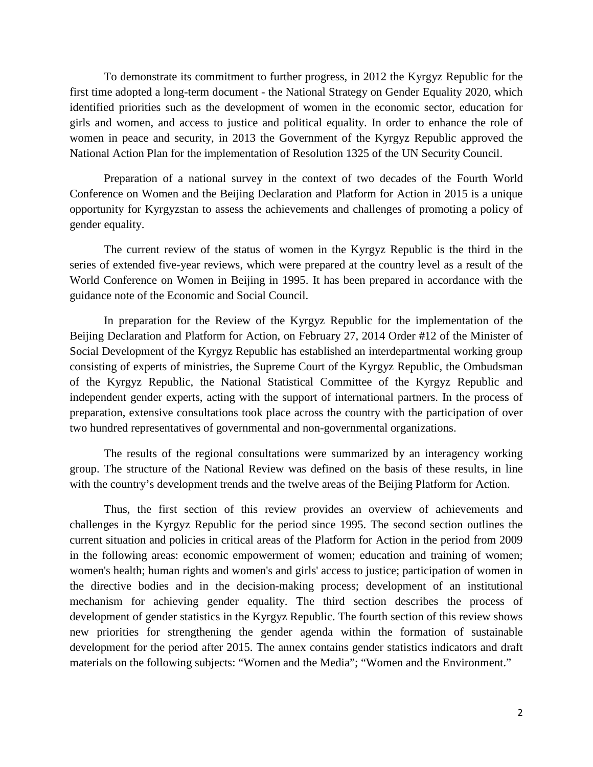To demonstrate its commitment to further progress, in 2012 the Kyrgyz Republic for the first time adopted a long-term document - the National Strategy on Gender Equality 2020, which identified priorities such as the development of women in the economic sector, education for girls and women, and access to justice and political equality. In order to enhance the role of women in peace and security, in 2013 the Government of the Kyrgyz Republic approved the National Action Plan for the implementation of Resolution 1325 of the UN Security Council.

Preparation of a national survey in the context of two decades of the Fourth World Conference on Women and the Beijing Declaration and Platform for Action in 2015 is a unique opportunity for Kyrgyzstan to assess the achievements and challenges of promoting a policy of gender equality.

The current review of the status of women in the Kyrgyz Republic is the third in the series of extended five-year reviews, which were prepared at the country level as a result of the World Conference on Women in Beijing in 1995. It has been prepared in accordance with the guidance note of the Economic and Social Council.

In preparation for the Review of the Kyrgyz Republic for the implementation of the Beijing Declaration and Platform for Action, on February 27, 2014 Order #12 of the Minister of Social Development of the Kyrgyz Republic has established an interdepartmental working group consisting of experts of ministries, the Supreme Court of the Kyrgyz Republic, the Ombudsman of the Kyrgyz Republic, the National Statistical Committee of the Kyrgyz Republic and independent gender experts, acting with the support of international partners. In the process of preparation, extensive consultations took place across the country with the participation of over two hundred representatives of governmental and non-governmental organizations.

The results of the regional consultations were summarized by an interagency working group. The structure of the National Review was defined on the basis of these results, in line with the country's development trends and the twelve areas of the Beijing Platform for Action.

Thus, the first section of this review provides an overview of achievements and challenges in the Kyrgyz Republic for the period since 1995. The second section outlines the current situation and policies in critical areas of the Platform for Action in the period from 2009 in the following areas: economic empowerment of women; education and training of women; women's health; human rights and women's and girls' access to justice; participation of women in the directive bodies and in the decision-making process; development of an institutional mechanism for achieving gender equality. The third section describes the process of development of gender statistics in the Kyrgyz Republic. The fourth section of this review shows new priorities for strengthening the gender agenda within the formation of sustainable development for the period after 2015. The annex contains gender statistics indicators and draft materials on the following subjects: "Women and the Media"; "Women and the Environment."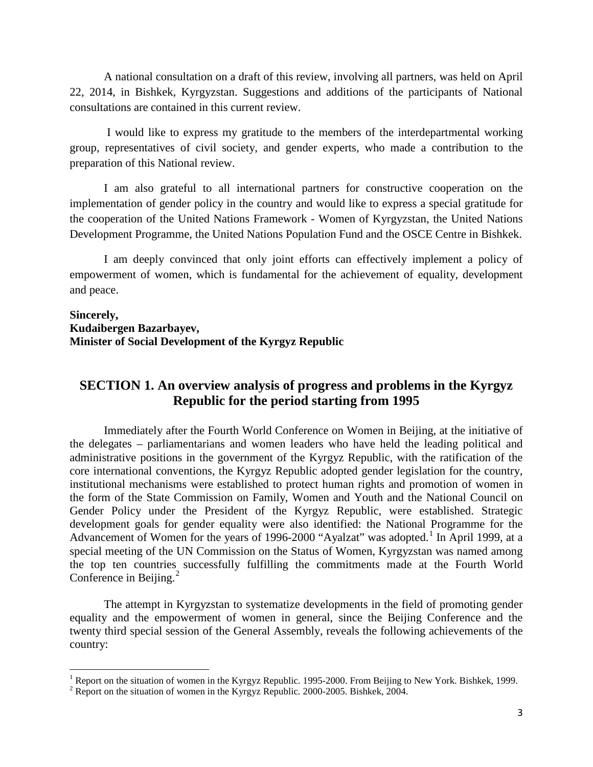A national consultation on a draft of this review, involving all partners, was held on April 22, 2014, in Bishkek, Kyrgyzstan. Suggestions and additions of the participants of National consultations are contained in this current review.

I would like to express my gratitude to the members of the interdepartmental working group, representatives of civil society, and gender experts, who made a contribution to the preparation of this National review.

I am also grateful to all international partners for constructive cooperation on the implementation of gender policy in the country and would like to express a special gratitude for the cooperation of the United Nations Framework - Women of Kyrgyzstan, the United Nations Development Programme, the United Nations Population Fund and the OSCE Centre in Bishkek.

I am deeply convinced that only joint efforts can effectively implement a policy of empowerment of women, which is fundamental for the achievement of equality, development and peace.

#### **Sincerely, Kudaibergen Bazarbayev, Minister of Social Development of the Kyrgyz Republic**

# **SECTION 1. An overview analysis of progress and problems in the Kyrgyz Republic for the period starting from 1995**

Immediately after the Fourth World Conference on Women in Beijing, at the initiative of the delegates – parliamentarians and women leaders who have held the leading political and administrative positions in the government of the Kyrgyz Republic, with the ratification of the core international conventions, the Kyrgyz Republic adopted gender legislation for the country, institutional mechanisms were established to protect human rights and promotion of women in the form of the State Commission on Family, Women and Youth and the National Council on Gender Policy under the President of the Kyrgyz Republic, were established. Strategic development goals for gender equality were also identified: the National Programme for the Advancement of Women for the years of [1](#page-2-0)996-2000 "Ayalzat" was adopted.<sup>1</sup> In April 1999, at a special meeting of the UN Commission on the Status of Women, Kyrgyzstan was named among the top ten countries successfully fulfilling the commitments made at the Fourth World Conference in Beijing.<sup>[2](#page-2-1)</sup>

The attempt in Kyrgyzstan to systematize developments in the field of promoting gender equality and the empowerment of women in general, since the Beijing Conference and the twenty third special session of the General Assembly, reveals the following achievements of the country:

<span id="page-2-0"></span><sup>&</sup>lt;sup>1</sup> Report on the situation of women in the Kyrgyz Republic. 1995-2000. From Beijing to New York. Bishkek, 1999.<br><sup>2</sup> Report on the situation of women in the Kyrgyz Republic. 2000-2005. Bishkek, 2004.

<span id="page-2-1"></span>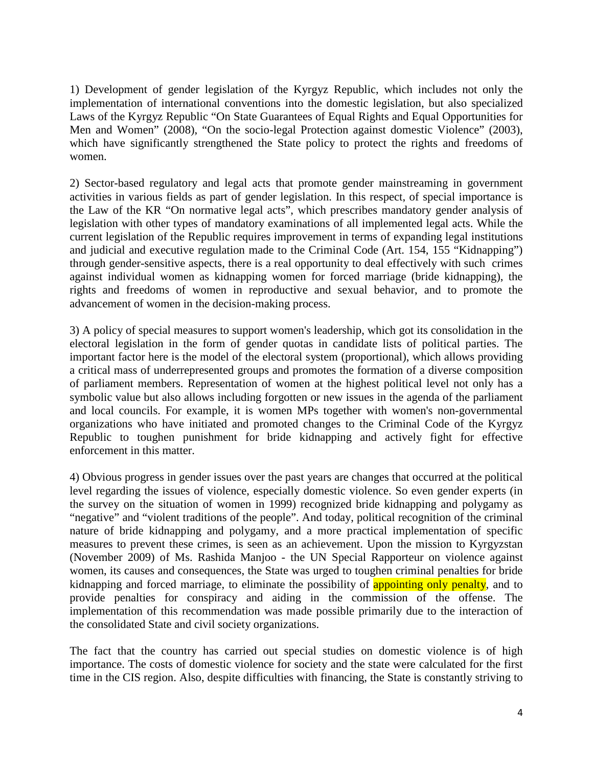1) Development of gender legislation of the Kyrgyz Republic, which includes not only the implementation of international conventions into the domestic legislation, but also specialized Laws of the Kyrgyz Republic "On State Guarantees of Equal Rights and Equal Opportunities for Men and Women" (2008), "On the socio-legal Protection against domestic Violence" (2003), which have significantly strengthened the State policy to protect the rights and freedoms of women.

2) Sector-based regulatory and legal acts that promote gender mainstreaming in government activities in various fields as part of gender legislation. In this respect, of special importance is the Law of the KR "On normative legal acts", which prescribes mandatory gender analysis of legislation with other types of mandatory examinations of all implemented legal acts. While the current legislation of the Republic requires improvement in terms of expanding legal institutions and judicial and executive regulation made to the Criminal Code (Art. 154, 155 "Kidnapping") through gender-sensitive aspects, there is a real opportunity to deal effectively with such crimes against individual women as kidnapping women for forced marriage (bride kidnapping), the rights and freedoms of women in reproductive and sexual behavior, and to promote the advancement of women in the decision-making process.

3) A policy of special measures to support women's leadership, which got its consolidation in the electoral legislation in the form of gender quotas in candidate lists of political parties. The important factor here is the model of the electoral system (proportional), which allows providing a critical mass of underrepresented groups and promotes the formation of a diverse composition of parliament members. Representation of women at the highest political level not only has a symbolic value but also allows including forgotten or new issues in the agenda of the parliament and local councils. For example, it is women MPs together with women's non-governmental organizations who have initiated and promoted changes to the Criminal Code of the Kyrgyz Republic to toughen punishment for bride kidnapping and actively fight for effective enforcement in this matter.

4) Obvious progress in gender issues over the past years are changes that occurred at the political level regarding the issues of violence, especially domestic violence. So even gender experts (in the survey on the situation of women in 1999) recognized bride kidnapping and polygamy as "negative" and "violent traditions of the people". And today, political recognition of the criminal nature of bride kidnapping and polygamy, and a more practical implementation of specific measures to prevent these crimes, is seen as an achievement. Upon the mission to Kyrgyzstan (November 2009) of Ms. Rashida Manjoo - the UN Special Rapporteur on violence against women, its causes and consequences, the State was urged to toughen criminal penalties for bride kidnapping and forced marriage, to eliminate the possibility of appointing only penalty, and to provide penalties for conspiracy and aiding in the commission of the offense. The implementation of this recommendation was made possible primarily due to the interaction of the consolidated State and civil society organizations.

The fact that the country has carried out special studies on domestic violence is of high importance. The costs of domestic violence for society and the state were calculated for the first time in the CIS region. Also, despite difficulties with financing, the State is constantly striving to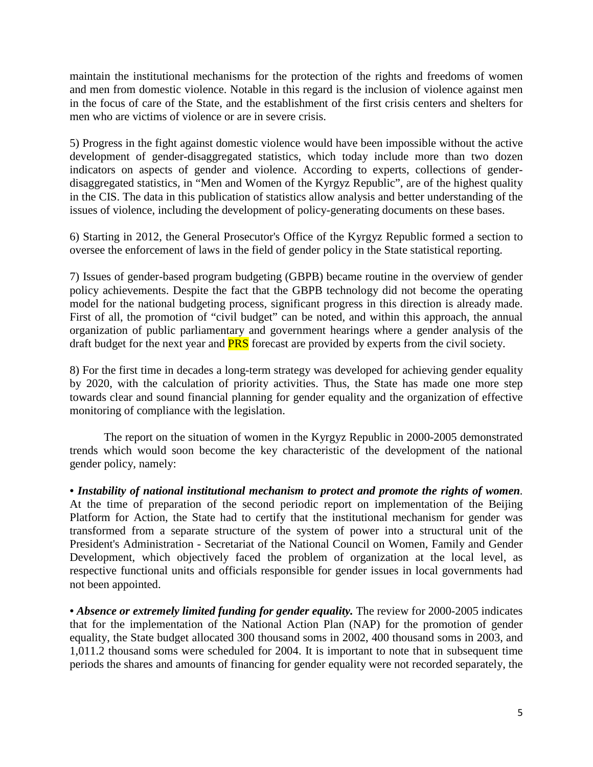maintain the institutional mechanisms for the protection of the rights and freedoms of women and men from domestic violence. Notable in this regard is the inclusion of violence against men in the focus of care of the State, and the establishment of the first crisis centers and shelters for men who are victims of violence or are in severe crisis.

5) Progress in the fight against domestic violence would have been impossible without the active development of gender-disaggregated statistics, which today include more than two dozen indicators on aspects of gender and violence. According to experts, collections of genderdisaggregated statistics, in "Men and Women of the Kyrgyz Republic", are of the highest quality in the CIS. The data in this publication of statistics allow analysis and better understanding of the issues of violence, including the development of policy-generating documents on these bases.

6) Starting in 2012, the General Prosecutor's Office of the Kyrgyz Republic formed a section to oversee the enforcement of laws in the field of gender policy in the State statistical reporting.

7) Issues of gender-based program budgeting (GBPB) became routine in the overview of gender policy achievements. Despite the fact that the GBPB technology did not become the operating model for the national budgeting process, significant progress in this direction is already made. First of all, the promotion of "civil budget" can be noted, and within this approach, the annual organization of public parliamentary and government hearings where a gender analysis of the draft budget for the next year and **PRS** forecast are provided by experts from the civil society.

8) For the first time in decades a long-term strategy was developed for achieving gender equality by 2020, with the calculation of priority activities. Thus, the State has made one more step towards clear and sound financial planning for gender equality and the organization of effective monitoring of compliance with the legislation.

The report on the situation of women in the Kyrgyz Republic in 2000-2005 demonstrated trends which would soon become the key characteristic of the development of the national gender policy, namely:

*• Instability of national institutional mechanism to protect and promote the rights of women.* At the time of preparation of the second periodic report on implementation of the Beijing Platform for Action, the State had to certify that the institutional mechanism for gender was transformed from a separate structure of the system of power into a structural unit of the President's Administration - Secretariat of the National Council on Women, Family and Gender Development, which objectively faced the problem of organization at the local level, as respective functional units and officials responsible for gender issues in local governments had not been appointed.

• Absence or extremely limited funding for gender equality. The review for 2000-2005 indicates that for the implementation of the National Action Plan (NAP) for the promotion of gender equality, the State budget allocated 300 thousand soms in 2002, 400 thousand soms in 2003, and 1,011.2 thousand soms were scheduled for 2004. It is important to note that in subsequent time periods the shares and amounts of financing for gender equality were not recorded separately, the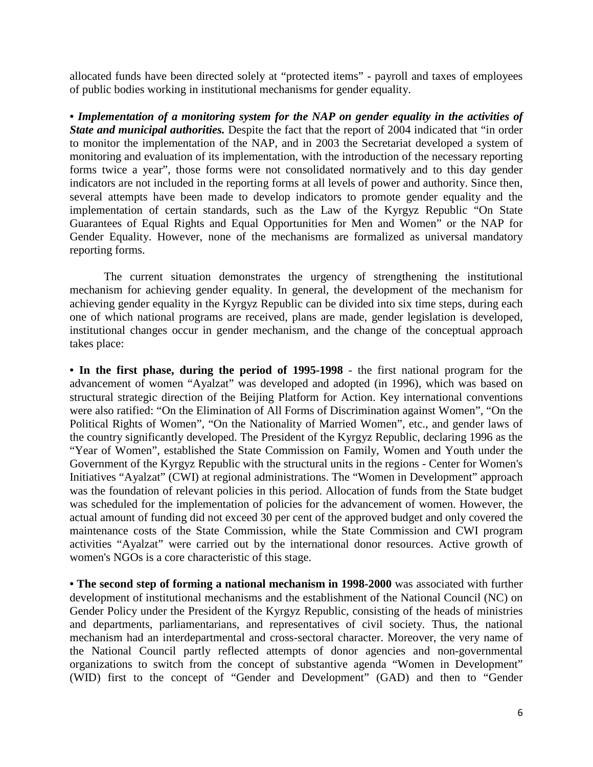allocated funds have been directed solely at "protected items" - payroll and taxes of employees of public bodies working in institutional mechanisms for gender equality.

*• Implementation of a monitoring system for the NAP on gender equality in the activities of State and municipal authorities.* Despite the fact that the report of 2004 indicated that "in order to monitor the implementation of the NAP, and in 2003 the Secretariat developed a system of monitoring and evaluation of its implementation, with the introduction of the necessary reporting forms twice a year", those forms were not consolidated normatively and to this day gender indicators are not included in the reporting forms at all levels of power and authority. Since then, several attempts have been made to develop indicators to promote gender equality and the implementation of certain standards, such as the Law of the Kyrgyz Republic "On State Guarantees of Equal Rights and Equal Opportunities for Men and Women" or the NAP for Gender Equality. However, none of the mechanisms are formalized as universal mandatory reporting forms.

The current situation demonstrates the urgency of strengthening the institutional mechanism for achieving gender equality. In general, the development of the mechanism for achieving gender equality in the Kyrgyz Republic can be divided into six time steps, during each one of which national programs are received, plans are made, gender legislation is developed, institutional changes occur in gender mechanism, and the change of the conceptual approach takes place:

**• In the first phase, during the period of 1995-1998** - the first national program for the advancement of women "Ayalzat" was developed and adopted (in 1996), which was based on structural strategic direction of the Beijing Platform for Action. Key international conventions were also ratified: "On the Elimination of All Forms of Discrimination against Women", "On the Political Rights of Women", "On the Nationality of Married Women", etc., and gender laws of the country significantly developed. The President of the Kyrgyz Republic, declaring 1996 as the "Year of Women", established the State Commission on Family, Women and Youth under the Government of the Kyrgyz Republic with the structural units in the regions - Center for Women's Initiatives "Ayalzat" (CWI) at regional administrations. The "Women in Development" approach was the foundation of relevant policies in this period. Allocation of funds from the State budget was scheduled for the implementation of policies for the advancement of women. However, the actual amount of funding did not exceed 30 per cent of the approved budget and only covered the maintenance costs of the State Commission, while the State Commission and CWI program activities "Ayalzat" were carried out by the international donor resources. Active growth of women's NGOs is a core characteristic of this stage.

**• The second step of forming a national mechanism in 1998-2000** was associated with further development of institutional mechanisms and the establishment of the National Council (NC) on Gender Policy under the President of the Kyrgyz Republic, consisting of the heads of ministries and departments, parliamentarians, and representatives of civil society. Thus, the national mechanism had an interdepartmental and cross-sectoral character. Moreover, the very name of the National Council partly reflected attempts of donor agencies and non-governmental organizations to switch from the concept of substantive agenda "Women in Development" (WID) first to the concept of "Gender and Development" (GAD) and then to "Gender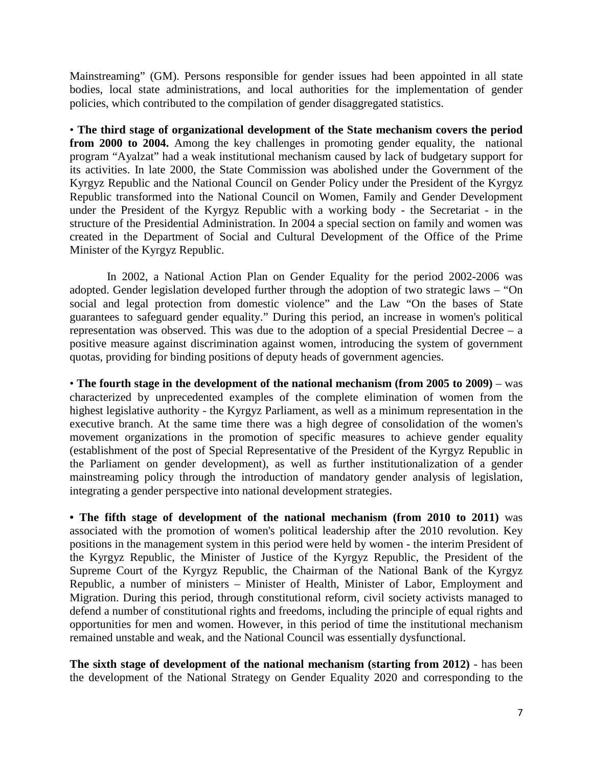Mainstreaming" (GM). Persons responsible for gender issues had been appointed in all state bodies, local state administrations, and local authorities for the implementation of gender policies, which contributed to the compilation of gender disaggregated statistics.

• **The third stage of organizational development of the State mechanism covers the period from 2000 to 2004.** Among the key challenges in promoting gender equality, the national program "Ayalzat" had a weak institutional mechanism caused by lack of budgetary support for its activities. In late 2000, the State Commission was abolished under the Government of the Kyrgyz Republic and the National Council on Gender Policy under the President of the Kyrgyz Republic transformed into the National Council on Women, Family and Gender Development under the President of the Kyrgyz Republic with a working body - the Secretariat - in the structure of the Presidential Administration. In 2004 a special section on family and women was created in the Department of Social and Cultural Development of the Office of the Prime Minister of the Kyrgyz Republic.

In 2002, a National Action Plan on Gender Equality for the period 2002-2006 was adopted. Gender legislation developed further through the adoption of two strategic laws – "On social and legal protection from domestic violence" and the Law "On the bases of State guarantees to safeguard gender equality." During this period, an increase in women's political representation was observed. This was due to the adoption of a special Presidential Decree  $-$  a positive measure against discrimination against women, introducing the system of government quotas, providing for binding positions of deputy heads of government agencies.

• **The fourth stage in the development of the national mechanism (from 2005 to 2009)** – was characterized by unprecedented examples of the complete elimination of women from the highest legislative authority - the Kyrgyz Parliament, as well as a minimum representation in the executive branch. At the same time there was a high degree of consolidation of the women's movement organizations in the promotion of specific measures to achieve gender equality (establishment of the post of Special Representative of the President of the Kyrgyz Republic in the Parliament on gender development), as well as further institutionalization of a gender mainstreaming policy through the introduction of mandatory gender analysis of legislation, integrating a gender perspective into national development strategies.

**• The fifth stage of development of the national mechanism (from 2010 to 2011)** was associated with the promotion of women's political leadership after the 2010 revolution. Key positions in the management system in this period were held by women - the interim President of the Kyrgyz Republic, the Minister of Justice of the Kyrgyz Republic, the President of the Supreme Court of the Kyrgyz Republic, the Chairman of the National Bank of the Kyrgyz Republic, a number of ministers – Minister of Health, Minister of Labor, Employment and Migration. During this period, through constitutional reform, civil society activists managed to defend a number of constitutional rights and freedoms, including the principle of equal rights and opportunities for men and women. However, in this period of time the institutional mechanism remained unstable and weak, and the National Council was essentially dysfunctional.

**The sixth stage of development of the national mechanism (starting from 2012)** - has been the development of the National Strategy on Gender Equality 2020 and corresponding to the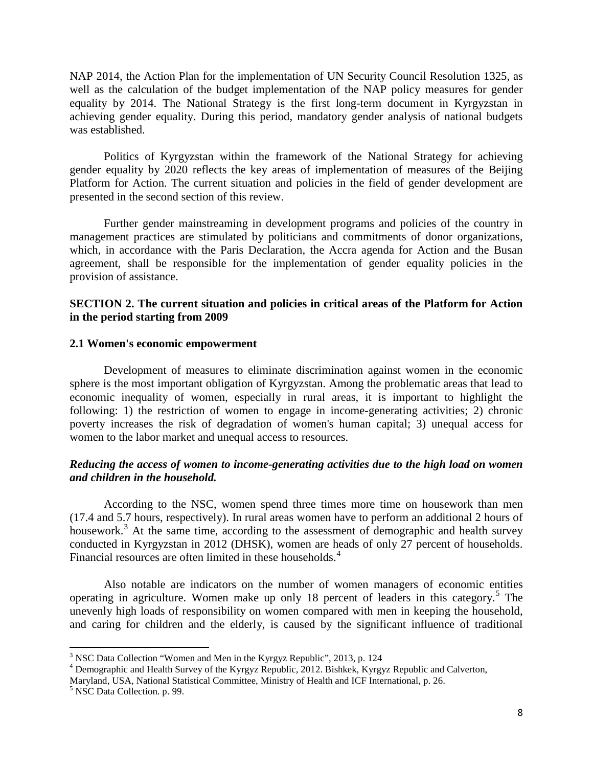NAP 2014, the Action Plan for the implementation of UN Security Council Resolution 1325, as well as the calculation of the budget implementation of the NAP policy measures for gender equality by 2014. The National Strategy is the first long-term document in Kyrgyzstan in achieving gender equality. During this period, mandatory gender analysis of national budgets was established.

Politics of Kyrgyzstan within the framework of the National Strategy for achieving gender equality by 2020 reflects the key areas of implementation of measures of the Beijing Platform for Action. The current situation and policies in the field of gender development are presented in the second section of this review.

Further gender mainstreaming in development programs and policies of the country in management practices are stimulated by politicians and commitments of donor organizations, which, in accordance with the Paris Declaration, the Accra agenda for Action and the Busan agreement, shall be responsible for the implementation of gender equality policies in the provision of assistance.

#### **SECTION 2. The current situation and policies in critical areas of the Platform for Action in the period starting from 2009**

#### **2.1 Women's economic empowerment**

Development of measures to eliminate discrimination against women in the economic sphere is the most important obligation of Kyrgyzstan. Among the problematic areas that lead to economic inequality of women, especially in rural areas, it is important to highlight the following: 1) the restriction of women to engage in income-generating activities; 2) chronic poverty increases the risk of degradation of women's human capital; 3) unequal access for women to the labor market and unequal access to resources.

# *Reducing the access of women to income-generating activities due to the high load on women and children in the household.*

According to the NSC, women spend three times more time on housework than men (17.4 and 5.7 hours, respectively). In rural areas women have to perform an additional 2 hours of housework.<sup>[3](#page-7-0)</sup> At the same time, according to the assessment of demographic and health survey conducted in Kyrgyzstan in 2012 (DHSK), women are heads of only 27 percent of households. Financial resources are often limited in these households.<sup>[4](#page-7-1)</sup>

Also notable are indicators on the number of women managers of economic entities operating in agriculture. Women make up only 18 percent of leaders in this category.<sup>[5](#page-7-2)</sup> The unevenly high loads of responsibility on women compared with men in keeping the household, and caring for children and the elderly, is caused by the significant influence of traditional

<span id="page-7-0"></span><sup>&</sup>lt;sup>3</sup> NSC Data Collection "Women and Men in the Kyrgyz Republic", 2013, p. 124  $\rm^4$  Demographic and Health Survey of the Kyrgyz Republic, 2012. Bishkek, Kyrgyz Republic and Calverton,

<span id="page-7-1"></span>Maryland, USA, National Statistical Committee, Ministry of Health and ICF International, p. 26. 5 NSC Data Collection. p. 99.

<span id="page-7-2"></span>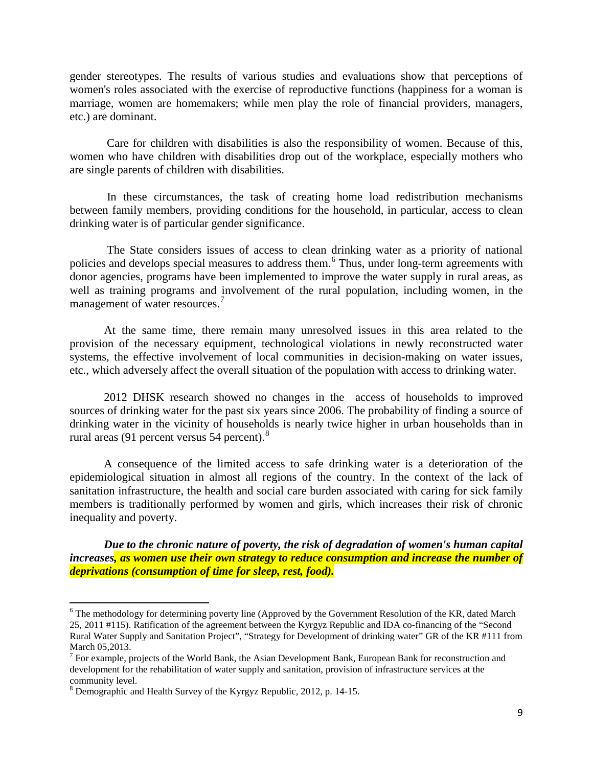gender stereotypes. The results of various studies and evaluations show that perceptions of women's roles associated with the exercise of reproductive functions (happiness for a woman is marriage, women are homemakers; while men play the role of financial providers, managers, etc.) are dominant.

Care for children with disabilities is also the responsibility of women. Because of this, women who have children with disabilities drop out of the workplace, especially mothers who are single parents of children with disabilities.

In these circumstances, the task of creating home load redistribution mechanisms between family members, providing conditions for the household, in particular, access to clean drinking water is of particular gender significance.

The State considers issues of access to clean drinking water as a priority of national policies and develops special measures to address them.[6](#page-8-0) Thus, under long-term agreements with donor agencies, programs have been implemented to improve the water supply in rural areas, as well as training programs and involvement of the rural population, including women, in the management of water resources.<sup>[7](#page-8-1)</sup>

At the same time, there remain many unresolved issues in this area related to the provision of the necessary equipment, technological violations in newly reconstructed water systems, the effective involvement of local communities in decision-making on water issues, etc., which adversely affect the overall situation of the population with access to drinking water.

2012 DHSK research showed no changes in the access of households to improved sources of drinking water for the past six years since 2006. The probability of finding a source of drinking water in the vicinity of households is nearly twice higher in urban households than in rural areas (91 percent versus 54 percent).<sup>[8](#page-8-2)</sup>

A consequence of the limited access to safe drinking water is a deterioration of the epidemiological situation in almost all regions of the country. In the context of the lack of sanitation infrastructure, the health and social care burden associated with caring for sick family members is traditionally performed by women and girls, which increases their risk of chronic inequality and poverty.

*Due to the chronic nature of poverty, the risk of degradation of women's human capital increases, as women use their own strategy to reduce consumption and increase the number of deprivations (consumption of time for sleep, rest, food).*

 $\overline{\phantom{a}}$ 

<span id="page-8-0"></span> $6$  The methodology for determining poverty line (Approved by the Government Resolution of the KR, dated March 25, 2011 #115). Ratification of the agreement between the Kyrgyz Republic and IDA co-financing of the "Second Rural Water Supply and Sanitation Project", "Strategy for Development of drinking water" GR of the KR #111 from March 05,2013.<br><sup>7</sup> For example, projects of the World Bank, the Asian Development Bank, European Bank for reconstruction and

<span id="page-8-1"></span>development for the rehabilitation of water supply and sanitation, provision of infrastructure services at the community level.

<span id="page-8-2"></span><sup>8</sup> Demographic and Health Survey of the Kyrgyz Republic, 2012, p. 14-15.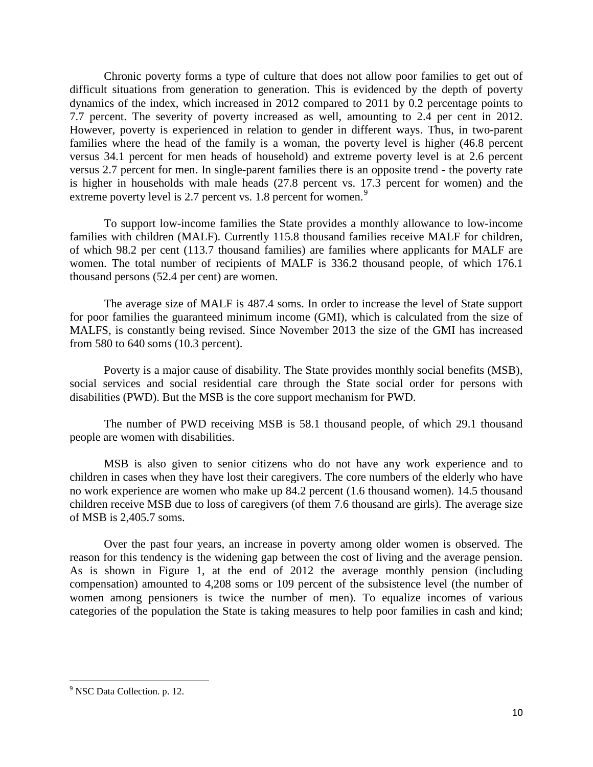Chronic poverty forms a type of culture that does not allow poor families to get out of difficult situations from generation to generation. This is evidenced by the depth of poverty dynamics of the index, which increased in 2012 compared to 2011 by 0.2 percentage points to 7.7 percent. The severity of poverty increased as well, amounting to 2.4 per cent in 2012. However, poverty is experienced in relation to gender in different ways. Thus, in two-parent families where the head of the family is a woman, the poverty level is higher (46.8 percent versus 34.1 percent for men heads of household) and extreme poverty level is at 2.6 percent versus 2.7 percent for men. In single-parent families there is an opposite trend - the poverty rate is higher in households with male heads (27.8 percent vs. 17.3 percent for women) and the extreme poverty level is 2.7 percent vs. 1.8 percent for women.<sup>[9](#page-9-0)</sup>

To support low-income families the State provides a monthly allowance to low-income families with children (MALF). Currently 115.8 thousand families receive MALF for children, of which 98.2 per cent (113.7 thousand families) are families where applicants for MALF are women. The total number of recipients of MALF is 336.2 thousand people, of which 176.1 thousand persons (52.4 per cent) are women.

The average size of MALF is 487.4 soms. In order to increase the level of State support for poor families the guaranteed minimum income (GMI), which is calculated from the size of MALFS, is constantly being revised. Since November 2013 the size of the GMI has increased from 580 to 640 soms (10.3 percent).

Poverty is a major cause of disability. The State provides monthly social benefits (MSB), social services and social residential care through the State social order for persons with disabilities (PWD). But the MSB is the core support mechanism for PWD.

The number of PWD receiving MSB is 58.1 thousand people, of which 29.1 thousand people are women with disabilities.

MSB is also given to senior citizens who do not have any work experience and to children in cases when they have lost their caregivers. The core numbers of the elderly who have no work experience are women who make up 84.2 percent (1.6 thousand women). 14.5 thousand children receive MSB due to loss of caregivers (of them 7.6 thousand are girls). The average size of MSB is 2,405.7 soms.

Over the past four years, an increase in poverty among older women is observed. The reason for this tendency is the widening gap between the cost of living and the average pension. As is shown in Figure 1, at the end of 2012 the average monthly pension (including compensation) amounted to 4,208 soms or 109 percent of the subsistence level (the number of women among pensioners is twice the number of men). To equalize incomes of various categories of the population the State is taking measures to help poor families in cash and kind;

<span id="page-9-0"></span><sup>9</sup> NSC Data Collection. p. 12.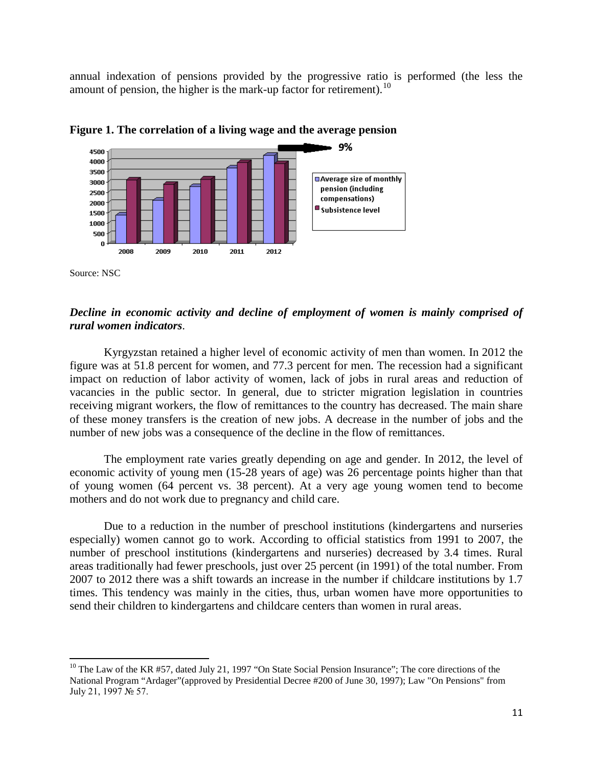annual indexation of pensions provided by the progressive ratio is performed (the less the amount of pension, the higher is the mark-up factor for retirement).<sup>[10](#page-10-0)</sup>





Source: NSC

 $\overline{\phantom{a}}$ 

### *Decline in economic activity and decline of employment of women is mainly comprised of rural women indicators*.

Kyrgyzstan retained a higher level of economic activity of men than women. In 2012 the figure was at 51.8 percent for women, and 77.3 percent for men. The recession had a significant impact on reduction of labor activity of women, lack of jobs in rural areas and reduction of vacancies in the public sector. In general, due to stricter migration legislation in countries receiving migrant workers, the flow of remittances to the country has decreased. The main share of these money transfers is the creation of new jobs. A decrease in the number of jobs and the number of new jobs was a consequence of the decline in the flow of remittances.

The employment rate varies greatly depending on age and gender. In 2012, the level of economic activity of young men (15-28 years of age) was 26 percentage points higher than that of young women (64 percent vs. 38 percent). At a very age young women tend to become mothers and do not work due to pregnancy and child care.

Due to a reduction in the number of preschool institutions (kindergartens and nurseries especially) women cannot go to work. According to official statistics from 1991 to 2007, the number of preschool institutions (kindergartens and nurseries) decreased by 3.4 times. Rural areas traditionally had fewer preschools, just over 25 percent (in 1991) of the total number. From 2007 to 2012 there was a shift towards an increase in the number if childcare institutions by 1.7 times. This tendency was mainly in the cities, thus, urban women have more opportunities to send their children to kindergartens and childcare centers than women in rural areas.

<span id="page-10-0"></span><sup>&</sup>lt;sup>10</sup> The Law of the KR #57, dated July 21, 1997 "On State Social Pension Insurance"; The core directions of the National Program "Ardager"(approved by Presidential Decree #200 of June 30, 1997); Law "On Pensions" from July 21, 1997 № 57.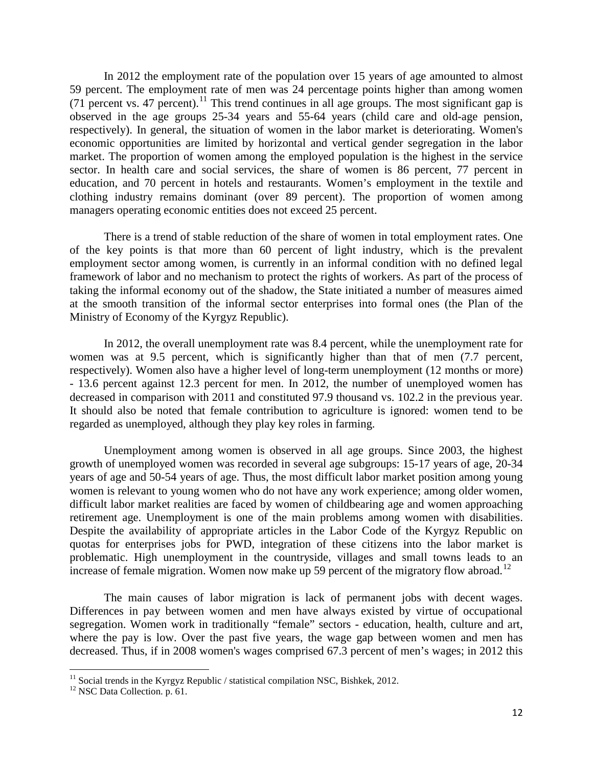In 2012 the employment rate of the population over 15 years of age amounted to almost 59 percent. The employment rate of men was 24 percentage points higher than among women  $(71$  percent vs. 47 percent).<sup>[11](#page-11-0)</sup> This trend continues in all age groups. The most significant gap is observed in the age groups 25-34 years and 55-64 years (child care and old-age pension, respectively). In general, the situation of women in the labor market is deteriorating. Women's economic opportunities are limited by horizontal and vertical gender segregation in the labor market. The proportion of women among the employed population is the highest in the service sector. In health care and social services, the share of women is 86 percent, 77 percent in education, and 70 percent in hotels and restaurants. Women's employment in the textile and clothing industry remains dominant (over 89 percent). The proportion of women among managers operating economic entities does not exceed 25 percent.

There is a trend of stable reduction of the share of women in total employment rates. One of the key points is that more than 60 percent of light industry, which is the prevalent employment sector among women, is currently in an informal condition with no defined legal framework of labor and no mechanism to protect the rights of workers. As part of the process of taking the informal economy out of the shadow, the State initiated a number of measures aimed at the smooth transition of the informal sector enterprises into formal ones (the Plan of the Ministry of Economy of the Kyrgyz Republic).

In 2012, the overall unemployment rate was 8.4 percent, while the unemployment rate for women was at 9.5 percent, which is significantly higher than that of men (7.7 percent, respectively). Women also have a higher level of long-term unemployment (12 months or more) - 13.6 percent against 12.3 percent for men. In 2012, the number of unemployed women has decreased in comparison with 2011 and constituted 97.9 thousand vs. 102.2 in the previous year. It should also be noted that female contribution to agriculture is ignored: women tend to be regarded as unemployed, although they play key roles in farming.

Unemployment among women is observed in all age groups. Since 2003, the highest growth of unemployed women was recorded in several age subgroups: 15-17 years of age, 20-34 years of age and 50-54 years of age. Thus, the most difficult labor market position among young women is relevant to young women who do not have any work experience; among older women, difficult labor market realities are faced by women of childbearing age and women approaching retirement age. Unemployment is one of the main problems among women with disabilities. Despite the availability of appropriate articles in the Labor Code of the Kyrgyz Republic on quotas for enterprises jobs for PWD, integration of these citizens into the labor market is problematic. High unemployment in the countryside, villages and small towns leads to an increase of female migration. Women now make up 59 percent of the migratory flow abroad.<sup>[12](#page-11-1)</sup>

The main causes of labor migration is lack of permanent jobs with decent wages. Differences in pay between women and men have always existed by virtue of occupational segregation. Women work in traditionally "female" sectors - education, health, culture and art, where the pay is low. Over the past five years, the wage gap between women and men has decreased. Thus, if in 2008 women's wages comprised 67.3 percent of men's wages; in 2012 this

<span id="page-11-0"></span><sup>&</sup>lt;sup>11</sup> Social trends in the Kyrgyz Republic / statistical compilation NSC, Bishkek, 2012.<br><sup>12</sup> NSC Data Collection. p. 61.

<span id="page-11-1"></span>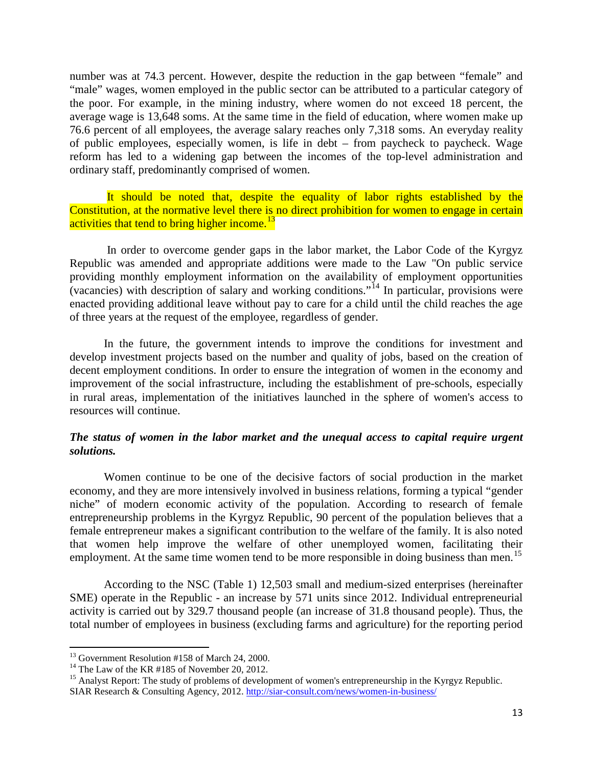number was at 74.3 percent. However, despite the reduction in the gap between "female" and "male" wages, women employed in the public sector can be attributed to a particular category of the poor. For example, in the mining industry, where women do not exceed 18 percent, the average wage is 13,648 soms. At the same time in the field of education, where women make up 76.6 percent of all employees, the average salary reaches only 7,318 soms. An everyday reality of public employees, especially women, is life in debt – from paycheck to paycheck. Wage reform has led to a widening gap between the incomes of the top-level administration and ordinary staff, predominantly comprised of women.

It should be noted that, despite the equality of labor rights established by the Constitution, at the normative level there is no direct prohibition for women to engage in certain activities that tend to bring higher income.<sup>[13](#page-12-0)</sup>

In order to overcome gender gaps in the labor market, the Labor Code of the Kyrgyz Republic was amended and appropriate additions were made to the Law "On public service providing monthly employment information on the availability of employment opportunities (vacancies) with description of salary and working conditions."<sup>[14](#page-12-1)</sup> In particular, provisions were enacted providing additional leave without pay to care for a child until the child reaches the age of three years at the request of the employee, regardless of gender.

In the future, the government intends to improve the conditions for investment and develop investment projects based on the number and quality of jobs, based on the creation of decent employment conditions. In order to ensure the integration of women in the economy and improvement of the social infrastructure, including the establishment of pre-schools, especially in rural areas, implementation of the initiatives launched in the sphere of women's access to resources will continue.

# *The status of women in the labor market and the unequal access to capital require urgent solutions.*

Women continue to be one of the decisive factors of social production in the market economy, and they are more intensively involved in business relations, forming a typical "gender niche" of modern economic activity of the population. According to research of female entrepreneurship problems in the Kyrgyz Republic, 90 percent of the population believes that a female entrepreneur makes a significant contribution to the welfare of the family. It is also noted that women help improve the welfare of other unemployed women, facilitating their employment. At the same time women tend to be more responsible in doing business than men.<sup>[15](#page-12-2)</sup>

According to the NSC (Table 1) 12,503 small and medium-sized enterprises (hereinafter SME) operate in the Republic - an increase by 571 units since 2012. Individual entrepreneurial activity is carried out by 329.7 thousand people (an increase of 31.8 thousand people). Thus, the total number of employees in business (excluding farms and agriculture) for the reporting period

<span id="page-12-2"></span>SIAR Research & Consulting Agency, 2012.<http://siar-consult.com/news/women-in-business/>

<span id="page-12-0"></span><sup>&</sup>lt;sup>13</sup> Government Resolution #158 of March 24, 2000.

<span id="page-12-1"></span><sup>&</sup>lt;sup>14</sup> The Law of the KR #185 of November 20, 2012.<br><sup>15</sup> Analyst Report: The study of problems of development of women's entrepreneurship in the Kyrgyz Republic.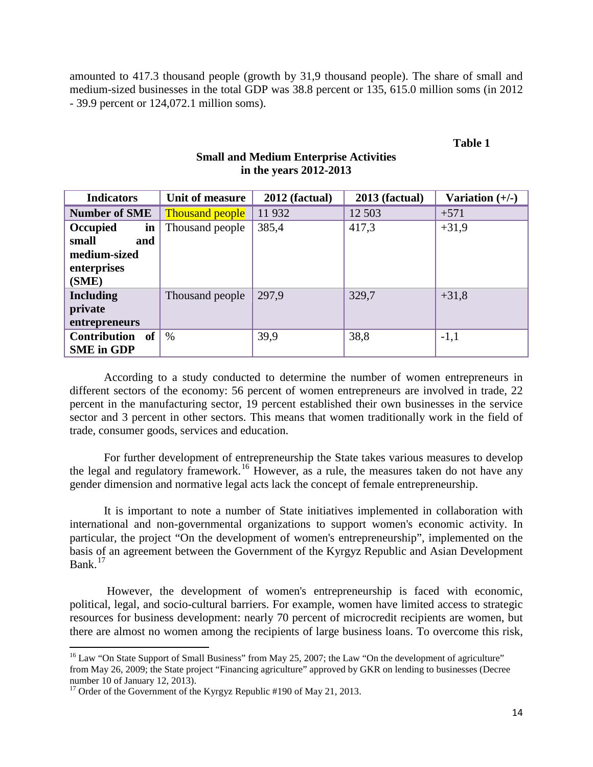amounted to 417.3 thousand people (growth by 31,9 thousand people). The share of small and medium-sized businesses in the total GDP was 38.8 percent or 135, 615.0 million soms (in 2012 - 39.9 percent or 124,072.1 million soms).

#### **Table 1**

| <b>Indicators</b>    | Unit of measure        | 2012 (factual) | 2013 (factual) | Variation $(+/-)$ |
|----------------------|------------------------|----------------|----------------|-------------------|
| <b>Number of SME</b> | <b>Thousand people</b> | 11932          | 12 503         | $+571$            |
| Occupied<br>in       | Thousand people        | 385,4          | 417,3          | $+31,9$           |
| small<br>and         |                        |                |                |                   |
| medium-sized         |                        |                |                |                   |
| enterprises          |                        |                |                |                   |
| (SME)                |                        |                |                |                   |
| Including            | Thousand people        | 297.9          | 329,7          | $+31,8$           |
| private              |                        |                |                |                   |
| entrepreneurs        |                        |                |                |                   |
| Contribution of      | $\%$                   | 39,9           | 38,8           | $-1,1$            |
| <b>SME</b> in GDP    |                        |                |                |                   |

### **Small and Medium Enterprise Activities in the years 2012-2013**

According to a study conducted to determine the number of women entrepreneurs in different sectors of the economy: 56 percent of women entrepreneurs are involved in trade, 22 percent in the manufacturing sector, 19 percent established their own businesses in the service sector and 3 percent in other sectors. This means that women traditionally work in the field of trade, consumer goods, services and education.

For further development of entrepreneurship the State takes various measures to develop the legal and regulatory framework.<sup>[16](#page-13-0)</sup> However, as a rule, the measures taken do not have any gender dimension and normative legal acts lack the concept of female entrepreneurship.

It is important to note a number of State initiatives implemented in collaboration with international and non-governmental organizations to support women's economic activity. In particular, the project "On the development of women's entrepreneurship", implemented on the basis of an agreement between the Government of the Kyrgyz Republic and Asian Development Bank. $17$ 

However, the development of women's entrepreneurship is faced with economic, political, legal, and socio-cultural barriers. For example, women have limited access to strategic resources for business development: nearly 70 percent of microcredit recipients are women, but there are almost no women among the recipients of large business loans. To overcome this risk,

<span id="page-13-0"></span> $16$  Law "On State Support of Small Business" from May 25, 2007; the Law "On the development of agriculture" from May 26, 2009; the State project "Financing agriculture" approved by GKR on lending to businesses (Decree

<span id="page-13-1"></span><sup>&</sup>lt;sup>17</sup> Order of the Government of the Kyrgyz Republic #190 of May 21, 2013.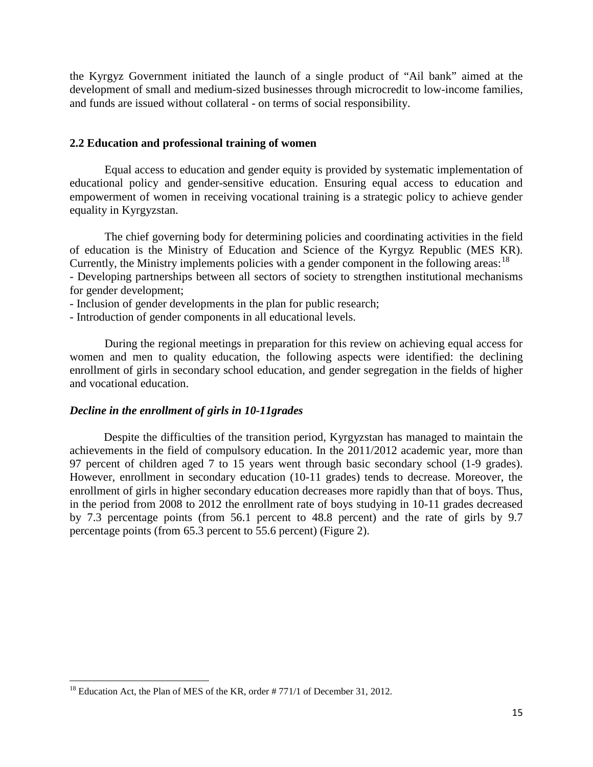the Kyrgyz Government initiated the launch of a single product of "Ail bank" aimed at the development of small and medium-sized businesses through microcredit to low-income families, and funds are issued without collateral - on terms of social responsibility.

#### **2.2 Education and professional training of women**

Equal access to education and gender equity is provided by systematic implementation of educational policy and gender-sensitive education. Ensuring equal access to education and empowerment of women in receiving vocational training is a strategic policy to achieve gender equality in Kyrgyzstan.

The chief governing body for determining policies and coordinating activities in the field of education is the Ministry of Education and Science of the Kyrgyz Republic (MES KR). Currently, the Ministry implements policies with a gender component in the following areas:  $18$ - Developing partnerships between all sectors of society to strengthen institutional mechanisms for gender development;

- Inclusion of gender developments in the plan for public research;

- Introduction of gender components in all educational levels.

During the regional meetings in preparation for this review on achieving equal access for women and men to quality education, the following aspects were identified: the declining enrollment of girls in secondary school education, and gender segregation in the fields of higher and vocational education.

#### *Decline in the enrollment of girls in 10-11grades*

Despite the difficulties of the transition period, Kyrgyzstan has managed to maintain the achievements in the field of compulsory education. In the 2011/2012 academic year, more than 97 percent of children aged 7 to 15 years went through basic secondary school (1-9 grades). However, enrollment in secondary education (10-11 grades) tends to decrease. Moreover, the enrollment of girls in higher secondary education decreases more rapidly than that of boys. Thus, in the period from 2008 to 2012 the enrollment rate of boys studying in 10-11 grades decreased by 7.3 percentage points (from 56.1 percent to 48.8 percent) and the rate of girls by 9.7 percentage points (from 65.3 percent to 55.6 percent) (Figure 2).

<span id="page-14-0"></span><sup>&</sup>lt;sup>18</sup> Education Act, the Plan of MES of the KR, order  $\# 771/1$  of December 31, 2012.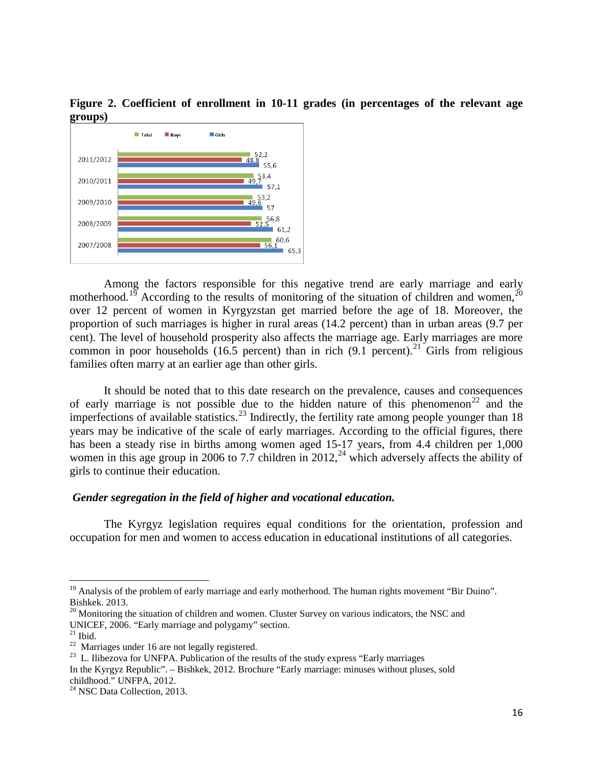**Figure 2. Coefficient of enrollment in 10-11 grades (in percentages of the relevant age groups)** 



Among the factors responsible for this negative trend are early marriage and early motherhood.<sup>[19](#page-15-0)</sup> According to the results of monitoring of the situation of children and women,<sup>2</sup> over 12 percent of women in Kyrgyzstan get married before the age of 18. Moreover, the proportion of such marriages is higher in rural areas (14.2 percent) than in urban areas (9.7 per cent). The level of household prosperity also affects the marriage age. Early marriages are more common in poor households (16.5 percent) than in rich (9.1 percent).<sup>[21](#page-15-2)</sup> Girls from religious families often marry at an earlier age than other girls.

It should be noted that to this date research on the prevalence, causes and consequences of early marriage is not possible due to the hidden nature of this phenomenon<sup>[22](#page-15-3)</sup> and the imperfections of available statistics.<sup>[23](#page-15-4)</sup> Indirectly, the fertility rate among people younger than 18 years may be indicative of the scale of early marriages. According to the official figures, there has been a steady rise in births among women aged 15-17 years, from 4.4 children per 1,000 women in this age group in 2006 to 7.7 children in  $2012<sup>24</sup>$  $2012<sup>24</sup>$  $2012<sup>24</sup>$  which adversely affects the ability of girls to continue their education.

#### *Gender segregation in the field of higher and vocational education.*

The Kyrgyz legislation requires equal conditions for the orientation, profession and occupation for men and women to access education in educational institutions of all categories.

<span id="page-15-0"></span> $19$  Analysis of the problem of early marriage and early motherhood. The human rights movement "Bir Duino". Bishkek. 2013.

<span id="page-15-1"></span> $^{20}$  Monitoring the situation of children and women. Cluster Survey on various indicators, the NSC and UNICEF, 2006. "Early marriage and polygamy" section.<br><sup>21</sup> Ibid. 22 Marriages under 16 are not legally registered.<br><sup>23</sup> L. Ilibezova for UNFPA. Publication of the results of the study express "Early marriages"

<span id="page-15-2"></span>

<span id="page-15-3"></span>

<span id="page-15-4"></span>In the Kyrgyz Republic". – Bishkek, 2012. Brochure "Early marriage: minuses without pluses, sold childhood." UNFPA, 2012.

<span id="page-15-5"></span><sup>&</sup>lt;sup>24</sup> NSC Data Collection, 2013.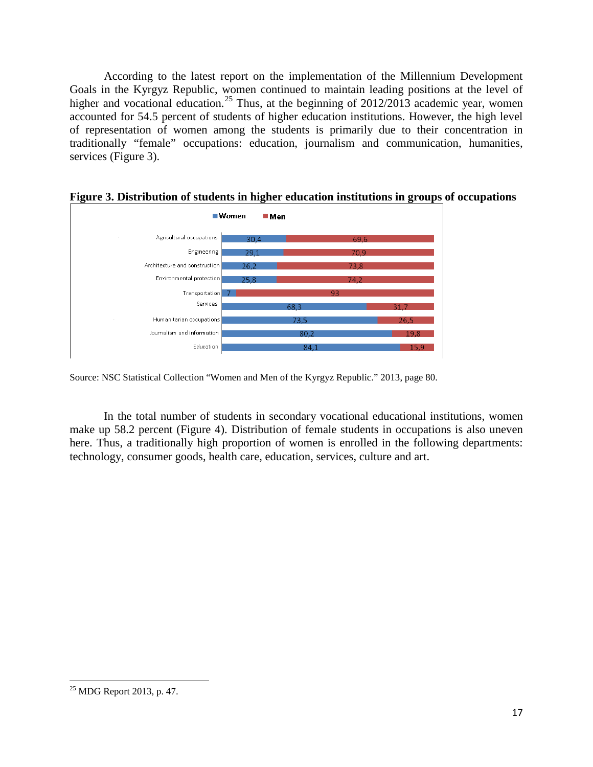According to the latest report on the implementation of the Millennium Development Goals in the Kyrgyz Republic, women continued to maintain leading positions at the level of higher and vocational education.<sup>[25](#page-16-0)</sup> Thus, at the beginning of  $2012/2013$  academic year, women accounted for 54.5 percent of students of higher education institutions. However, the high level of representation of women among the students is primarily due to their concentration in traditionally "female" occupations: education, journalism and communication, humanities, services (Figure 3).



**Figure 3. Distribution of students in higher education institutions in groups of occupations**

Source: NSC Statistical Collection "Women and Men of the Kyrgyz Republic." 2013, page 80.

In the total number of students in secondary vocational educational institutions, women make up 58.2 percent (Figure 4). Distribution of female students in occupations is also uneven here. Thus, a traditionally high proportion of women is enrolled in the following departments: technology, consumer goods, health care, education, services, culture and art.

<span id="page-16-0"></span><sup>25</sup> MDG Report 2013, p. 47.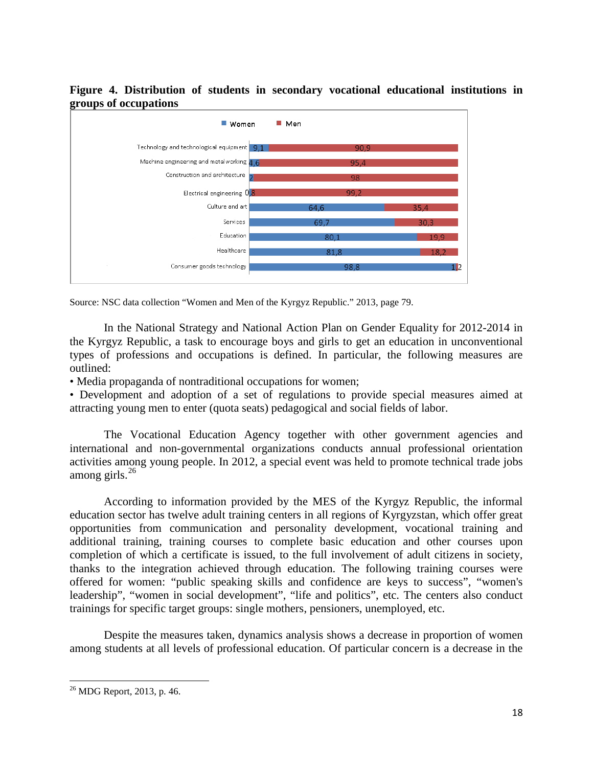

# **Figure 4. Distribution of students in secondary vocational educational institutions in**

Healthcare

Consumer goods technology

In the National Strategy and National Action Plan on Gender Equality for 2012-2014 in the Kyrgyz Republic, a task to encourage boys and girls to get an education in unconventional types of professions and occupations is defined. In particular, the following measures are outlined:

 $81<sub>2</sub>$ 

11

• Media propaganda of nontraditional occupations for women;

• Development and adoption of a set of regulations to provide special measures aimed at attracting young men to enter (quota seats) pedagogical and social fields of labor.

The Vocational Education Agency together with other government agencies and international and non-governmental organizations conducts annual professional orientation activities among young people. In 2012, a special event was held to promote technical trade jobs among girls. $^{26}$  $^{26}$  $^{26}$ 

According to information provided by the MES of the Kyrgyz Republic, the informal education sector has twelve adult training centers in all regions of Kyrgyzstan, which offer great opportunities from communication and personality development, vocational training and additional training, training courses to complete basic education and other courses upon completion of which a certificate is issued, to the full involvement of adult citizens in society, thanks to the integration achieved through education. The following training courses were offered for women: "public speaking skills and confidence are keys to success", "women's leadership", "women in social development", "life and politics", etc. The centers also conduct trainings for specific target groups: single mothers, pensioners, unemployed, etc.

Despite the measures taken, dynamics analysis shows a decrease in proportion of women among students at all levels of professional education. Of particular concern is a decrease in the

Source: NSC data collection "Women and Men of the Kyrgyz Republic." 2013, page 79.

<span id="page-17-0"></span> $26$  MDG Report, 2013, p. 46.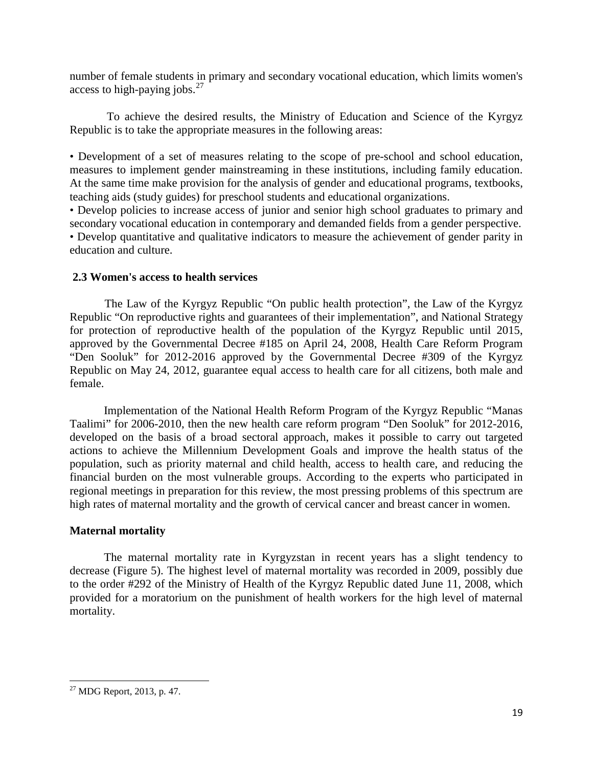number of female students in primary and secondary vocational education, which limits women's access to high-paying jobs. $27$ 

To achieve the desired results, the Ministry of Education and Science of the Kyrgyz Republic is to take the appropriate measures in the following areas:

• Development of a set of measures relating to the scope of pre-school and school education, measures to implement gender mainstreaming in these institutions, including family education. At the same time make provision for the analysis of gender and educational programs, textbooks, teaching aids (study guides) for preschool students and educational organizations.

• Develop policies to increase access of junior and senior high school graduates to primary and secondary vocational education in contemporary and demanded fields from a gender perspective. • Develop quantitative and qualitative indicators to measure the achievement of gender parity in education and culture.

# **2.3 Women's access to health services**

The Law of the Kyrgyz Republic "On public health protection", the Law of the Kyrgyz Republic "On reproductive rights and guarantees of their implementation", and National Strategy for protection of reproductive health of the population of the Kyrgyz Republic until 2015, approved by the Governmental Decree #185 on April 24, 2008, Health Care Reform Program "Den Sooluk" for 2012-2016 approved by the Governmental Decree #309 of the Kyrgyz Republic on May 24, 2012, guarantee equal access to health care for all citizens, both male and female.

Implementation of the National Health Reform Program of the Kyrgyz Republic "Manas Taalimi" for 2006-2010, then the new health care reform program "Den Sooluk" for 2012-2016, developed on the basis of a broad sectoral approach, makes it possible to carry out targeted actions to achieve the Millennium Development Goals and improve the health status of the population, such as priority maternal and child health, access to health care, and reducing the financial burden on the most vulnerable groups. According to the experts who participated in regional meetings in preparation for this review, the most pressing problems of this spectrum are high rates of maternal mortality and the growth of cervical cancer and breast cancer in women.

# **Maternal mortality**

The maternal mortality rate in Kyrgyzstan in recent years has a slight tendency to decrease (Figure 5). The highest level of maternal mortality was recorded in 2009, possibly due to the order #292 of the Ministry of Health of the Kyrgyz Republic dated June 11, 2008, which provided for a moratorium on the punishment of health workers for the high level of maternal mortality.

<span id="page-18-0"></span><sup>27</sup> MDG Report, 2013, p. 47.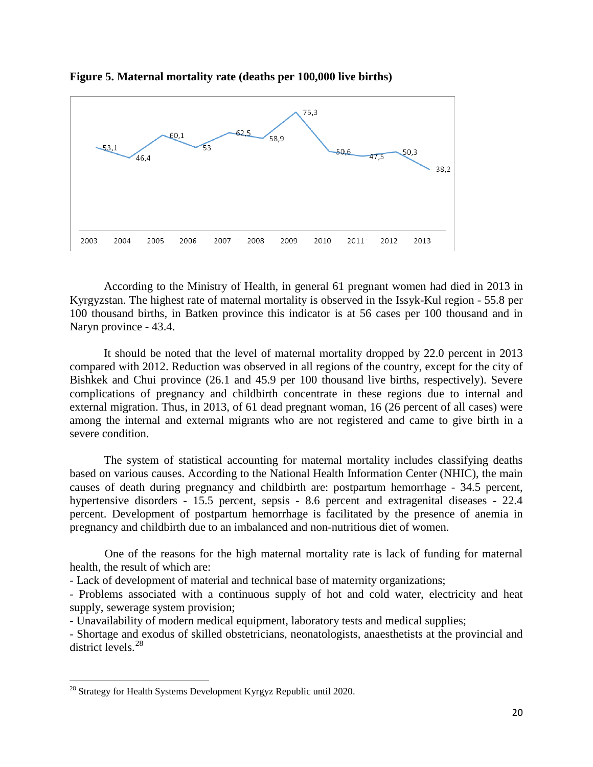



According to the Ministry of Health, in general 61 pregnant women had died in 2013 in Kyrgyzstan. The highest rate of maternal mortality is observed in the Issyk-Kul region - 55.8 per 100 thousand births, in Batken province this indicator is at 56 cases per 100 thousand and in Naryn province - 43.4.

It should be noted that the level of maternal mortality dropped by 22.0 percent in 2013 compared with 2012. Reduction was observed in all regions of the country, except for the city of Bishkek and Chui province (26.1 and 45.9 per 100 thousand live births, respectively). Severe complications of pregnancy and childbirth concentrate in these regions due to internal and external migration. Thus, in 2013, of 61 dead pregnant woman, 16 (26 percent of all cases) were among the internal and external migrants who are not registered and came to give birth in a severe condition.

The system of statistical accounting for maternal mortality includes classifying deaths based on various causes. According to the National Health Information Center (NHIC), the main causes of death during pregnancy and childbirth are: postpartum hemorrhage - 34.5 percent, hypertensive disorders - 15.5 percent, sepsis - 8.6 percent and extragenital diseases - 22.4 percent. Development of postpartum hemorrhage is facilitated by the presence of anemia in pregnancy and childbirth due to an imbalanced and non-nutritious diet of women.

One of the reasons for the high maternal mortality rate is lack of funding for maternal health, the result of which are:

- Lack of development of material and technical base of maternity organizations;

- Problems associated with a continuous supply of hot and cold water, electricity and heat supply, sewerage system provision;

- Unavailability of modern medical equipment, laboratory tests and medical supplies;

- Shortage and exodus of skilled obstetricians, neonatologists, anaesthetists at the provincial and district levels.<sup>[28](#page-19-0)</sup>

<span id="page-19-0"></span><sup>&</sup>lt;sup>28</sup> Strategy for Health Systems Development Kyrgyz Republic until 2020.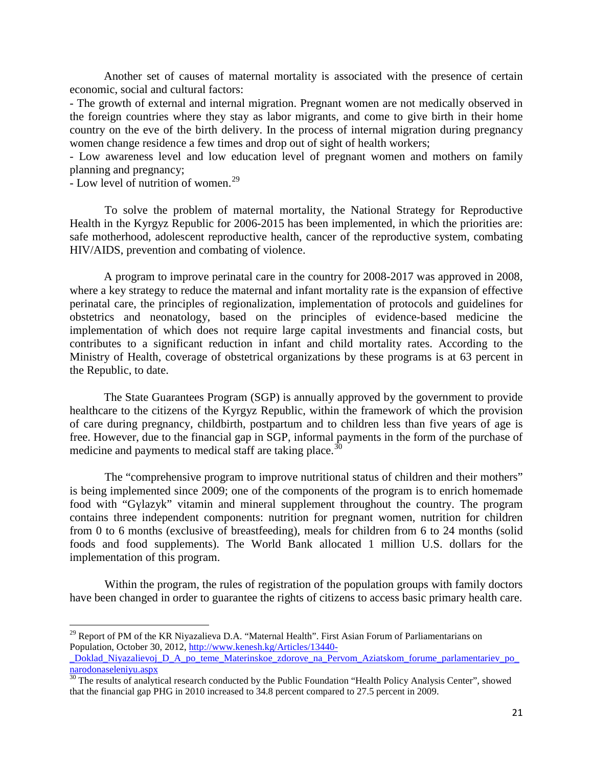Another set of causes of maternal mortality is associated with the presence of certain economic, social and cultural factors:

- The growth of external and internal migration. Pregnant women are not medically observed in the foreign countries where they stay as labor migrants, and come to give birth in their home country on the eve of the birth delivery. In the process of internal migration during pregnancy women change residence a few times and drop out of sight of health workers;

- Low awareness level and low education level of pregnant women and mothers on family planning and pregnancy;

- Low level of nutrition of women.<sup>[29](#page-20-0)</sup>

To solve the problem of maternal mortality, the National Strategy for Reproductive Health in the Kyrgyz Republic for 2006-2015 has been implemented, in which the priorities are: safe motherhood, adolescent reproductive health, cancer of the reproductive system, combating HIV/AIDS, prevention and combating of violence.

A program to improve perinatal care in the country for 2008-2017 was approved in 2008, where a key strategy to reduce the maternal and infant mortality rate is the expansion of effective perinatal care, the principles of regionalization, implementation of protocols and guidelines for obstetrics and neonatology, based on the principles of evidence-based medicine the implementation of which does not require large capital investments and financial costs, but contributes to a significant reduction in infant and child mortality rates. According to the Ministry of Health, coverage of obstetrical organizations by these programs is at 63 percent in the Republic, to date.

The State Guarantees Program (SGP) is annually approved by the government to provide healthcare to the citizens of the Kyrgyz Republic, within the framework of which the provision of care during pregnancy, childbirth, postpartum and to children less than five years of age is free. However, due to the financial gap in SGP, informal payments in the form of the purchase of medicine and payments to medical staff are taking place.<sup>[30](#page-20-1)</sup>

The "comprehensive program to improve nutritional status of children and their mothers" is being implemented since 2009; one of the components of the program is to enrich homemade food with "Gүlazyk" vitamin and mineral supplement throughout the country. The program contains three independent components: nutrition for pregnant women, nutrition for children from 0 to 6 months (exclusive of breastfeeding), meals for children from 6 to 24 months (solid foods and food supplements). The World Bank allocated 1 million U.S. dollars for the implementation of this program.

Within the program, the rules of registration of the population groups with family doctors have been changed in order to guarantee the rights of citizens to access basic primary health care.

<span id="page-20-0"></span><sup>&</sup>lt;sup>29</sup> Report of PM of the KR Niyazalieva D.A. "Maternal Health". First Asian Forum of Parliamentarians on Population, October 30, 2012, [http://www.kenesh.kg/Articles/13440-](http://www.kenesh.kg/Articles/13440-_Doklad_Niyazalievoj_D_A_po_teme_Materinskoe_zdorove_na_Pervom_Aziatskom_forume_parlamentariev_po_narodonaseleniyu.aspx)  $\overline{\phantom{a}}$ 

[\\_Doklad\\_Niyazalievoj\\_D\\_A\\_po\\_teme\\_Materinskoe\\_zdorove\\_na\\_Pervom\\_Aziatskom\\_forume\\_parlamentariev\\_po\\_](http://www.kenesh.kg/Articles/13440-_Doklad_Niyazalievoj_D_A_po_teme_Materinskoe_zdorove_na_Pervom_Aziatskom_forume_parlamentariev_po_narodonaseleniyu.aspx) [narodonaseleniyu.aspx](http://www.kenesh.kg/Articles/13440-_Doklad_Niyazalievoj_D_A_po_teme_Materinskoe_zdorove_na_Pervom_Aziatskom_forume_parlamentariev_po_narodonaseleniyu.aspx)

<span id="page-20-1"></span> $30$  The results of analytical research conducted by the Public Foundation "Health Policy Analysis Center", showed that the financial gap PHG in 2010 increased to 34.8 percent compared to 27.5 percent in 2009.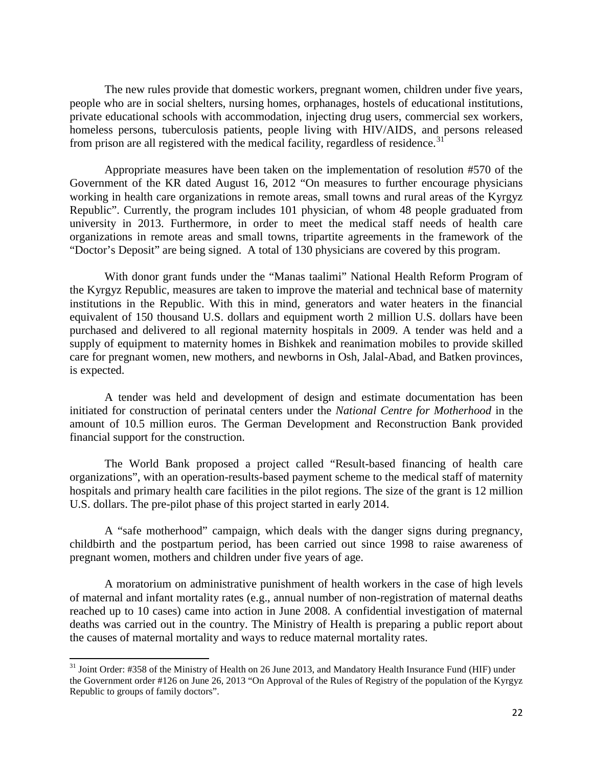The new rules provide that domestic workers, pregnant women, children under five years, people who are in social shelters, nursing homes, orphanages, hostels of educational institutions, private educational schools with accommodation, injecting drug users, commercial sex workers, homeless persons, tuberculosis patients, people living with HIV/AIDS, and persons released from prison are all registered with the medical facility, regardless of residence.<sup>[31](#page-21-0)</sup>

Appropriate measures have been taken on the implementation of resolution #570 of the Government of the KR dated August 16, 2012 "On measures to further encourage physicians working in health care organizations in remote areas, small towns and rural areas of the Kyrgyz Republic". Currently, the program includes 101 physician, of whom 48 people graduated from university in 2013. Furthermore, in order to meet the medical staff needs of health care organizations in remote areas and small towns, tripartite agreements in the framework of the "Doctor's Deposit" are being signed. A total of 130 physicians are covered by this program.

With donor grant funds under the "Manas taalimi" National Health Reform Program of the Kyrgyz Republic, measures are taken to improve the material and technical base of maternity institutions in the Republic. With this in mind, generators and water heaters in the financial equivalent of 150 thousand U.S. dollars and equipment worth 2 million U.S. dollars have been purchased and delivered to all regional maternity hospitals in 2009. A tender was held and a supply of equipment to maternity homes in Bishkek and reanimation mobiles to provide skilled care for pregnant women, new mothers, and newborns in Osh, Jalal-Abad, and Batken provinces, is expected.

A tender was held and development of design and estimate documentation has been initiated for construction of perinatal centers under the *National Centre for Motherhood* in the amount of 10.5 million euros. The German Development and Reconstruction Bank provided financial support for the construction.

The World Bank proposed a project called "Result-based financing of health care organizations", with an operation-results-based payment scheme to the medical staff of maternity hospitals and primary health care facilities in the pilot regions. The size of the grant is 12 million U.S. dollars. The pre-pilot phase of this project started in early 2014.

A "safe motherhood" campaign, which deals with the danger signs during pregnancy, childbirth and the postpartum period, has been carried out since 1998 to raise awareness of pregnant women, mothers and children under five years of age.

A moratorium on administrative punishment of health workers in the case of high levels of maternal and infant mortality rates (e.g., annual number of non-registration of maternal deaths reached up to 10 cases) came into action in June 2008. A confidential investigation of maternal deaths was carried out in the country. The Ministry of Health is preparing a public report about the causes of maternal mortality and ways to reduce maternal mortality rates.

 $\overline{\phantom{a}}$ 

<span id="page-21-0"></span><sup>&</sup>lt;sup>31</sup> Joint Order: #358 of the Ministry of Health on 26 June 2013, and Mandatory Health Insurance Fund (HIF) under the Government order #126 on June 26, 2013 "On Approval of the Rules of Registry of the population of the Kyrgyz Republic to groups of family doctors".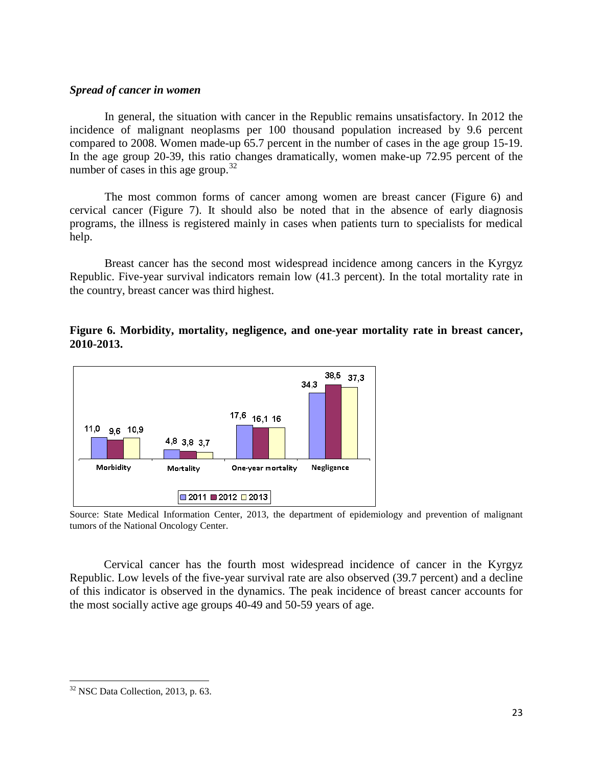#### *Spread of cancer in women*

In general, the situation with cancer in the Republic remains unsatisfactory. In 2012 the incidence of malignant neoplasms per 100 thousand population increased by 9.6 percent compared to 2008. Women made-up 65.7 percent in the number of cases in the age group 15-19. In the age group 20-39, this ratio changes dramatically, women make-up 72.95 percent of the number of cases in this age group. $32$ 

The most common forms of cancer among women are breast cancer (Figure 6) and cervical cancer (Figure 7). It should also be noted that in the absence of early diagnosis programs, the illness is registered mainly in cases when patients turn to specialists for medical help.

Breast cancer has the second most widespread incidence among cancers in the Kyrgyz Republic. Five-year survival indicators remain low (41.3 percent). In the total mortality rate in the country, breast cancer was third highest.

# **Figure 6. Morbidity, mortality, negligence, and one-year mortality rate in breast cancer, 2010-2013.**



Source: State Medical Information Center, 2013, the department of epidemiology and prevention of malignant tumors of the National Oncology Center.

Cervical cancer has the fourth most widespread incidence of cancer in the Kyrgyz Republic. Low levels of the five-year survival rate are also observed (39.7 percent) and a decline of this indicator is observed in the dynamics. The peak incidence of breast cancer accounts for the most socially active age groups 40-49 and 50-59 years of age.

<span id="page-22-0"></span><sup>&</sup>lt;sup>32</sup> NSC Data Collection, 2013, p. 63.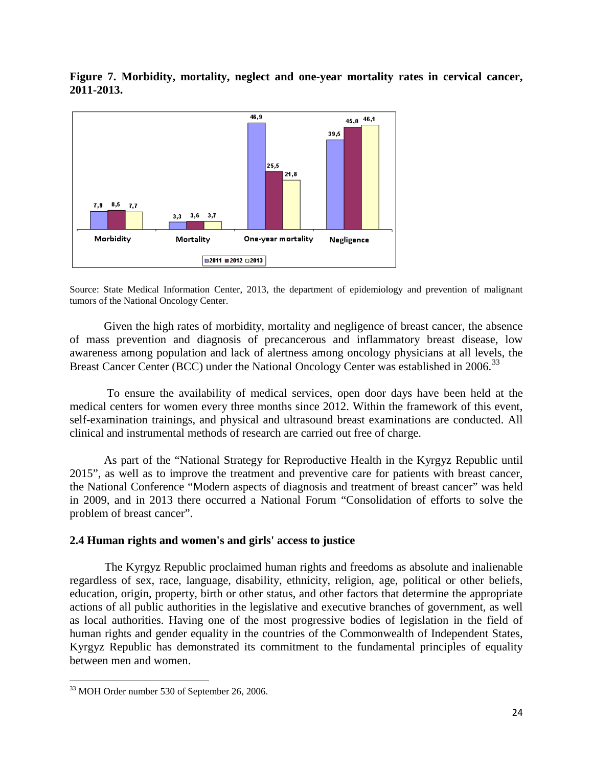**Figure 7. Morbidity, mortality, neglect and one-year mortality rates in cervical cancer, 2011-2013.**



Source: State Medical Information Center, 2013, the department of epidemiology and prevention of malignant tumors of the National Oncology Center.

Given the high rates of morbidity, mortality and negligence of breast cancer, the absence of mass prevention and diagnosis of precancerous and inflammatory breast disease, low awareness among population and lack of alertness among oncology physicians at all levels, the Breast Cancer Center (BCC) under the National Oncology Center was established in 2006.<sup>[33](#page-23-0)</sup>

To ensure the availability of medical services, open door days have been held at the medical centers for women every three months since 2012. Within the framework of this event, self-examination trainings, and physical and ultrasound breast examinations are conducted. All clinical and instrumental methods of research are carried out free of charge.

As part of the "National Strategy for Reproductive Health in the Kyrgyz Republic until 2015", as well as to improve the treatment and preventive care for patients with breast cancer, the National Conference "Modern aspects of diagnosis and treatment of breast cancer" was held in 2009, and in 2013 there occurred a National Forum "Consolidation of efforts to solve the problem of breast cancer".

# **2.4 Human rights and women's and girls' access to justice**

The Kyrgyz Republic proclaimed human rights and freedoms as absolute and inalienable regardless of sex, race, language, disability, ethnicity, religion, age, political or other beliefs, education, origin, property, birth or other status, and other factors that determine the appropriate actions of all public authorities in the legislative and executive branches of government, as well as local authorities. Having one of the most progressive bodies of legislation in the field of human rights and gender equality in the countries of the Commonwealth of Independent States, Kyrgyz Republic has demonstrated its commitment to the fundamental principles of equality between men and women.

<span id="page-23-0"></span><sup>33</sup> MOH Order number 530 of September 26, 2006.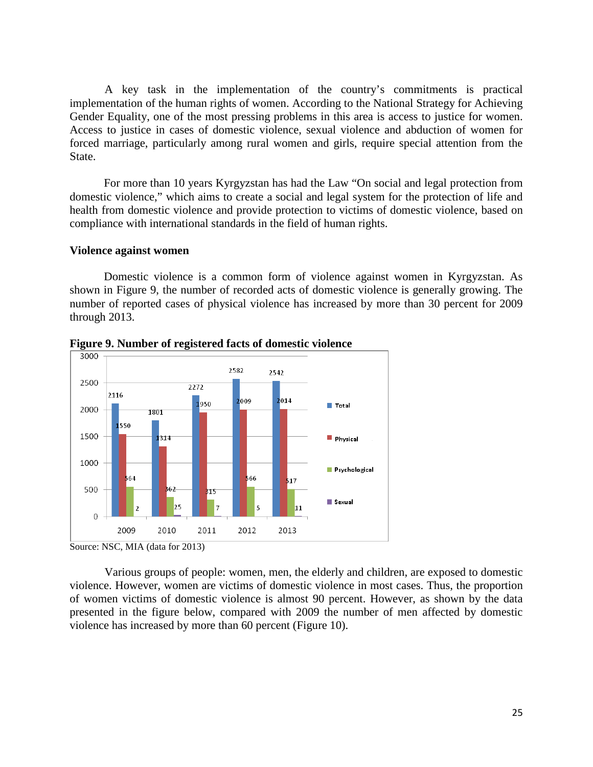A key task in the implementation of the country's commitments is practical implementation of the human rights of women. According to the National Strategy for Achieving Gender Equality, one of the most pressing problems in this area is access to justice for women. Access to justice in cases of domestic violence, sexual violence and abduction of women for forced marriage, particularly among rural women and girls, require special attention from the State.

For more than 10 years Kyrgyzstan has had the Law "On social and legal protection from domestic violence," which aims to create a social and legal system for the protection of life and health from domestic violence and provide protection to victims of domestic violence, based on compliance with international standards in the field of human rights.

#### **Violence against women**

Domestic violence is a common form of violence against women in Kyrgyzstan. As shown in Figure 9, the number of recorded acts of domestic violence is generally growing. The number of reported cases of physical violence has increased by more than 30 percent for 2009 through 2013.



**Figure 9. Number of registered facts of domestic violence**

Various groups of people: women, men, the elderly and children, are exposed to domestic violence. However, women are victims of domestic violence in most cases. Thus, the proportion of women victims of domestic violence is almost 90 percent. However, as shown by the data presented in the figure below, compared with 2009 the number of men affected by domestic violence has increased by more than 60 percent (Figure 10).

Source: NSC, MIA (data for 2013)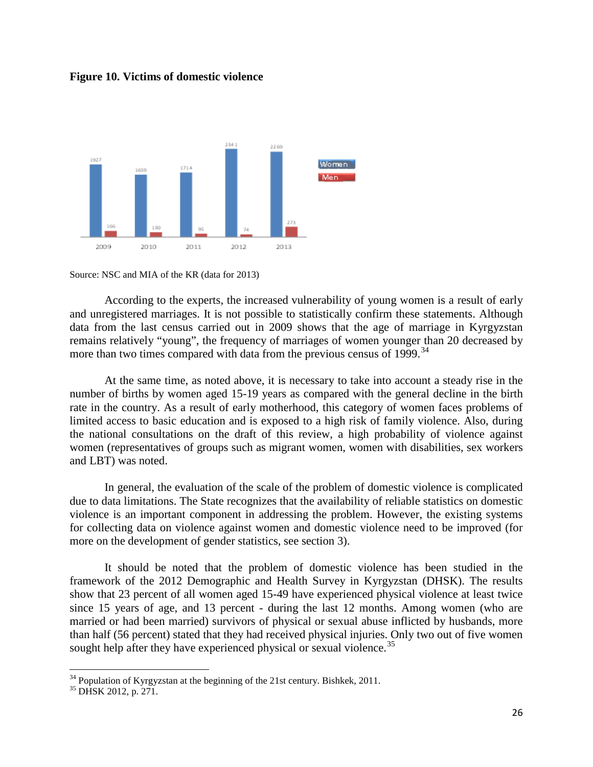#### **Figure 10. Victims of domestic violence**



Source: NSC and MIA of the KR (data for 2013)

According to the experts, the increased vulnerability of young women is a result of early and unregistered marriages. It is not possible to statistically confirm these statements. Although data from the last census carried out in 2009 shows that the age of marriage in Kyrgyzstan remains relatively "young", the frequency of marriages of women younger than 20 decreased by more than two times compared with data from the previous census of 1999.<sup>[34](#page-25-0)</sup>

At the same time, as noted above, it is necessary to take into account a steady rise in the number of births by women aged 15-19 years as compared with the general decline in the birth rate in the country. As a result of early motherhood, this category of women faces problems of limited access to basic education and is exposed to a high risk of family violence. Also, during the national consultations on the draft of this review, a high probability of violence against women (representatives of groups such as migrant women, women with disabilities, sex workers and LBT) was noted.

In general, the evaluation of the scale of the problem of domestic violence is complicated due to data limitations. The State recognizes that the availability of reliable statistics on domestic violence is an important component in addressing the problem. However, the existing systems for collecting data on violence against women and domestic violence need to be improved (for more on the development of gender statistics, see section 3).

It should be noted that the problem of domestic violence has been studied in the framework of the 2012 Demographic and Health Survey in Kyrgyzstan (DHSK). The results show that 23 percent of all women aged 15-49 have experienced physical violence at least twice since 15 years of age, and 13 percent - during the last 12 months. Among women (who are married or had been married) survivors of physical or sexual abuse inflicted by husbands, more than half (56 percent) stated that they had received physical injuries. Only two out of five women sought help after they have experienced physical or sexual violence.<sup>[35](#page-25-1)</sup>

<span id="page-25-0"></span><sup>&</sup>lt;sup>34</sup> Population of Kyrgyzstan at the beginning of the 21st century. Bishkek, 2011.<br><sup>35</sup> DHSK 2012, p. 271.

<span id="page-25-1"></span>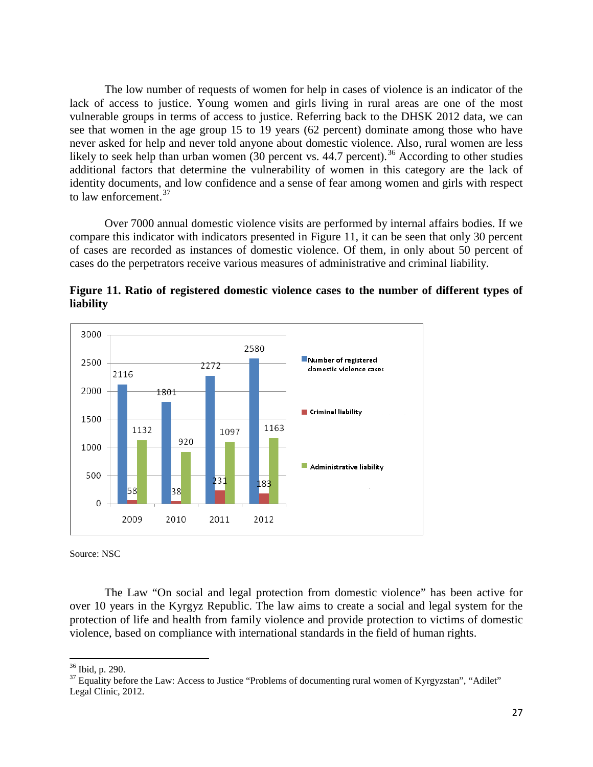The low number of requests of women for help in cases of violence is an indicator of the lack of access to justice. Young women and girls living in rural areas are one of the most vulnerable groups in terms of access to justice. Referring back to the DHSK 2012 data, we can see that women in the age group 15 to 19 years (62 percent) dominate among those who have never asked for help and never told anyone about domestic violence. Also, rural women are less likely to seek help than urban women  $(30 \text{ percent vs. } 44.7 \text{ percent})$ .<sup>[36](#page-26-0)</sup> According to other studies additional factors that determine the vulnerability of women in this category are the lack of identity documents, and low confidence and a sense of fear among women and girls with respect to law enforcement.<sup>[37](#page-26-1)</sup>

Over 7000 annual domestic violence visits are performed by internal affairs bodies. If we compare this indicator with indicators presented in Figure 11, it can be seen that only 30 percent of cases are recorded as instances of domestic violence. Of them, in only about 50 percent of cases do the perpetrators receive various measures of administrative and criminal liability.



**Figure 11. Ratio of registered domestic violence cases to the number of different types of liability**

Source: NSC

The Law "On social and legal protection from domestic violence" has been active for over 10 years in the Kyrgyz Republic. The law aims to create a social and legal system for the protection of life and health from family violence and provide protection to victims of domestic violence, based on compliance with international standards in the field of human rights.

<span id="page-26-0"></span><sup>&</sup>lt;sup>36</sup> Ibid, p. 290.

<span id="page-26-1"></span> $37$  Equality before the Law: Access to Justice "Problems of documenting rural women of Kyrgyzstan", "Adilet" Legal Clinic, 2012.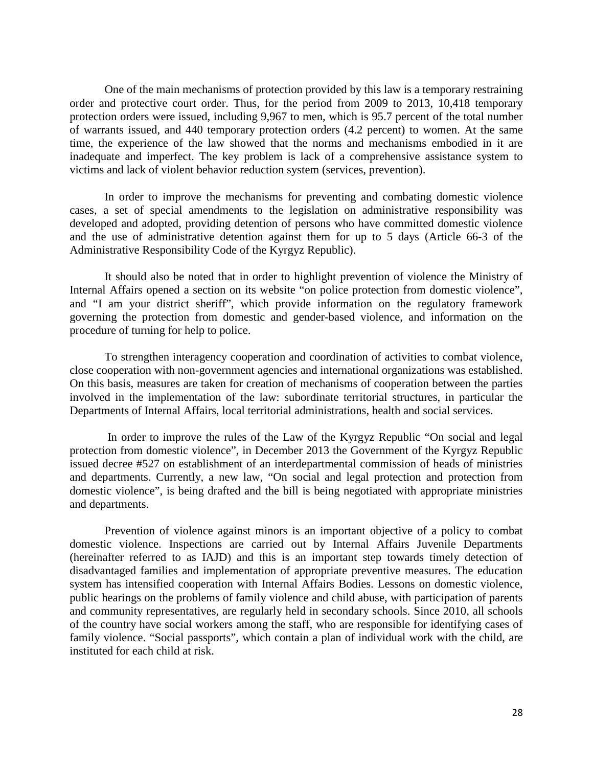One of the main mechanisms of protection provided by this law is a temporary restraining order and protective court order. Thus, for the period from 2009 to 2013, 10,418 temporary protection orders were issued, including 9,967 to men, which is 95.7 percent of the total number of warrants issued, and 440 temporary protection orders (4.2 percent) to women. At the same time, the experience of the law showed that the norms and mechanisms embodied in it are inadequate and imperfect. The key problem is lack of a comprehensive assistance system to victims and lack of violent behavior reduction system (services, prevention).

In order to improve the mechanisms for preventing and combating domestic violence cases, a set of special amendments to the legislation on administrative responsibility was developed and adopted, providing detention of persons who have committed domestic violence and the use of administrative detention against them for up to 5 days (Article 66-3 of the Administrative Responsibility Code of the Kyrgyz Republic).

It should also be noted that in order to highlight prevention of violence the Ministry of Internal Affairs opened a section on its website "on police protection from domestic violence", and "I am your district sheriff", which provide information on the regulatory framework governing the protection from domestic and gender-based violence, and information on the procedure of turning for help to police.

To strengthen interagency cooperation and coordination of activities to combat violence, close cooperation with non-government agencies and international organizations was established. On this basis, measures are taken for creation of mechanisms of cooperation between the parties involved in the implementation of the law: subordinate territorial structures, in particular the Departments of Internal Affairs, local territorial administrations, health and social services.

In order to improve the rules of the Law of the Kyrgyz Republic "On social and legal protection from domestic violence", in December 2013 the Government of the Kyrgyz Republic issued decree #527 on establishment of an interdepartmental commission of heads of ministries and departments. Currently, a new law, "On social and legal protection and protection from domestic violence", is being drafted and the bill is being negotiated with appropriate ministries and departments.

Prevention of violence against minors is an important objective of a policy to combat domestic violence. Inspections are carried out by Internal Affairs Juvenile Departments (hereinafter referred to as IAJD) and this is an important step towards timely detection of disadvantaged families and implementation of appropriate preventive measures. The education system has intensified cooperation with Internal Affairs Bodies. Lessons on domestic violence, public hearings on the problems of family violence and child abuse, with participation of parents and community representatives, are regularly held in secondary schools. Since 2010, all schools of the country have social workers among the staff, who are responsible for identifying cases of family violence. "Social passports", which contain a plan of individual work with the child, are instituted for each child at risk.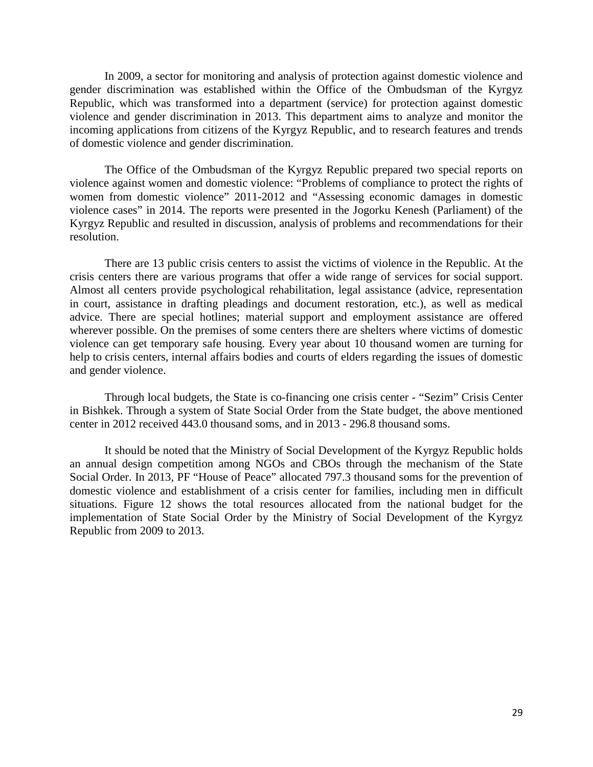In 2009, a sector for monitoring and analysis of protection against domestic violence and gender discrimination was established within the Office of the Ombudsman of the Kyrgyz Republic, which was transformed into a department (service) for protection against domestic violence and gender discrimination in 2013. This department aims to analyze and monitor the incoming applications from citizens of the Kyrgyz Republic, and to research features and trends of domestic violence and gender discrimination.

The Office of the Ombudsman of the Kyrgyz Republic prepared two special reports on violence against women and domestic violence: "Problems of compliance to protect the rights of women from domestic violence" 2011-2012 and "Assessing economic damages in domestic violence cases" in 2014. The reports were presented in the Jogorku Kenesh (Parliament) of the Kyrgyz Republic and resulted in discussion, analysis of problems and recommendations for their resolution.

There are 13 public crisis centers to assist the victims of violence in the Republic. At the crisis centers there are various programs that offer a wide range of services for social support. Almost all centers provide psychological rehabilitation, legal assistance (advice, representation in court, assistance in drafting pleadings and document restoration, etc.), as well as medical advice. There are special hotlines; material support and employment assistance are offered wherever possible. On the premises of some centers there are shelters where victims of domestic violence can get temporary safe housing. Every year about 10 thousand women are turning for help to crisis centers, internal affairs bodies and courts of elders regarding the issues of domestic and gender violence.

Through local budgets, the State is co-financing one crisis center - "Sezim" Crisis Center in Bishkek. Through a system of State Social Order from the State budget, the above mentioned center in 2012 received 443.0 thousand soms, and in 2013 - 296.8 thousand soms.

It should be noted that the Ministry of Social Development of the Kyrgyz Republic holds an annual design competition among NGOs and CBOs through the mechanism of the State Social Order. In 2013, PF "House of Peace" allocated 797.3 thousand soms for the prevention of domestic violence and establishment of a crisis center for families, including men in difficult situations. Figure 12 shows the total resources allocated from the national budget for the implementation of State Social Order by the Ministry of Social Development of the Kyrgyz Republic from 2009 to 2013.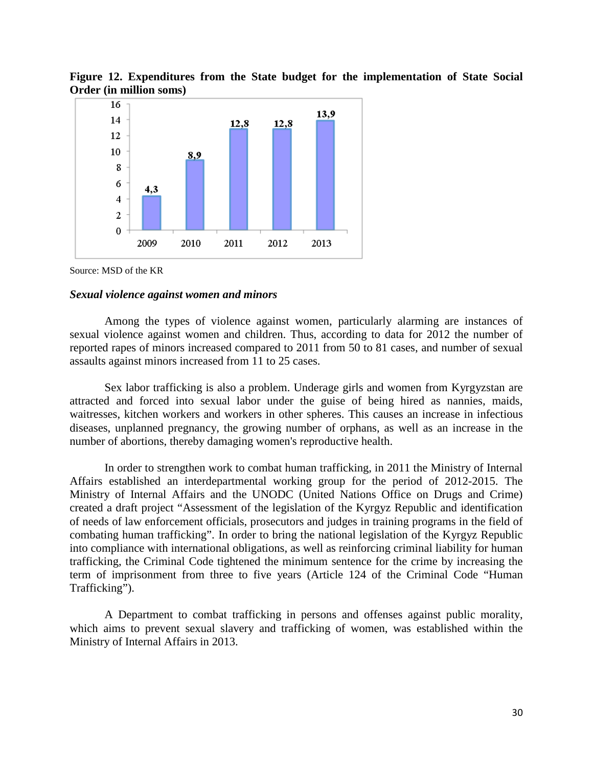

**Figure 12. Expenditures from the State budget for the implementation of State Social Order (in million soms)**

Source: MSD of the KR

#### *Sexual violence against women and minors*

Among the types of violence against women, particularly alarming are instances of sexual violence against women and children. Thus, according to data for 2012 the number of reported rapes of minors increased compared to 2011 from 50 to 81 cases, and number of sexual assaults against minors increased from 11 to 25 cases.

Sex labor trafficking is also a problem. Underage girls and women from Kyrgyzstan are attracted and forced into sexual labor under the guise of being hired as nannies, maids, waitresses, kitchen workers and workers in other spheres. This causes an increase in infectious diseases, unplanned pregnancy, the growing number of orphans, as well as an increase in the number of abortions, thereby damaging women's reproductive health.

In order to strengthen work to combat human trafficking, in 2011 the Ministry of Internal Affairs established an interdepartmental working group for the period of 2012-2015. The Ministry of Internal Affairs and the UNODC (United Nations Office on Drugs and Crime) created a draft project "Assessment of the legislation of the Kyrgyz Republic and identification of needs of law enforcement officials, prosecutors and judges in training programs in the field of combating human trafficking". In order to bring the national legislation of the Kyrgyz Republic into compliance with international obligations, as well as reinforcing criminal liability for human trafficking, the Criminal Code tightened the minimum sentence for the crime by increasing the term of imprisonment from three to five years (Article 124 of the Criminal Code "Human Trafficking").

A Department to combat trafficking in persons and offenses against public morality, which aims to prevent sexual slavery and trafficking of women, was established within the Ministry of Internal Affairs in 2013.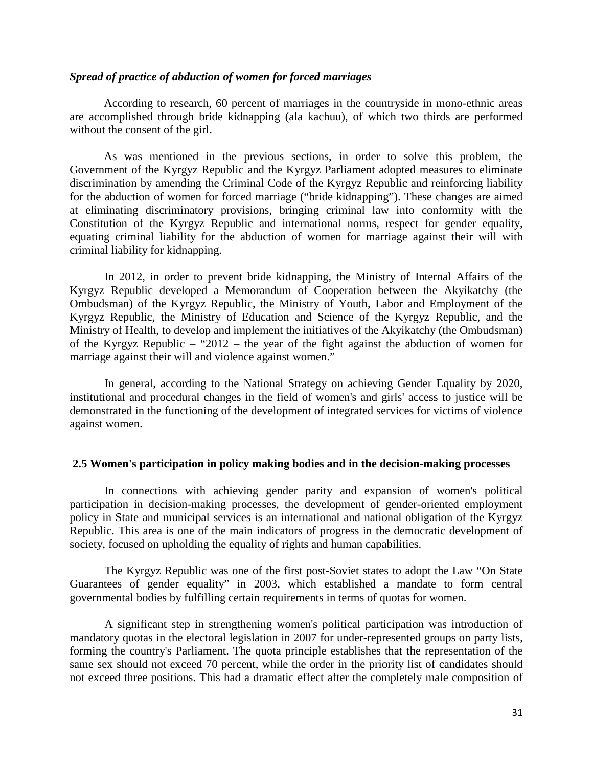#### *Spread of practice of abduction of women for forced marriages*

According to research, 60 percent of marriages in the countryside in mono-ethnic areas are accomplished through bride kidnapping (ala kachuu), of which two thirds are performed without the consent of the girl.

As was mentioned in the previous sections, in order to solve this problem, the Government of the Kyrgyz Republic and the Kyrgyz Parliament adopted measures to eliminate discrimination by amending the Criminal Code of the Kyrgyz Republic and reinforcing liability for the abduction of women for forced marriage ("bride kidnapping"). These changes are aimed at eliminating discriminatory provisions, bringing criminal law into conformity with the Constitution of the Kyrgyz Republic and international norms, respect for gender equality, equating criminal liability for the abduction of women for marriage against their will with criminal liability for kidnapping.

In 2012, in order to prevent bride kidnapping, the Ministry of Internal Affairs of the Kyrgyz Republic developed a Memorandum of Cooperation between the Akyikatchy (the Ombudsman) of the Kyrgyz Republic, the Ministry of Youth, Labor and Employment of the Kyrgyz Republic, the Ministry of Education and Science of the Kyrgyz Republic, and the Ministry of Health, to develop and implement the initiatives of the Akyikatchy (the Ombudsman) of the Kyrgyz Republic – "2012 – the year of the fight against the abduction of women for marriage against their will and violence against women."

In general, according to the National Strategy on achieving Gender Equality by 2020, institutional and procedural changes in the field of women's and girls' access to justice will be demonstrated in the functioning of the development of integrated services for victims of violence against women.

### **2.5 Women's participation in policy making bodies and in the decision-making processes**

In connections with achieving gender parity and expansion of women's political participation in decision-making processes, the development of gender-oriented employment policy in State and municipal services is an international and national obligation of the Kyrgyz Republic. This area is one of the main indicators of progress in the democratic development of society, focused on upholding the equality of rights and human capabilities.

The Kyrgyz Republic was one of the first post-Soviet states to adopt the Law "On State Guarantees of gender equality" in 2003, which established a mandate to form central governmental bodies by fulfilling certain requirements in terms of quotas for women.

A significant step in strengthening women's political participation was introduction of mandatory quotas in the electoral legislation in 2007 for under-represented groups on party lists, forming the country's Parliament. The quota principle establishes that the representation of the same sex should not exceed 70 percent, while the order in the priority list of candidates should not exceed three positions. This had a dramatic effect after the completely male composition of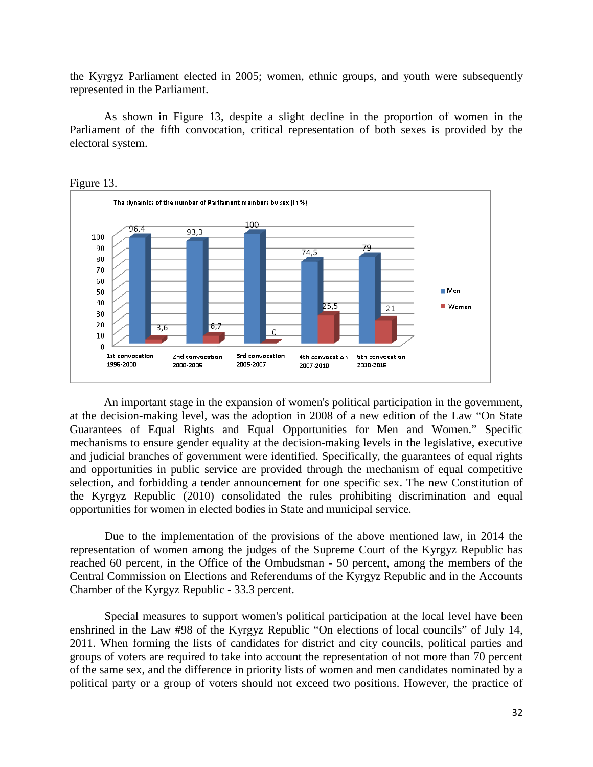the Kyrgyz Parliament elected in 2005; women, ethnic groups, and youth were subsequently represented in the Parliament.

As shown in Figure 13, despite a slight decline in the proportion of women in the Parliament of the fifth convocation, critical representation of both sexes is provided by the electoral system.



An important stage in the expansion of women's political participation in the government, at the decision-making level, was the adoption in 2008 of a new edition of the Law "On State Guarantees of Equal Rights and Equal Opportunities for Men and Women." Specific mechanisms to ensure gender equality at the decision-making levels in the legislative, executive and judicial branches of government were identified. Specifically, the guarantees of equal rights and opportunities in public service are provided through the mechanism of equal competitive selection, and forbidding a tender announcement for one specific sex. The new Constitution of the Kyrgyz Republic (2010) consolidated the rules prohibiting discrimination and equal opportunities for women in elected bodies in State and municipal service.

Due to the implementation of the provisions of the above mentioned law, in 2014 the representation of women among the judges of the Supreme Court of the Kyrgyz Republic has reached 60 percent, in the Office of the Ombudsman - 50 percent, among the members of the Central Commission on Elections and Referendums of the Kyrgyz Republic and in the Accounts Chamber of the Kyrgyz Republic - 33.3 percent.

Special measures to support women's political participation at the local level have been enshrined in the Law #98 of the Kyrgyz Republic "On elections of local councils" of July 14, 2011. When forming the lists of candidates for district and city councils, political parties and groups of voters are required to take into account the representation of not more than 70 percent of the same sex, and the difference in priority lists of women and men candidates nominated by a political party or a group of voters should not exceed two positions. However, the practice of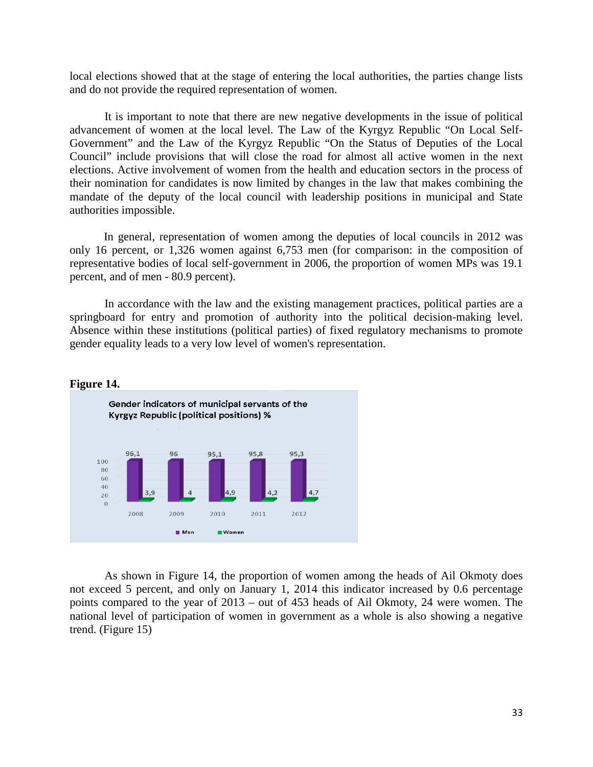local elections showed that at the stage of entering the local authorities, the parties change lists and do not provide the required representation of women.

It is important to note that there are new negative developments in the issue of political advancement of women at the local level. The Law of the Kyrgyz Republic "On Local Self-Government" and the Law of the Kyrgyz Republic "On the Status of Deputies of the Local Council" include provisions that will close the road for almost all active women in the next elections. Active involvement of women from the health and education sectors in the process of their nomination for candidates is now limited by changes in the law that makes combining the mandate of the deputy of the local council with leadership positions in municipal and State authorities impossible.

In general, representation of women among the deputies of local councils in 2012 was only 16 percent, or 1,326 women against 6,753 men (for comparison: in the composition of representative bodies of local self-government in 2006, the proportion of women MPs was 19.1 percent, and of men - 80.9 percent).

In accordance with the law and the existing management practices, political parties are a springboard for entry and promotion of authority into the political decision-making level. Absence within these institutions (political parties) of fixed regulatory mechanisms to promote gender equality leads to a very low level of women's representation.



#### **Figure 14.**

As shown in Figure 14, the proportion of women among the heads of Ail Okmoty does not exceed 5 percent, and only on January 1, 2014 this indicator increased by 0.6 percentage points compared to the year of 2013 – out of 453 heads of Ail Okmoty, 24 were women. The national level of participation of women in government as a whole is also showing a negative trend. (Figure 15)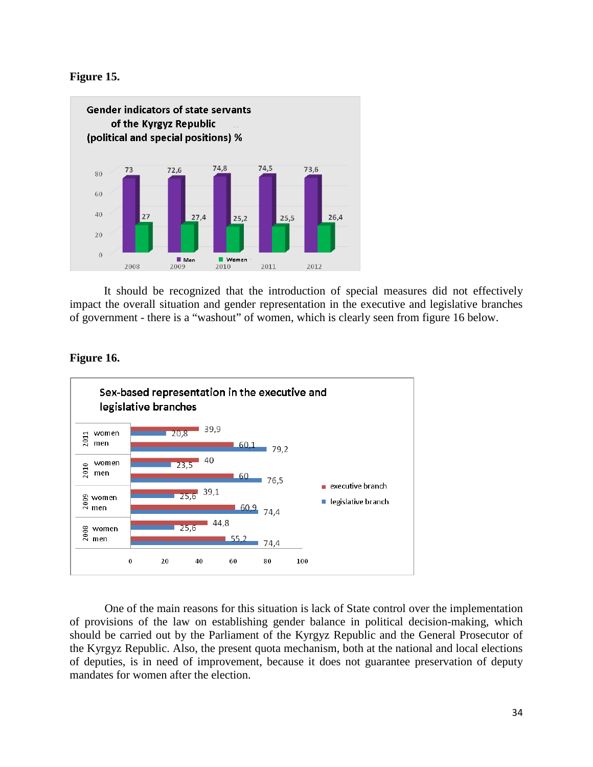



It should be recognized that the introduction of special measures did not effectively impact the overall situation and gender representation in the executive and legislative branches of government - there is a "washout" of women, which is clearly seen from figure 16 below.



#### **Figure 16.**

One of the main reasons for this situation is lack of State control over the implementation of provisions of the law on establishing gender balance in political decision-making, which should be carried out by the Parliament of the Kyrgyz Republic and the General Prosecutor of the Kyrgyz Republic. Also, the present quota mechanism, both at the national and local elections of deputies, is in need of improvement, because it does not guarantee preservation of deputy mandates for women after the election.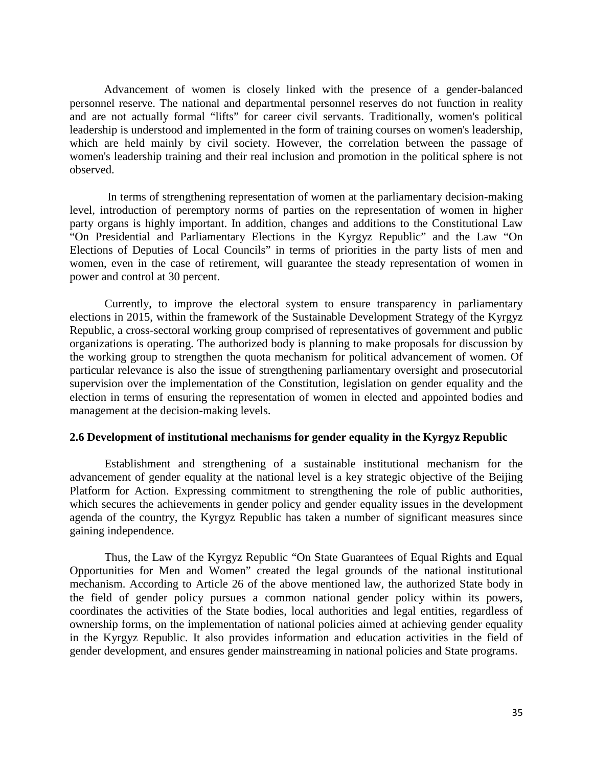Advancement of women is closely linked with the presence of a gender-balanced personnel reserve. The national and departmental personnel reserves do not function in reality and are not actually formal "lifts" for career civil servants. Traditionally, women's political leadership is understood and implemented in the form of training courses on women's leadership, which are held mainly by civil society. However, the correlation between the passage of women's leadership training and their real inclusion and promotion in the political sphere is not observed.

In terms of strengthening representation of women at the parliamentary decision-making level, introduction of peremptory norms of parties on the representation of women in higher party organs is highly important. In addition, changes and additions to the Constitutional Law "On Presidential and Parliamentary Elections in the Kyrgyz Republic" and the Law "On Elections of Deputies of Local Councils" in terms of priorities in the party lists of men and women, even in the case of retirement, will guarantee the steady representation of women in power and control at 30 percent.

Currently, to improve the electoral system to ensure transparency in parliamentary elections in 2015, within the framework of the Sustainable Development Strategy of the Kyrgyz Republic, a cross-sectoral working group comprised of representatives of government and public organizations is operating. The authorized body is planning to make proposals for discussion by the working group to strengthen the quota mechanism for political advancement of women. Of particular relevance is also the issue of strengthening parliamentary oversight and prosecutorial supervision over the implementation of the Constitution, legislation on gender equality and the election in terms of ensuring the representation of women in elected and appointed bodies and management at the decision-making levels.

#### **2.6 Development of institutional mechanisms for gender equality in the Kyrgyz Republic**

Establishment and strengthening of a sustainable institutional mechanism for the advancement of gender equality at the national level is a key strategic objective of the Beijing Platform for Action. Expressing commitment to strengthening the role of public authorities, which secures the achievements in gender policy and gender equality issues in the development agenda of the country, the Kyrgyz Republic has taken a number of significant measures since gaining independence.

Thus, the Law of the Kyrgyz Republic "On State Guarantees of Equal Rights and Equal Opportunities for Men and Women" created the legal grounds of the national institutional mechanism. According to Article 26 of the above mentioned law, the authorized State body in the field of gender policy pursues a common national gender policy within its powers, coordinates the activities of the State bodies, local authorities and legal entities, regardless of ownership forms, on the implementation of national policies aimed at achieving gender equality in the Kyrgyz Republic. It also provides information and education activities in the field of gender development, and ensures gender mainstreaming in national policies and State programs.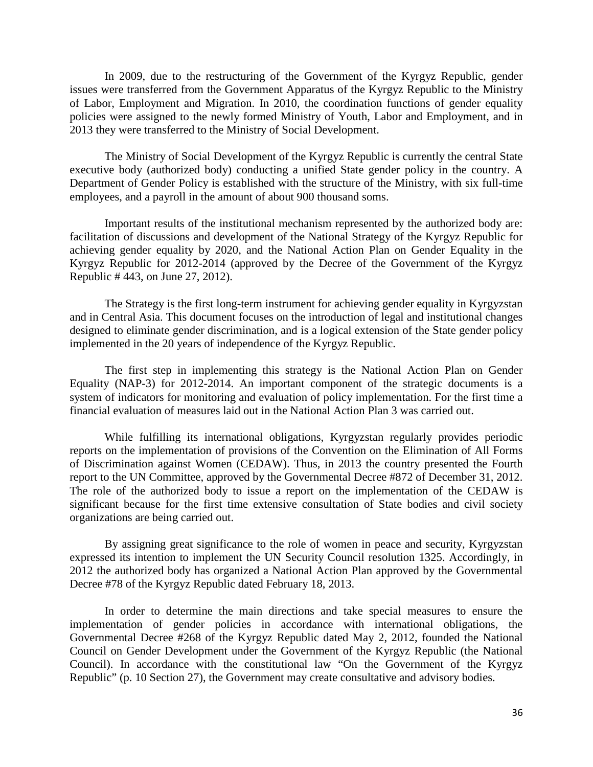In 2009, due to the restructuring of the Government of the Kyrgyz Republic, gender issues were transferred from the Government Apparatus of the Kyrgyz Republic to the Ministry of Labor, Employment and Migration. In 2010, the coordination functions of gender equality policies were assigned to the newly formed Ministry of Youth, Labor and Employment, and in 2013 they were transferred to the Ministry of Social Development.

The Ministry of Social Development of the Kyrgyz Republic is currently the central State executive body (authorized body) conducting a unified State gender policy in the country. A Department of Gender Policy is established with the structure of the Ministry, with six full-time employees, and a payroll in the amount of about 900 thousand soms.

Important results of the institutional mechanism represented by the authorized body are: facilitation of discussions and development of the National Strategy of the Kyrgyz Republic for achieving gender equality by 2020, and the National Action Plan on Gender Equality in the Kyrgyz Republic for 2012-2014 (approved by the Decree of the Government of the Kyrgyz Republic # 443, on June 27, 2012).

The Strategy is the first long-term instrument for achieving gender equality in Kyrgyzstan and in Central Asia. This document focuses on the introduction of legal and institutional changes designed to eliminate gender discrimination, and is a logical extension of the State gender policy implemented in the 20 years of independence of the Kyrgyz Republic.

The first step in implementing this strategy is the National Action Plan on Gender Equality (NAP-3) for 2012-2014. An important component of the strategic documents is a system of indicators for monitoring and evaluation of policy implementation. For the first time a financial evaluation of measures laid out in the National Action Plan 3 was carried out.

While fulfilling its international obligations, Kyrgyzstan regularly provides periodic reports on the implementation of provisions of the Convention on the Elimination of All Forms of Discrimination against Women (CEDAW). Thus, in 2013 the country presented the Fourth report to the UN Committee, approved by the Governmental Decree #872 of December 31, 2012. The role of the authorized body to issue a report on the implementation of the CEDAW is significant because for the first time extensive consultation of State bodies and civil society organizations are being carried out.

By assigning great significance to the role of women in peace and security, Kyrgyzstan expressed its intention to implement the UN Security Council resolution 1325. Accordingly, in 2012 the authorized body has organized a National Action Plan approved by the Governmental Decree #78 of the Kyrgyz Republic dated February 18, 2013.

In order to determine the main directions and take special measures to ensure the implementation of gender policies in accordance with international obligations, the Governmental Decree #268 of the Kyrgyz Republic dated May 2, 2012, founded the National Council on Gender Development under the Government of the Kyrgyz Republic (the National Council). In accordance with the constitutional law "On the Government of the Kyrgyz Republic" (p. 10 Section 27), the Government may create consultative and advisory bodies.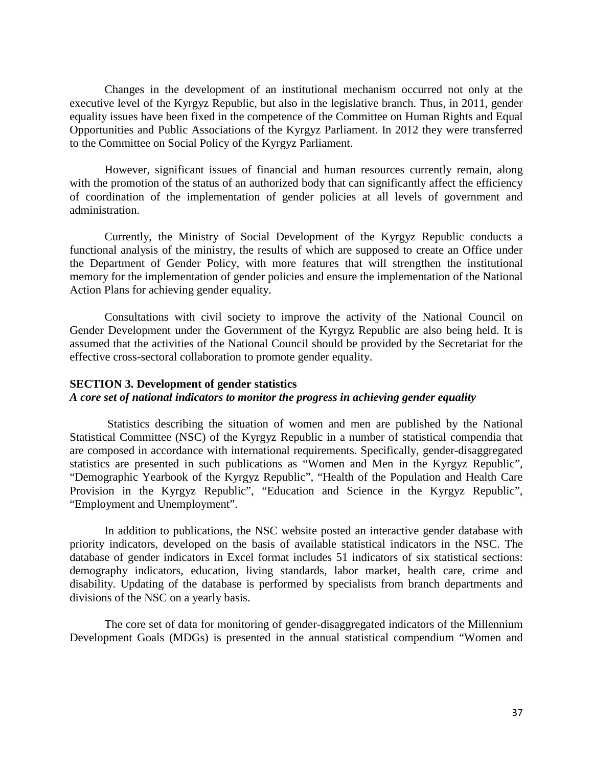Changes in the development of an institutional mechanism occurred not only at the executive level of the Kyrgyz Republic, but also in the legislative branch. Thus, in 2011, gender equality issues have been fixed in the competence of the Committee on Human Rights and Equal Opportunities and Public Associations of the Kyrgyz Parliament. In 2012 they were transferred to the Committee on Social Policy of the Kyrgyz Parliament.

However, significant issues of financial and human resources currently remain, along with the promotion of the status of an authorized body that can significantly affect the efficiency of coordination of the implementation of gender policies at all levels of government and administration.

Currently, the Ministry of Social Development of the Kyrgyz Republic conducts a functional analysis of the ministry, the results of which are supposed to create an Office under the Department of Gender Policy, with more features that will strengthen the institutional memory for the implementation of gender policies and ensure the implementation of the National Action Plans for achieving gender equality.

Consultations with civil society to improve the activity of the National Council on Gender Development under the Government of the Kyrgyz Republic are also being held. It is assumed that the activities of the National Council should be provided by the Secretariat for the effective cross-sectoral collaboration to promote gender equality.

# **SECTION 3. Development of gender statistics** *A core set of national indicators to monitor the progress in achieving gender equality*

Statistics describing the situation of women and men are published by the National Statistical Committee (NSC) of the Kyrgyz Republic in a number of statistical compendia that are composed in accordance with international requirements. Specifically, gender-disaggregated statistics are presented in such publications as "Women and Men in the Kyrgyz Republic", "Demographic Yearbook of the Kyrgyz Republic", "Health of the Population and Health Care Provision in the Kyrgyz Republic", "Education and Science in the Kyrgyz Republic", "Employment and Unemployment".

In addition to publications, the NSC website posted an interactive gender database with priority indicators, developed on the basis of available statistical indicators in the NSC. The database of gender indicators in Excel format includes 51 indicators of six statistical sections: demography indicators, education, living standards, labor market, health care, crime and disability. Updating of the database is performed by specialists from branch departments and divisions of the NSC on a yearly basis.

The core set of data for monitoring of gender-disaggregated indicators of the Millennium Development Goals (MDGs) is presented in the annual statistical compendium "Women and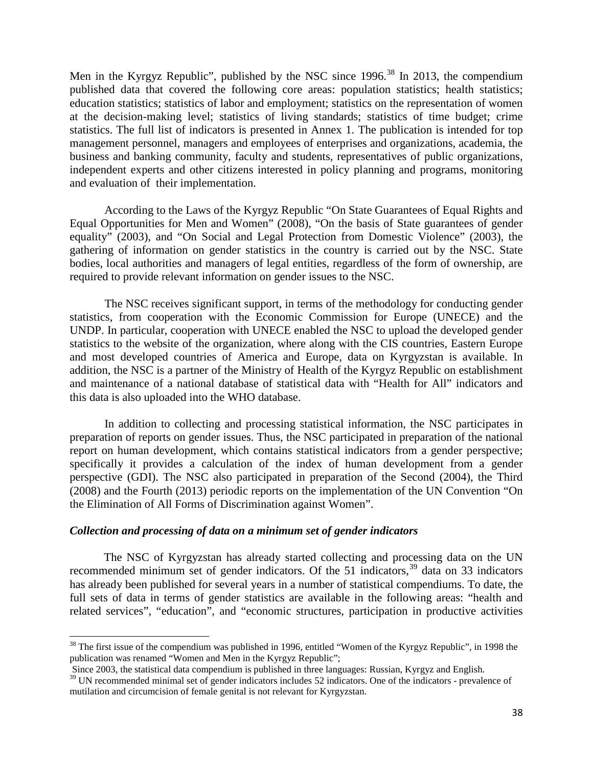Men in the Kyrgyz Republic", published by the NSC since 1996.<sup>[38](#page-37-0)</sup> In 2013, the compendium published data that covered the following core areas: population statistics; health statistics; education statistics; statistics of labor and employment; statistics on the representation of women at the decision-making level; statistics of living standards; statistics of time budget; crime statistics. The full list of indicators is presented in Annex 1. The publication is intended for top management personnel, managers and employees of enterprises and organizations, academia, the business and banking community, faculty and students, representatives of public organizations, independent experts and other citizens interested in policy planning and programs, monitoring and evaluation of their implementation.

According to the Laws of the Kyrgyz Republic "On State Guarantees of Equal Rights and Equal Opportunities for Men and Women" (2008), "On the basis of State guarantees of gender equality" (2003), and "On Social and Legal Protection from Domestic Violence" (2003), the gathering of information on gender statistics in the country is carried out by the NSC. State bodies, local authorities and managers of legal entities, regardless of the form of ownership, are required to provide relevant information on gender issues to the NSC.

The NSC receives significant support, in terms of the methodology for conducting gender statistics, from cooperation with the Economic Commission for Europe (UNECE) and the UNDP. In particular, cooperation with UNECE enabled the NSC to upload the developed gender statistics to the website of the organization, where along with the CIS countries, Eastern Europe and most developed countries of America and Europe, data on Kyrgyzstan is available. In addition, the NSC is a partner of the Ministry of Health of the Kyrgyz Republic on establishment and maintenance of a national database of statistical data with "Health for All" indicators and this data is also uploaded into the WHO database.

In addition to collecting and processing statistical information, the NSC participates in preparation of reports on gender issues. Thus, the NSC participated in preparation of the national report on human development, which contains statistical indicators from a gender perspective; specifically it provides a calculation of the index of human development from a gender perspective (GDI). The NSC also participated in preparation of the Second (2004), the Third (2008) and the Fourth (2013) periodic reports on the implementation of the UN Convention "On the Elimination of All Forms of Discrimination against Women".

#### *Collection and processing of data on a minimum set of gender indicators*

The NSC of Kyrgyzstan has already started collecting and processing data on the UN recommended minimum set of gender indicators. Of the 51 indicators,<sup>[39](#page-37-1)</sup> data on 33 indicators has already been published for several years in a number of statistical compendiums. To date, the full sets of data in terms of gender statistics are available in the following areas: "health and related services", "education", and "economic structures, participation in productive activities

<span id="page-37-0"></span> $38$  The first issue of the compendium was published in 1996, entitled "Women of the Kyrgyz Republic", in 1998 the publication was renamed "Women and Men in the Kyrgyz Republic";  $\overline{\phantom{a}}$ 

<span id="page-37-1"></span>Since 2003, the statistical data compendium is published in three languages: Russian, Kyrgyz and English.  $39$  UN recommended minimal set of gender indicators includes 52 indicators. One of the indicators - prevalence of mutilation and circumcision of female genital is not relevant for Kyrgyzstan.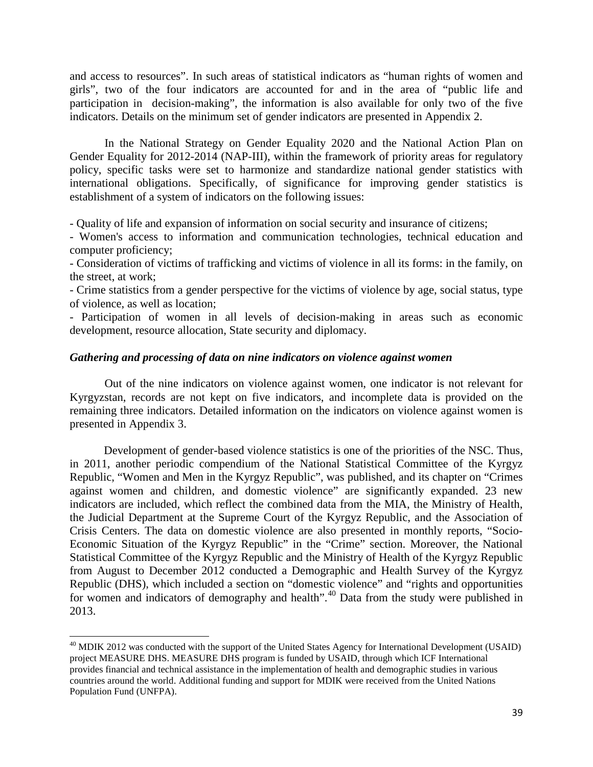and access to resources". In such areas of statistical indicators as "human rights of women and girls", two of the four indicators are accounted for and in the area of "public life and participation in decision-making", the information is also available for only two of the five indicators. Details on the minimum set of gender indicators are presented in Appendix 2.

In the National Strategy on Gender Equality 2020 and the National Action Plan on Gender Equality for 2012-2014 (NAP-III), within the framework of priority areas for regulatory policy, specific tasks were set to harmonize and standardize national gender statistics with international obligations. Specifically, of significance for improving gender statistics is establishment of a system of indicators on the following issues:

- Quality of life and expansion of information on social security and insurance of citizens;

- Women's access to information and communication technologies, technical education and computer proficiency;

- Consideration of victims of trafficking and victims of violence in all its forms: in the family, on the street, at work;

- Crime statistics from a gender perspective for the victims of violence by age, social status, type of violence, as well as location;

- Participation of women in all levels of decision-making in areas such as economic development, resource allocation, State security and diplomacy.

#### *Gathering and processing of data on nine indicators on violence against women*

Out of the nine indicators on violence against women, one indicator is not relevant for Kyrgyzstan, records are not kept on five indicators, and incomplete data is provided on the remaining three indicators. Detailed information on the indicators on violence against women is presented in Appendix 3.

Development of gender-based violence statistics is one of the priorities of the NSC. Thus, in 2011, another periodic compendium of the National Statistical Committee of the Kyrgyz Republic, "Women and Men in the Kyrgyz Republic", was published, and its chapter on "Crimes against women and children, and domestic violence" are significantly expanded. 23 new indicators are included, which reflect the combined data from the MIA, the Ministry of Health, the Judicial Department at the Supreme Court of the Kyrgyz Republic, and the Association of Crisis Centers. The data on domestic violence are also presented in monthly reports, "Socio-Economic Situation of the Kyrgyz Republic" in the "Crime" section. Moreover, the National Statistical Committee of the Kyrgyz Republic and the Ministry of Health of the Kyrgyz Republic from August to December 2012 conducted a Demographic and Health Survey of the Kyrgyz Republic (DHS), which included a section on "domestic violence" and "rights and opportunities for women and indicators of demography and health".<sup>[40](#page-38-0)</sup> Data from the study were published in 2013.

 $\overline{\phantom{a}}$ 

<span id="page-38-0"></span><sup>&</sup>lt;sup>40</sup> MDIK 2012 was conducted with the support of the United States Agency for International Development (USAID) project MEASURE DHS. MEASURE DHS program is funded by USAID, through which ICF International provides financial and technical assistance in the implementation of health and demographic studies in various countries around the world. Additional funding and support for MDIK were received from the United Nations Population Fund (UNFPA).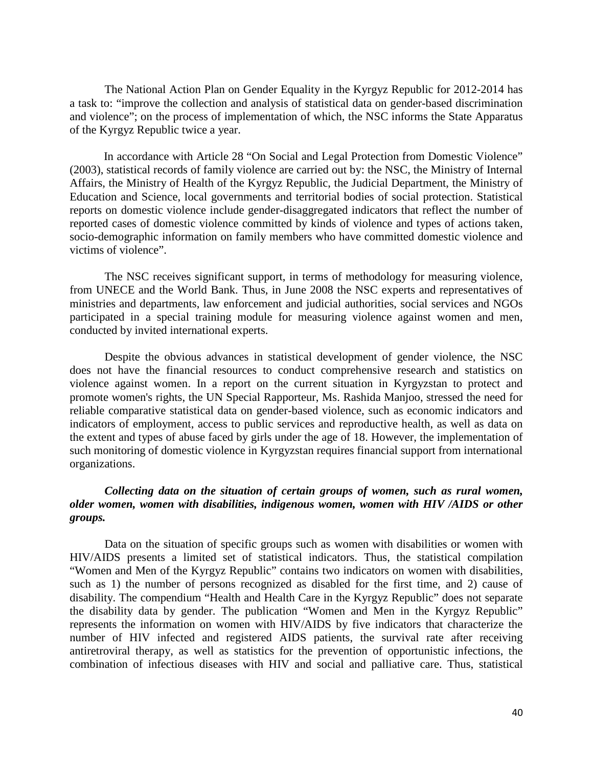The National Action Plan on Gender Equality in the Kyrgyz Republic for 2012-2014 has a task to: "improve the collection and analysis of statistical data on gender-based discrimination and violence"; on the process of implementation of which, the NSC informs the State Apparatus of the Kyrgyz Republic twice a year.

In accordance with Article 28 "On Social and Legal Protection from Domestic Violence" (2003), statistical records of family violence are carried out by: the NSC, the Ministry of Internal Affairs, the Ministry of Health of the Kyrgyz Republic, the Judicial Department, the Ministry of Education and Science, local governments and territorial bodies of social protection. Statistical reports on domestic violence include gender-disaggregated indicators that reflect the number of reported cases of domestic violence committed by kinds of violence and types of actions taken, socio-demographic information on family members who have committed domestic violence and victims of violence".

The NSC receives significant support, in terms of methodology for measuring violence, from UNECE and the World Bank. Thus, in June 2008 the NSC experts and representatives of ministries and departments, law enforcement and judicial authorities, social services and NGOs participated in a special training module for measuring violence against women and men, conducted by invited international experts.

Despite the obvious advances in statistical development of gender violence, the NSC does not have the financial resources to conduct comprehensive research and statistics on violence against women. In a report on the current situation in Kyrgyzstan to protect and promote women's rights, the UN Special Rapporteur, Ms. Rashida Manjoo, stressed the need for reliable comparative statistical data on gender-based violence, such as economic indicators and indicators of employment, access to public services and reproductive health, as well as data on the extent and types of abuse faced by girls under the age of 18. However, the implementation of such monitoring of domestic violence in Kyrgyzstan requires financial support from international organizations.

# *Collecting data on the situation of certain groups of women, such as rural women, older women, women with disabilities, indigenous women, women with HIV /AIDS or other groups.*

Data on the situation of specific groups such as women with disabilities or women with HIV/AIDS presents a limited set of statistical indicators. Thus, the statistical compilation "Women and Men of the Kyrgyz Republic" contains two indicators on women with disabilities, such as 1) the number of persons recognized as disabled for the first time, and 2) cause of disability. The compendium "Health and Health Care in the Kyrgyz Republic" does not separate the disability data by gender. The publication "Women and Men in the Kyrgyz Republic" represents the information on women with HIV/AIDS by five indicators that characterize the number of HIV infected and registered AIDS patients, the survival rate after receiving antiretroviral therapy, as well as statistics for the prevention of opportunistic infections, the combination of infectious diseases with HIV and social and palliative care. Thus, statistical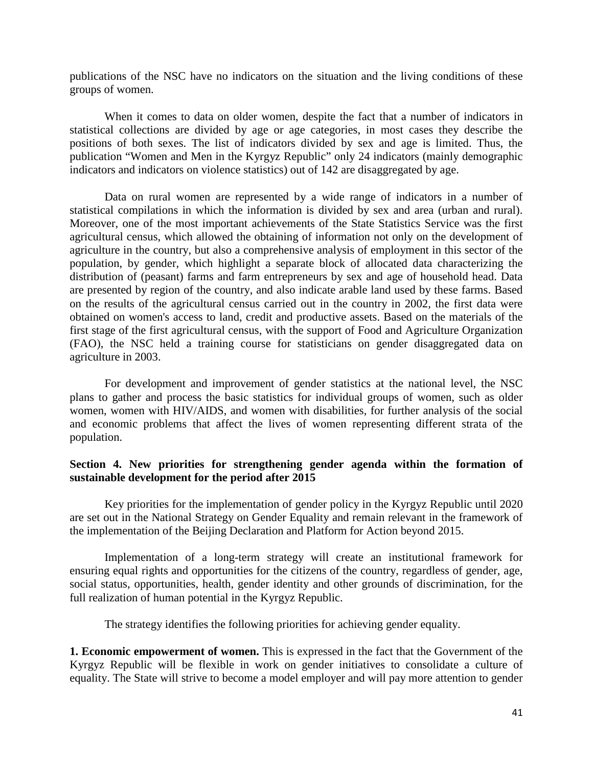publications of the NSC have no indicators on the situation and the living conditions of these groups of women.

When it comes to data on older women, despite the fact that a number of indicators in statistical collections are divided by age or age categories, in most cases they describe the positions of both sexes. The list of indicators divided by sex and age is limited. Thus, the publication "Women and Men in the Kyrgyz Republic" only 24 indicators (mainly demographic indicators and indicators on violence statistics) out of 142 are disaggregated by age.

Data on rural women are represented by a wide range of indicators in a number of statistical compilations in which the information is divided by sex and area (urban and rural). Moreover, one of the most important achievements of the State Statistics Service was the first agricultural census, which allowed the obtaining of information not only on the development of agriculture in the country, but also a comprehensive analysis of employment in this sector of the population, by gender, which highlight a separate block of allocated data characterizing the distribution of (peasant) farms and farm entrepreneurs by sex and age of household head. Data are presented by region of the country, and also indicate arable land used by these farms. Based on the results of the agricultural census carried out in the country in 2002, the first data were obtained on women's access to land, credit and productive assets. Based on the materials of the first stage of the first agricultural census, with the support of Food and Agriculture Organization (FAO), the NSC held a training course for statisticians on gender disaggregated data on agriculture in 2003.

For development and improvement of gender statistics at the national level, the NSC plans to gather and process the basic statistics for individual groups of women, such as older women, women with HIV/AIDS, and women with disabilities, for further analysis of the social and economic problems that affect the lives of women representing different strata of the population.

# **Section 4. New priorities for strengthening gender agenda within the formation of sustainable development for the period after 2015**

Key priorities for the implementation of gender policy in the Kyrgyz Republic until 2020 are set out in the National Strategy on Gender Equality and remain relevant in the framework of the implementation of the Beijing Declaration and Platform for Action beyond 2015.

Implementation of a long-term strategy will create an institutional framework for ensuring equal rights and opportunities for the citizens of the country, regardless of gender, age, social status, opportunities, health, gender identity and other grounds of discrimination, for the full realization of human potential in the Kyrgyz Republic.

The strategy identifies the following priorities for achieving gender equality.

**1. Economic empowerment of women.** This is expressed in the fact that the Government of the Kyrgyz Republic will be flexible in work on gender initiatives to consolidate a culture of equality. The State will strive to become a model employer and will pay more attention to gender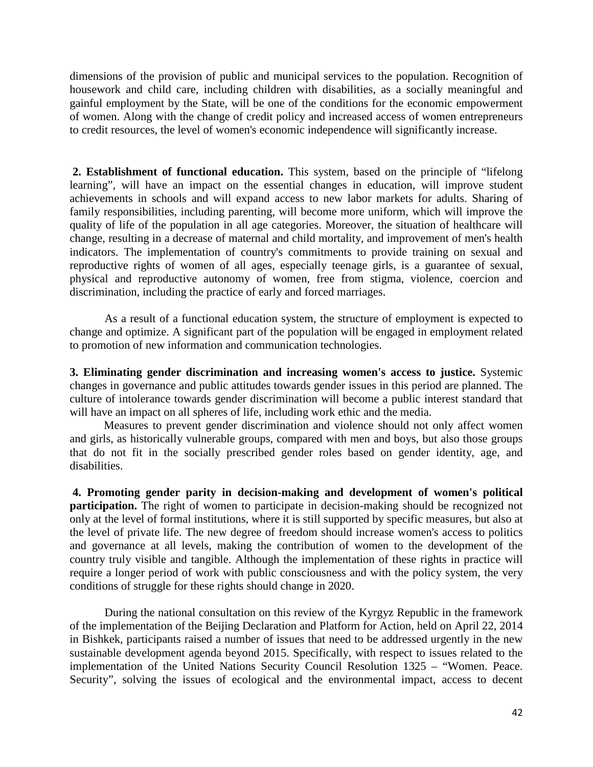dimensions of the provision of public and municipal services to the population. Recognition of housework and child care, including children with disabilities, as a socially meaningful and gainful employment by the State, will be one of the conditions for the economic empowerment of women. Along with the change of credit policy and increased access of women entrepreneurs to credit resources, the level of women's economic independence will significantly increase.

**2. Establishment of functional education.** This system, based on the principle of "lifelong learning", will have an impact on the essential changes in education, will improve student achievements in schools and will expand access to new labor markets for adults. Sharing of family responsibilities, including parenting, will become more uniform, which will improve the quality of life of the population in all age categories. Moreover, the situation of healthcare will change, resulting in a decrease of maternal and child mortality, and improvement of men's health indicators. The implementation of country's commitments to provide training on sexual and reproductive rights of women of all ages, especially teenage girls, is a guarantee of sexual, physical and reproductive autonomy of women, free from stigma, violence, coercion and discrimination, including the practice of early and forced marriages.

As a result of a functional education system, the structure of employment is expected to change and optimize. A significant part of the population will be engaged in employment related to promotion of new information and communication technologies.

**3. Eliminating gender discrimination and increasing women's access to justice.** Systemic changes in governance and public attitudes towards gender issues in this period are planned. The culture of intolerance towards gender discrimination will become a public interest standard that will have an impact on all spheres of life, including work ethic and the media.

Measures to prevent gender discrimination and violence should not only affect women and girls, as historically vulnerable groups, compared with men and boys, but also those groups that do not fit in the socially prescribed gender roles based on gender identity, age, and disabilities.

**4. Promoting gender parity in decision-making and development of women's political participation.** The right of women to participate in decision-making should be recognized not only at the level of formal institutions, where it is still supported by specific measures, but also at the level of private life. The new degree of freedom should increase women's access to politics and governance at all levels, making the contribution of women to the development of the country truly visible and tangible. Although the implementation of these rights in practice will require a longer period of work with public consciousness and with the policy system, the very conditions of struggle for these rights should change in 2020.

During the national consultation on this review of the Kyrgyz Republic in the framework of the implementation of the Beijing Declaration and Platform for Action, held on April 22, 2014 in Bishkek, participants raised a number of issues that need to be addressed urgently in the new sustainable development agenda beyond 2015. Specifically, with respect to issues related to the implementation of the United Nations Security Council Resolution 1325 – "Women. Peace. Security", solving the issues of ecological and the environmental impact, access to decent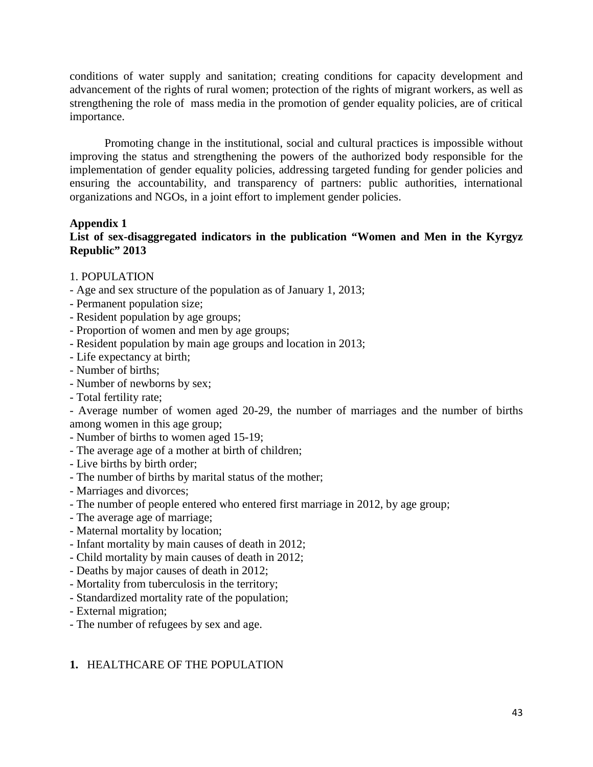conditions of water supply and sanitation; creating conditions for capacity development and advancement of the rights of rural women; protection of the rights of migrant workers, as well as strengthening the role of mass media in the promotion of gender equality policies, are of critical importance.

Promoting change in the institutional, social and cultural practices is impossible without improving the status and strengthening the powers of the authorized body responsible for the implementation of gender equality policies, addressing targeted funding for gender policies and ensuring the accountability, and transparency of partners: public authorities, international organizations and NGOs, in a joint effort to implement gender policies.

# **Appendix 1**

# **List of sex-disaggregated indicators in the publication "Women and Men in the Kyrgyz Republic" 2013**

# 1. POPULATION

- Age and sex structure of the population as of January 1, 2013;
- Permanent population size;
- Resident population by age groups;
- Proportion of women and men by age groups;
- Resident population by main age groups and location in 2013;
- Life expectancy at birth;
- Number of births;
- Number of newborns by sex;
- Total fertility rate;

- Average number of women aged 20-29, the number of marriages and the number of births among women in this age group;

- Number of births to women aged 15-19;
- The average age of a mother at birth of children;
- Live births by birth order;
- The number of births by marital status of the mother;
- Marriages and divorces;
- The number of people entered who entered first marriage in 2012, by age group;
- The average age of marriage;
- Maternal mortality by location;
- Infant mortality by main causes of death in 2012;
- Child mortality by main causes of death in 2012;
- Deaths by major causes of death in 2012;
- Mortality from tuberculosis in the territory;
- Standardized mortality rate of the population;
- External migration;
- The number of refugees by sex and age.

# **1.** HEALTHCARE OF THE POPULATION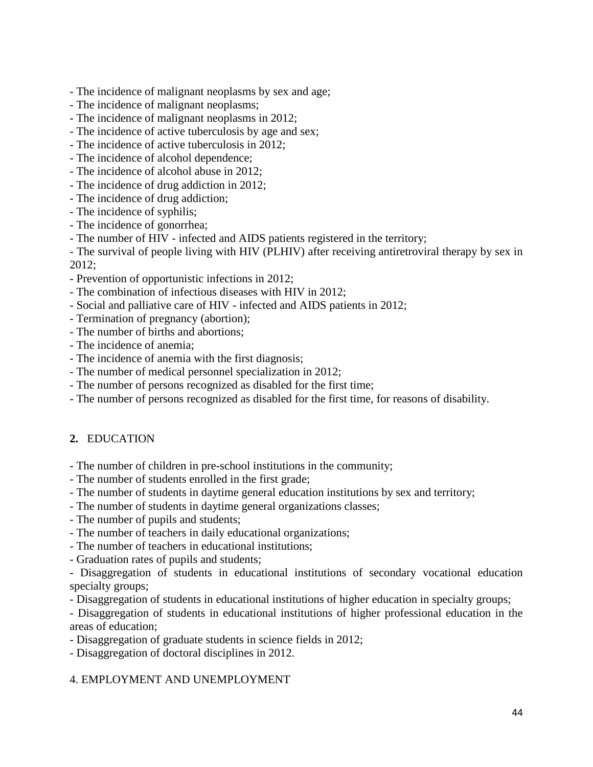- The incidence of malignant neoplasms by sex and age;
- The incidence of malignant neoplasms;
- The incidence of malignant neoplasms in 2012;
- The incidence of active tuberculosis by age and sex;
- The incidence of active tuberculosis in 2012;
- The incidence of alcohol dependence;
- The incidence of alcohol abuse in 2012;
- The incidence of drug addiction in 2012;
- The incidence of drug addiction;
- The incidence of syphilis;
- The incidence of gonorrhea;
- The number of HIV infected and AIDS patients registered in the territory;

- The survival of people living with HIV (PLHIV) after receiving antiretroviral therapy by sex in 2012;

- Prevention of opportunistic infections in 2012;
- The combination of infectious diseases with HIV in 2012;
- Social and palliative care of HIV infected and AIDS patients in 2012;
- Termination of pregnancy (abortion);
- The number of births and abortions;
- The incidence of anemia;
- The incidence of anemia with the first diagnosis;
- The number of medical personnel specialization in 2012;
- The number of persons recognized as disabled for the first time;
- The number of persons recognized as disabled for the first time, for reasons of disability.

# **2.** EDUCATION

- The number of children in pre-school institutions in the community;
- The number of students enrolled in the first grade;
- The number of students in daytime general education institutions by sex and territory;
- The number of students in daytime general organizations classes;
- The number of pupils and students;
- The number of teachers in daily educational organizations;
- The number of teachers in educational institutions;
- Graduation rates of pupils and students;

- Disaggregation of students in educational institutions of secondary vocational education specialty groups;

- Disaggregation of students in educational institutions of higher education in specialty groups;

- Disaggregation of students in educational institutions of higher professional education in the areas of education;

- Disaggregation of graduate students in science fields in 2012;

- Disaggregation of doctoral disciplines in 2012.

# 4. EMPLOYMENT AND UNEMPLOYMENT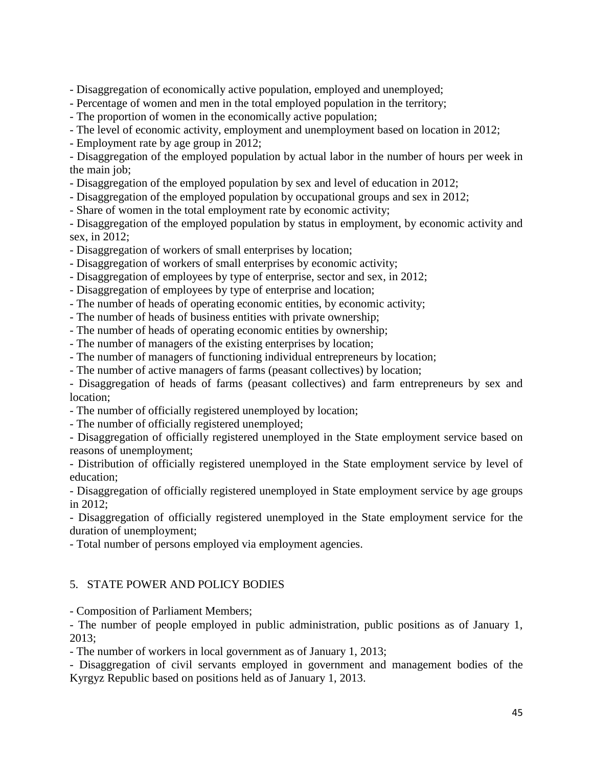- Disaggregation of economically active population, employed and unemployed;

- Percentage of women and men in the total employed population in the territory;
- The proportion of women in the economically active population;
- The level of economic activity, employment and unemployment based on location in 2012;

- Employment rate by age group in 2012;

- Disaggregation of the employed population by actual labor in the number of hours per week in the main job;

- Disaggregation of the employed population by sex and level of education in 2012;
- Disaggregation of the employed population by occupational groups and sex in 2012;
- Share of women in the total employment rate by economic activity;

- Disaggregation of the employed population by status in employment, by economic activity and sex, in 2012;

- Disaggregation of workers of small enterprises by location;
- Disaggregation of workers of small enterprises by economic activity;
- Disaggregation of employees by type of enterprise, sector and sex, in 2012;
- Disaggregation of employees by type of enterprise and location;
- The number of heads of operating economic entities, by economic activity;
- The number of heads of business entities with private ownership;
- The number of heads of operating economic entities by ownership;
- The number of managers of the existing enterprises by location;
- The number of managers of functioning individual entrepreneurs by location;
- The number of active managers of farms (peasant collectives) by location;

- Disaggregation of heads of farms (peasant collectives) and farm entrepreneurs by sex and location;

- The number of officially registered unemployed by location;
- The number of officially registered unemployed;

- Disaggregation of officially registered unemployed in the State employment service based on reasons of unemployment;

- Distribution of officially registered unemployed in the State employment service by level of education;

- Disaggregation of officially registered unemployed in State employment service by age groups in 2012;

- Disaggregation of officially registered unemployed in the State employment service for the duration of unemployment;

- Total number of persons employed via employment agencies.

# 5. STATE POWER AND POLICY BODIES

- Composition of Parliament Members;

- The number of people employed in public administration, public positions as of January 1, 2013;

- The number of workers in local government as of January 1, 2013;

- Disaggregation of civil servants employed in government and management bodies of the Kyrgyz Republic based on positions held as of January 1, 2013.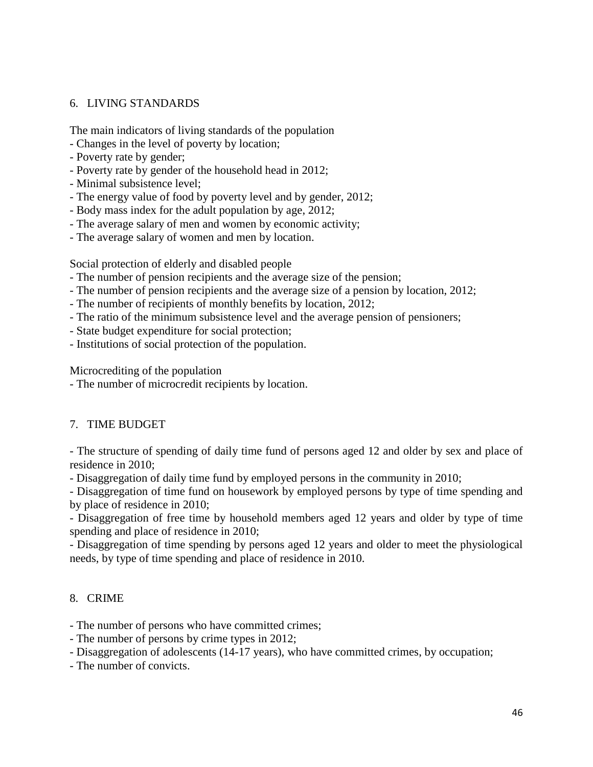# 6. LIVING STANDARDS

The main indicators of living standards of the population

- Changes in the level of poverty by location;
- Poverty rate by gender;
- Poverty rate by gender of the household head in 2012;
- Minimal subsistence level;
- The energy value of food by poverty level and by gender, 2012;
- Body mass index for the adult population by age, 2012;
- The average salary of men and women by economic activity;
- The average salary of women and men by location.

Social protection of elderly and disabled people

- The number of pension recipients and the average size of the pension;
- The number of pension recipients and the average size of a pension by location, 2012;
- The number of recipients of monthly benefits by location, 2012;
- The ratio of the minimum subsistence level and the average pension of pensioners;
- State budget expenditure for social protection;
- Institutions of social protection of the population.

Microcrediting of the population

- The number of microcredit recipients by location.

# 7. TIME BUDGET

- The structure of spending of daily time fund of persons aged 12 and older by sex and place of residence in 2010;

- Disaggregation of daily time fund by employed persons in the community in 2010;

- Disaggregation of time fund on housework by employed persons by type of time spending and by place of residence in 2010;

- Disaggregation of free time by household members aged 12 years and older by type of time spending and place of residence in 2010;

- Disaggregation of time spending by persons aged 12 years and older to meet the physiological needs, by type of time spending and place of residence in 2010.

# 8. CRIME

- The number of persons who have committed crimes;

- The number of persons by crime types in 2012;

- Disaggregation of adolescents (14-17 years), who have committed crimes, by occupation;

- The number of convicts.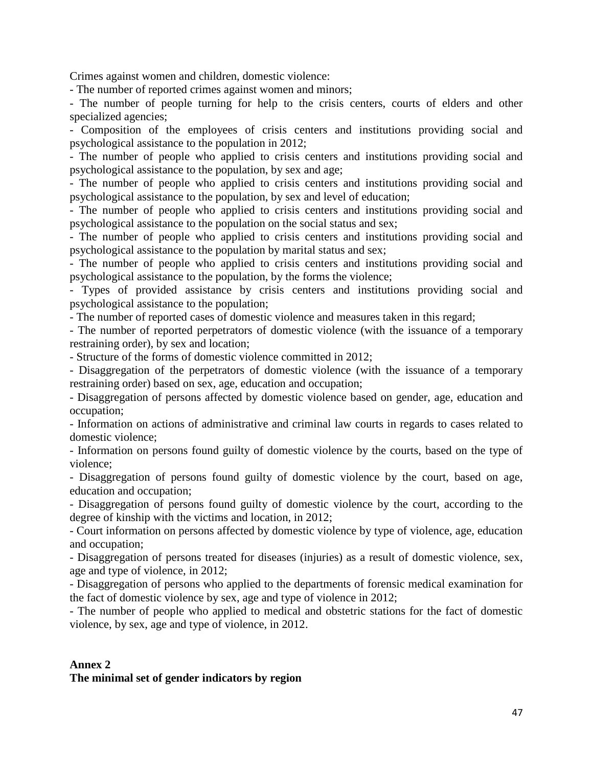Crimes against women and children, domestic violence:

- The number of reported crimes against women and minors;

- The number of people turning for help to the crisis centers, courts of elders and other specialized agencies;

- Composition of the employees of crisis centers and institutions providing social and psychological assistance to the population in 2012;

- The number of people who applied to crisis centers and institutions providing social and psychological assistance to the population, by sex and age;

- The number of people who applied to crisis centers and institutions providing social and psychological assistance to the population, by sex and level of education;

- The number of people who applied to crisis centers and institutions providing social and psychological assistance to the population on the social status and sex;

- The number of people who applied to crisis centers and institutions providing social and psychological assistance to the population by marital status and sex;

- The number of people who applied to crisis centers and institutions providing social and psychological assistance to the population, by the forms the violence;

- Types of provided assistance by crisis centers and institutions providing social and psychological assistance to the population;

- The number of reported cases of domestic violence and measures taken in this regard;

- The number of reported perpetrators of domestic violence (with the issuance of a temporary restraining order), by sex and location;

- Structure of the forms of domestic violence committed in 2012;

- Disaggregation of the perpetrators of domestic violence (with the issuance of a temporary restraining order) based on sex, age, education and occupation;

- Disaggregation of persons affected by domestic violence based on gender, age, education and occupation;

- Information on actions of administrative and criminal law courts in regards to cases related to domestic violence;

- Information on persons found guilty of domestic violence by the courts, based on the type of violence;

- Disaggregation of persons found guilty of domestic violence by the court, based on age, education and occupation;

- Disaggregation of persons found guilty of domestic violence by the court, according to the degree of kinship with the victims and location, in 2012;

- Court information on persons affected by domestic violence by type of violence, age, education and occupation;

- Disaggregation of persons treated for diseases (injuries) as a result of domestic violence, sex, age and type of violence, in 2012;

- Disaggregation of persons who applied to the departments of forensic medical examination for the fact of domestic violence by sex, age and type of violence in 2012;

- The number of people who applied to medical and obstetric stations for the fact of domestic violence, by sex, age and type of violence, in 2012.

# **Annex 2**

# **The minimal set of gender indicators by region**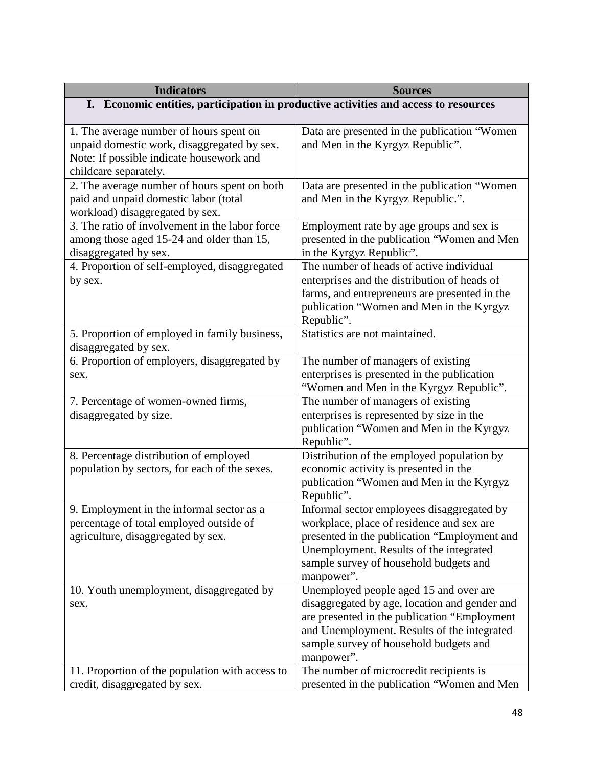| <b>Indicators</b>                                                                                                                                           | <b>Sources</b>                                                                                                                                                                                                                                 |
|-------------------------------------------------------------------------------------------------------------------------------------------------------------|------------------------------------------------------------------------------------------------------------------------------------------------------------------------------------------------------------------------------------------------|
| I. Economic entities, participation in productive activities and access to resources                                                                        |                                                                                                                                                                                                                                                |
|                                                                                                                                                             |                                                                                                                                                                                                                                                |
| 1. The average number of hours spent on<br>unpaid domestic work, disaggregated by sex.<br>Note: If possible indicate housework and<br>childcare separately. | Data are presented in the publication "Women"<br>and Men in the Kyrgyz Republic".                                                                                                                                                              |
| 2. The average number of hours spent on both<br>paid and unpaid domestic labor (total<br>workload) disaggregated by sex.                                    | Data are presented in the publication "Women<br>and Men in the Kyrgyz Republic.".                                                                                                                                                              |
| 3. The ratio of involvement in the labor force<br>among those aged 15-24 and older than 15,<br>disaggregated by sex.                                        | Employment rate by age groups and sex is<br>presented in the publication "Women and Men<br>in the Kyrgyz Republic".                                                                                                                            |
| 4. Proportion of self-employed, disaggregated<br>by sex.                                                                                                    | The number of heads of active individual<br>enterprises and the distribution of heads of<br>farms, and entrepreneurs are presented in the<br>publication "Women and Men in the Kyrgyz<br>Republic".                                            |
| 5. Proportion of employed in family business,<br>disaggregated by sex.                                                                                      | Statistics are not maintained.                                                                                                                                                                                                                 |
| 6. Proportion of employers, disaggregated by<br>sex.                                                                                                        | The number of managers of existing<br>enterprises is presented in the publication<br>"Women and Men in the Kyrgyz Republic".                                                                                                                   |
| 7. Percentage of women-owned firms,<br>disaggregated by size.                                                                                               | The number of managers of existing<br>enterprises is represented by size in the<br>publication "Women and Men in the Kyrgyz<br>Republic".                                                                                                      |
| 8. Percentage distribution of employed<br>population by sectors, for each of the sexes.                                                                     | Distribution of the employed population by<br>economic activity is presented in the<br>publication "Women and Men in the Kyrgyz<br>Republic".                                                                                                  |
| 9. Employment in the informal sector as a<br>percentage of total employed outside of<br>agriculture, disaggregated by sex.                                  | Informal sector employees disaggregated by<br>workplace, place of residence and sex are<br>presented in the publication "Employment and<br>Unemployment. Results of the integrated<br>sample survey of household budgets and<br>manpower".     |
| 10. Youth unemployment, disaggregated by<br>sex.                                                                                                            | Unemployed people aged 15 and over are<br>disaggregated by age, location and gender and<br>are presented in the publication "Employment<br>and Unemployment. Results of the integrated<br>sample survey of household budgets and<br>manpower". |
| 11. Proportion of the population with access to<br>credit, disaggregated by sex.                                                                            | The number of microcredit recipients is<br>presented in the publication "Women and Men                                                                                                                                                         |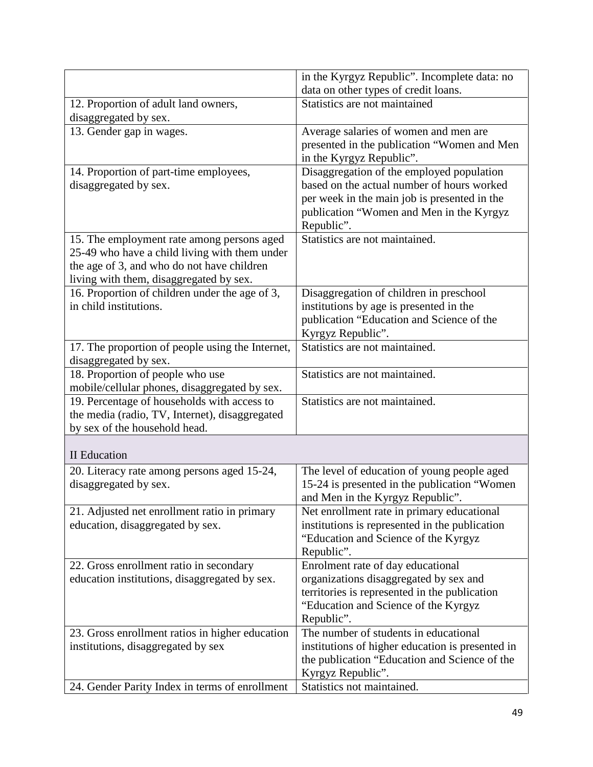|                                                  | in the Kyrgyz Republic". Incomplete data: no     |
|--------------------------------------------------|--------------------------------------------------|
|                                                  | data on other types of credit loans.             |
| 12. Proportion of adult land owners,             | Statistics are not maintained                    |
| disaggregated by sex.                            |                                                  |
| 13. Gender gap in wages.                         | Average salaries of women and men are            |
|                                                  | presented in the publication "Women and Men      |
|                                                  | in the Kyrgyz Republic".                         |
| 14. Proportion of part-time employees,           | Disaggregation of the employed population        |
| disaggregated by sex.                            | based on the actual number of hours worked       |
|                                                  | per week in the main job is presented in the     |
|                                                  | publication "Women and Men in the Kyrgyz         |
|                                                  | Republic".                                       |
| 15. The employment rate among persons aged       | Statistics are not maintained.                   |
| 25-49 who have a child living with them under    |                                                  |
| the age of 3, and who do not have children       |                                                  |
| living with them, disaggregated by sex.          |                                                  |
| 16. Proportion of children under the age of 3,   | Disaggregation of children in preschool          |
| in child institutions.                           | institutions by age is presented in the          |
|                                                  | publication "Education and Science of the        |
|                                                  | Kyrgyz Republic".                                |
| 17. The proportion of people using the Internet, | Statistics are not maintained.                   |
| disaggregated by sex.                            |                                                  |
| 18. Proportion of people who use                 | Statistics are not maintained.                   |
| mobile/cellular phones, disaggregated by sex.    |                                                  |
| 19. Percentage of households with access to      | Statistics are not maintained.                   |
| the media (radio, TV, Internet), disaggregated   |                                                  |
| by sex of the household head.                    |                                                  |
| <b>II</b> Education                              |                                                  |
| 20. Literacy rate among persons aged 15-24,      | The level of education of young people aged      |
| disaggregated by sex.                            | 15-24 is presented in the publication "Women     |
|                                                  | and Men in the Kyrgyz Republic".                 |
| 21. Adjusted net enrollment ratio in primary     | Net enrollment rate in primary educational       |
| education, disaggregated by sex.                 | institutions is represented in the publication   |
|                                                  | "Education and Science of the Kyrgyz             |
|                                                  | Republic".                                       |
| 22. Gross enrollment ratio in secondary          | Enrolment rate of day educational                |
| education institutions, disaggregated by sex.    | organizations disaggregated by sex and           |
|                                                  | territories is represented in the publication    |
|                                                  | "Education and Science of the Kyrgyz             |
|                                                  | Republic".                                       |
| 23. Gross enrollment ratios in higher education  | The number of students in educational            |
| institutions, disaggregated by sex               | institutions of higher education is presented in |
|                                                  | the publication "Education and Science of the    |
|                                                  | Kyrgyz Republic".                                |
| 24. Gender Parity Index in terms of enrollment   | Statistics not maintained.                       |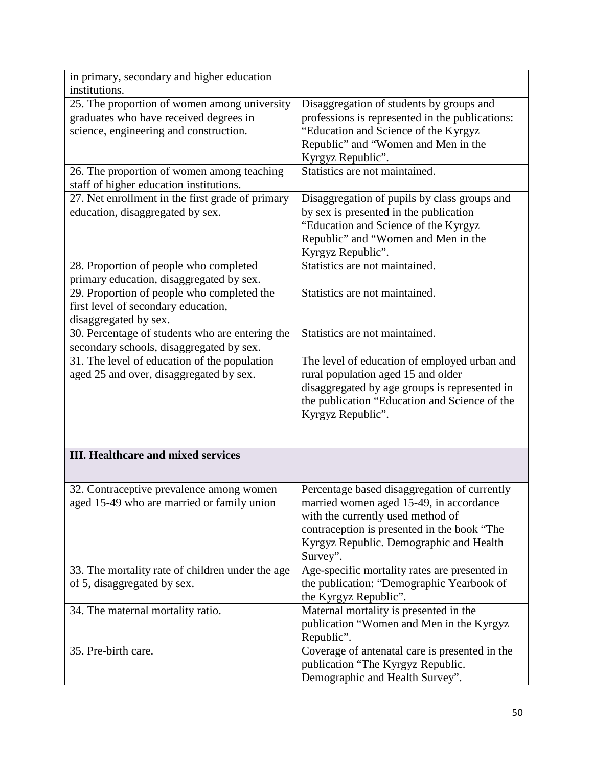| in primary, secondary and higher education<br>institutions.                                                                      |                                                                                                                                                                                                                                    |
|----------------------------------------------------------------------------------------------------------------------------------|------------------------------------------------------------------------------------------------------------------------------------------------------------------------------------------------------------------------------------|
| 25. The proportion of women among university<br>graduates who have received degrees in<br>science, engineering and construction. | Disaggregation of students by groups and<br>professions is represented in the publications:<br>"Education and Science of the Kyrgyz<br>Republic" and "Women and Men in the<br>Kyrgyz Republic".                                    |
| 26. The proportion of women among teaching<br>staff of higher education institutions.                                            | Statistics are not maintained.                                                                                                                                                                                                     |
| 27. Net enrollment in the first grade of primary<br>education, disaggregated by sex.                                             | Disaggregation of pupils by class groups and<br>by sex is presented in the publication<br>"Education and Science of the Kyrgyz<br>Republic" and "Women and Men in the<br>Kyrgyz Republic".                                         |
| 28. Proportion of people who completed<br>primary education, disaggregated by sex.                                               | Statistics are not maintained.                                                                                                                                                                                                     |
| 29. Proportion of people who completed the<br>first level of secondary education,<br>disaggregated by sex.                       | Statistics are not maintained.                                                                                                                                                                                                     |
| 30. Percentage of students who are entering the<br>secondary schools, disaggregated by sex.                                      | Statistics are not maintained.                                                                                                                                                                                                     |
| 31. The level of education of the population<br>aged 25 and over, disaggregated by sex.                                          | The level of education of employed urban and<br>rural population aged 15 and older<br>disaggregated by age groups is represented in<br>the publication "Education and Science of the<br>Kyrgyz Republic".                          |
| <b>III. Healthcare and mixed services</b>                                                                                        |                                                                                                                                                                                                                                    |
| 32. Contraceptive prevalence among women<br>aged 15-49 who are married or family union                                           | Percentage based disaggregation of currently<br>married women aged 15-49, in accordance<br>with the currently used method of<br>contraception is presented in the book "The<br>Kyrgyz Republic. Demographic and Health<br>Survey". |
| 33. The mortality rate of children under the age<br>of 5, disaggregated by sex.                                                  | Age-specific mortality rates are presented in<br>the publication: "Demographic Yearbook of<br>the Kyrgyz Republic".                                                                                                                |
| 34. The maternal mortality ratio.                                                                                                | Maternal mortality is presented in the<br>publication "Women and Men in the Kyrgyz<br>Republic".                                                                                                                                   |
| 35. Pre-birth care.                                                                                                              | Coverage of antenatal care is presented in the<br>publication "The Kyrgyz Republic.<br>Demographic and Health Survey".                                                                                                             |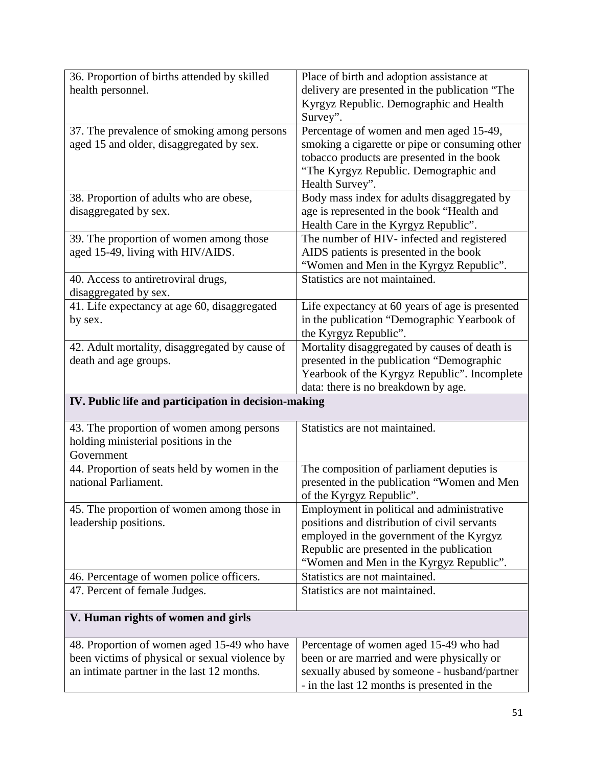| 36. Proportion of births attended by skilled         | Place of birth and adoption assistance at                                                   |
|------------------------------------------------------|---------------------------------------------------------------------------------------------|
| health personnel.                                    | delivery are presented in the publication "The                                              |
|                                                      | Kyrgyz Republic. Demographic and Health                                                     |
|                                                      | Survey".                                                                                    |
| 37. The prevalence of smoking among persons          | Percentage of women and men aged 15-49,                                                     |
| aged 15 and older, disaggregated by sex.             | smoking a cigarette or pipe or consuming other                                              |
|                                                      | tobacco products are presented in the book                                                  |
|                                                      | "The Kyrgyz Republic. Demographic and                                                       |
|                                                      | Health Survey".                                                                             |
| 38. Proportion of adults who are obese,              | Body mass index for adults disaggregated by                                                 |
| disaggregated by sex.                                | age is represented in the book "Health and                                                  |
|                                                      | Health Care in the Kyrgyz Republic".                                                        |
| 39. The proportion of women among those              | The number of HIV- infected and registered                                                  |
| aged 15-49, living with HIV/AIDS.                    | AIDS patients is presented in the book                                                      |
|                                                      | "Women and Men in the Kyrgyz Republic".                                                     |
| 40. Access to antiretroviral drugs,                  | Statistics are not maintained.                                                              |
| disaggregated by sex.                                |                                                                                             |
| 41. Life expectancy at age 60, disaggregated         | Life expectancy at 60 years of age is presented                                             |
| by sex.                                              | in the publication "Demographic Yearbook of                                                 |
|                                                      | the Kyrgyz Republic".                                                                       |
| 42. Adult mortality, disaggregated by cause of       | Mortality disaggregated by causes of death is                                               |
| death and age groups.                                | presented in the publication "Demographic                                                   |
|                                                      | Yearbook of the Kyrgyz Republic". Incomplete                                                |
|                                                      | data: there is no breakdown by age.                                                         |
|                                                      |                                                                                             |
| IV. Public life and participation in decision-making |                                                                                             |
| 43. The proportion of women among persons            | Statistics are not maintained.                                                              |
| holding ministerial positions in the                 |                                                                                             |
| Government                                           |                                                                                             |
| 44. Proportion of seats held by women in the         | The composition of parliament deputies is                                                   |
| national Parliament.                                 | presented in the publication "Women and Men                                                 |
|                                                      | of the Kyrgyz Republic".                                                                    |
| 45. The proportion of women among those in           | Employment in political and administrative                                                  |
| leadership positions.                                | positions and distribution of civil servants                                                |
|                                                      | employed in the government of the Kyrgyz                                                    |
|                                                      | Republic are presented in the publication                                                   |
|                                                      | "Women and Men in the Kyrgyz Republic".                                                     |
| 46. Percentage of women police officers.             | Statistics are not maintained.                                                              |
| 47. Percent of female Judges.                        | Statistics are not maintained.                                                              |
| V. Human rights of women and girls                   |                                                                                             |
|                                                      |                                                                                             |
| 48. Proportion of women aged 15-49 who have          | Percentage of women aged 15-49 who had                                                      |
| been victims of physical or sexual violence by       | been or are married and were physically or                                                  |
| an intimate partner in the last 12 months.           | sexually abused by someone - husband/partner<br>- in the last 12 months is presented in the |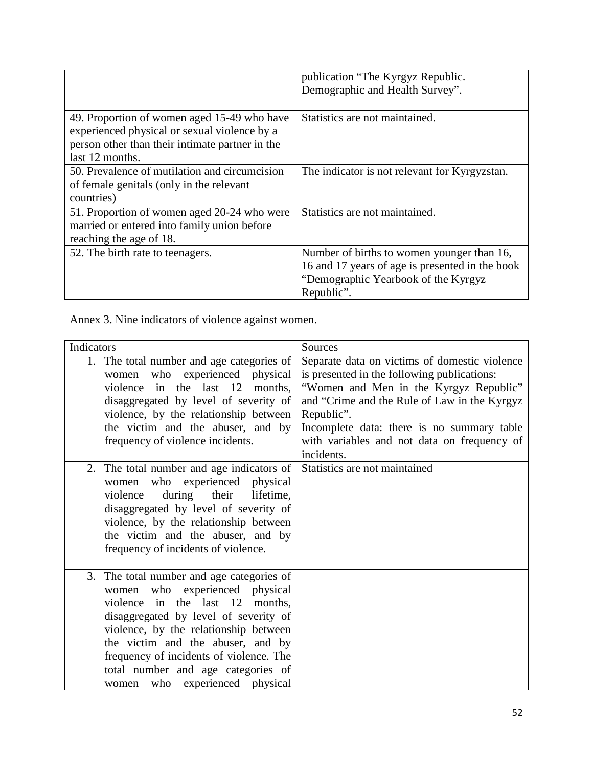|                                                                                                                                                                   | publication "The Kyrgyz Republic.<br>Demographic and Health Survey".                                                                               |
|-------------------------------------------------------------------------------------------------------------------------------------------------------------------|----------------------------------------------------------------------------------------------------------------------------------------------------|
| 49. Proportion of women aged 15-49 who have<br>experienced physical or sexual violence by a<br>person other than their intimate partner in the<br>last 12 months. | Statistics are not maintained.                                                                                                                     |
| 50. Prevalence of mutilation and circumcision<br>of female genitals (only in the relevant<br>countries)                                                           | The indicator is not relevant for Kyrgyzstan.                                                                                                      |
| 51. Proportion of women aged 20-24 who were<br>married or entered into family union before<br>reaching the age of 18.                                             | Statistics are not maintained.                                                                                                                     |
| 52. The birth rate to teenagers.                                                                                                                                  | Number of births to women younger than 16,<br>16 and 17 years of age is presented in the book<br>"Demographic Yearbook of the Kyrgyz<br>Republic". |

Annex 3. Nine indicators of violence against women.

| Indicators                                                                                                                                                                                                                                                                                                                                               | Sources                                                                                                                                                                                                                                                                                                         |
|----------------------------------------------------------------------------------------------------------------------------------------------------------------------------------------------------------------------------------------------------------------------------------------------------------------------------------------------------------|-----------------------------------------------------------------------------------------------------------------------------------------------------------------------------------------------------------------------------------------------------------------------------------------------------------------|
| 1. The total number and age categories of<br>women who experienced physical<br>violence in the last 12<br>months.<br>disaggregated by level of severity of<br>violence, by the relationship between<br>the victim and the abuser, and by<br>frequency of violence incidents.                                                                             | Separate data on victims of domestic violence<br>is presented in the following publications:<br>"Women and Men in the Kyrgyz Republic"<br>and "Crime and the Rule of Law in the Kyrgyz<br>Republic".<br>Incomplete data: there is no summary table<br>with variables and not data on frequency of<br>incidents. |
| The total number and age indicators of<br>2.<br>who experienced physical<br>women<br>during their<br>lifetime,<br>violence<br>disaggregated by level of severity of<br>violence, by the relationship between<br>the victim and the abuser, and by<br>frequency of incidents of violence.                                                                 | Statistics are not maintained                                                                                                                                                                                                                                                                                   |
| 3. The total number and age categories of<br>women who experienced physical<br>violence in the last 12 months,<br>disaggregated by level of severity of<br>violence, by the relationship between<br>the victim and the abuser, and by<br>frequency of incidents of violence. The<br>total number and age categories of<br>women who experienced physical |                                                                                                                                                                                                                                                                                                                 |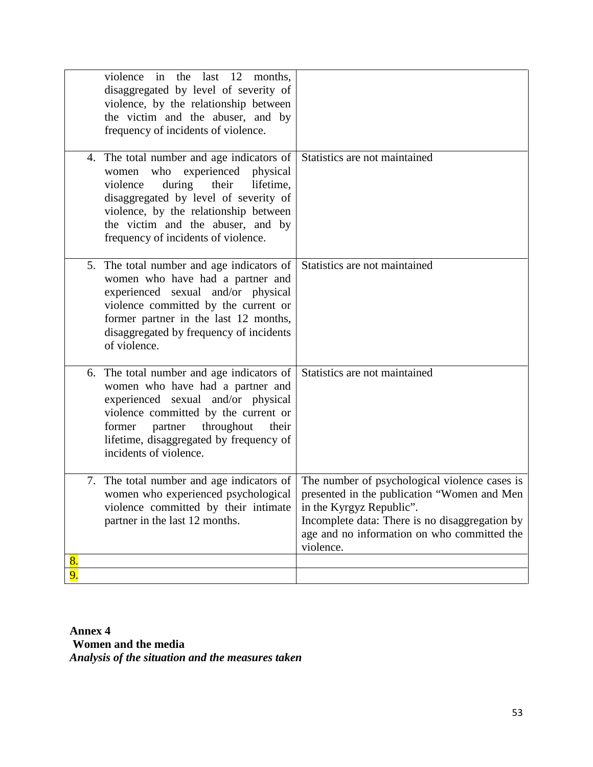|                                             | violence in the last 12<br>months,<br>disaggregated by level of severity of<br>violence, by the relationship between<br>the victim and the abuser, and by<br>frequency of incidents of violence.                                                                    |                                                                                                                                                                                                                                        |
|---------------------------------------------|---------------------------------------------------------------------------------------------------------------------------------------------------------------------------------------------------------------------------------------------------------------------|----------------------------------------------------------------------------------------------------------------------------------------------------------------------------------------------------------------------------------------|
| women<br>violence                           | 4. The total number and age indicators of<br>who experienced physical<br>during<br>their<br>lifetime,<br>disaggregated by level of severity of<br>violence, by the relationship between<br>the victim and the abuser, and by<br>frequency of incidents of violence. | Statistics are not maintained                                                                                                                                                                                                          |
| of violence.                                | 5. The total number and age indicators of<br>women who have had a partner and<br>experienced sexual and/or physical<br>violence committed by the current or<br>former partner in the last 12 months,<br>disaggregated by frequency of incidents                     | Statistics are not maintained                                                                                                                                                                                                          |
| former<br>partner<br>incidents of violence. | 6. The total number and age indicators of<br>women who have had a partner and<br>experienced sexual and/or physical<br>violence committed by the current or<br>throughout<br>their<br>lifetime, disaggregated by frequency of                                       | Statistics are not maintained                                                                                                                                                                                                          |
| partner in the last 12 months.              | 7. The total number and age indicators of<br>women who experienced psychological<br>violence committed by their intimate                                                                                                                                            | The number of psychological violence cases is<br>presented in the publication "Women and Men<br>in the Kyrgyz Republic".<br>Incomplete data: There is no disaggregation by<br>age and no information on who committed the<br>violence. |
| 8.<br>9.                                    |                                                                                                                                                                                                                                                                     |                                                                                                                                                                                                                                        |

**Annex 4 Women and the media** *Analysis of the situation and the measures taken*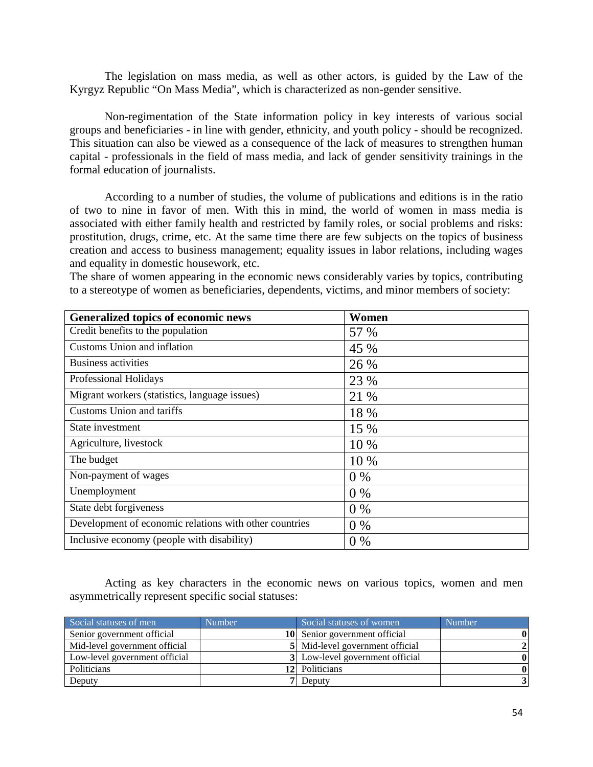The legislation on mass media, as well as other actors, is guided by the Law of the Kyrgyz Republic "On Mass Media", which is characterized as non-gender sensitive.

Non-regimentation of the State information policy in key interests of various social groups and beneficiaries - in line with gender, ethnicity, and youth policy - should be recognized. This situation can also be viewed as a consequence of the lack of measures to strengthen human capital - professionals in the field of mass media, and lack of gender sensitivity trainings in the formal education of journalists.

According to a number of studies, the volume of publications and editions is in the ratio of two to nine in favor of men. With this in mind, the world of women in mass media is associated with either family health and restricted by family roles, or social problems and risks: prostitution, drugs, crime, etc. At the same time there are few subjects on the topics of business creation and access to business management; equality issues in labor relations, including wages and equality in domestic housework, etc.

The share of women appearing in the economic news considerably varies by topics, contributing to a stereotype of women as beneficiaries, dependents, victims, and minor members of society:

| Generalized topics of economic news                    | Women |
|--------------------------------------------------------|-------|
| Credit benefits to the population                      | 57 %  |
| Customs Union and inflation                            | 45 %  |
| <b>Business activities</b>                             | 26 %  |
| Professional Holidays                                  | 23 %  |
| Migrant workers (statistics, language issues)          | 21 %  |
| <b>Customs Union and tariffs</b>                       | 18 %  |
| State investment                                       | 15 %  |
| Agriculture, livestock                                 | 10 %  |
| The budget                                             | 10 %  |
| Non-payment of wages                                   | $0\%$ |
| Unemployment                                           | $0\%$ |
| State debt forgiveness                                 | $0\%$ |
| Development of economic relations with other countries | $0\%$ |
| Inclusive economy (people with disability)             | $0\%$ |

Acting as key characters in the economic news on various topics, women and men asymmetrically represent specific social statuses:

| Social statuses of men        | <b>Number</b> | Social statuses of women        | <b>Number</b> |
|-------------------------------|---------------|---------------------------------|---------------|
| Senior government official    |               | 10 Senior government official   | $\bf{0}$      |
| Mid-level government official |               | 5 Mid-level government official |               |
| Low-level government official |               | 3 Low-level government official |               |
| Politicians                   |               | 12 Politicians                  | $\bf{0}$      |
| Deputy                        |               | 7 Deputy                        |               |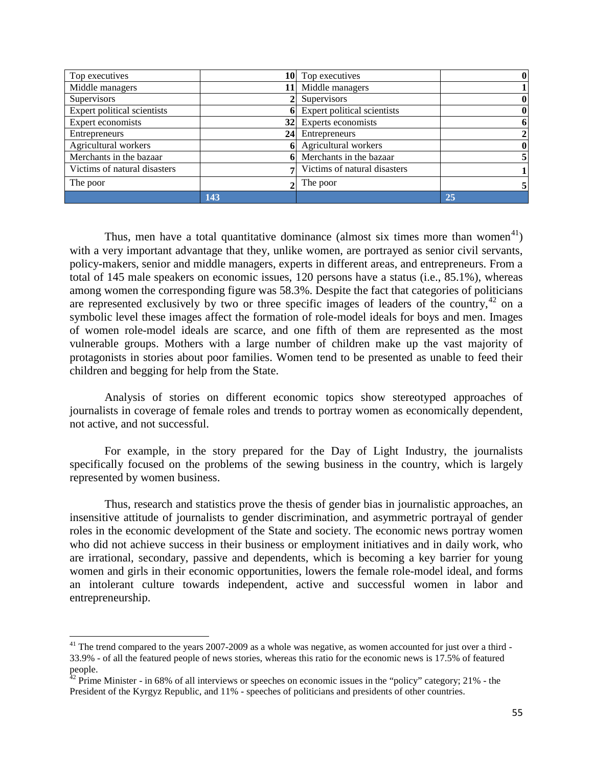| Top executives               |     | 10 Top executives              | $\bf{0}$     |
|------------------------------|-----|--------------------------------|--------------|
| Middle managers              |     | Middle managers                |              |
| Supervisors                  |     | Supervisors                    | $\bf{0}$     |
| Expert political scientists  |     | 6 Expert political scientists  | $\bf{0}$     |
| Expert economists            |     | 32 Experts economists          | 6            |
| Entrepreneurs                | 241 | Entrepreneurs                  | $\mathbf{2}$ |
| Agricultural workers         | 6   | Agricultural workers           | $\bf{0}$     |
| Merchants in the bazaar      |     | 6 Merchants in the bazaar      |              |
| Victims of natural disasters |     | 7 Victims of natural disasters |              |
| The poor                     |     | The poor                       | 5            |
|                              | 143 |                                | 25           |

Thus, men have a total quantitative dominance (almost six times more than women<sup>[41](#page-54-0)</sup>) with a very important advantage that they, unlike women, are portrayed as senior civil servants, policy-makers, senior and middle managers, experts in different areas, and entrepreneurs. From a total of 145 male speakers on economic issues, 120 persons have a status (i.e., 85.1%), whereas among women the corresponding figure was 58.3%. Despite the fact that categories of politicians are represented exclusively by two or three specific images of leaders of the country,<sup>[42](#page-54-1)</sup> on a symbolic level these images affect the formation of role-model ideals for boys and men. Images of women role-model ideals are scarce, and one fifth of them are represented as the most vulnerable groups. Mothers with a large number of children make up the vast majority of protagonists in stories about poor families. Women tend to be presented as unable to feed their children and begging for help from the State.

Analysis of stories on different economic topics show stereotyped approaches of journalists in coverage of female roles and trends to portray women as economically dependent, not active, and not successful.

For example, in the story prepared for the Day of Light Industry, the journalists specifically focused on the problems of the sewing business in the country, which is largely represented by women business.

Thus, research and statistics prove the thesis of gender bias in journalistic approaches, an insensitive attitude of journalists to gender discrimination, and asymmetric portrayal of gender roles in the economic development of the State and society. The economic news portray women who did not achieve success in their business or employment initiatives and in daily work, who are irrational, secondary, passive and dependents, which is becoming a key barrier for young women and girls in their economic opportunities, lowers the female role-model ideal, and forms an intolerant culture towards independent, active and successful women in labor and entrepreneurship.

 $\overline{\phantom{a}}$ 

<span id="page-54-0"></span> $41$  The trend compared to the years 2007-2009 as a whole was negative, as women accounted for just over a third -33.9% - of all the featured people of news stories, whereas this ratio for the economic news is 17.5% of featured people.

<span id="page-54-1"></span> $42$  Prime Minister - in 68% of all interviews or speeches on economic issues in the "policy" category; 21% - the President of the Kyrgyz Republic, and 11% - speeches of politicians and presidents of other countries.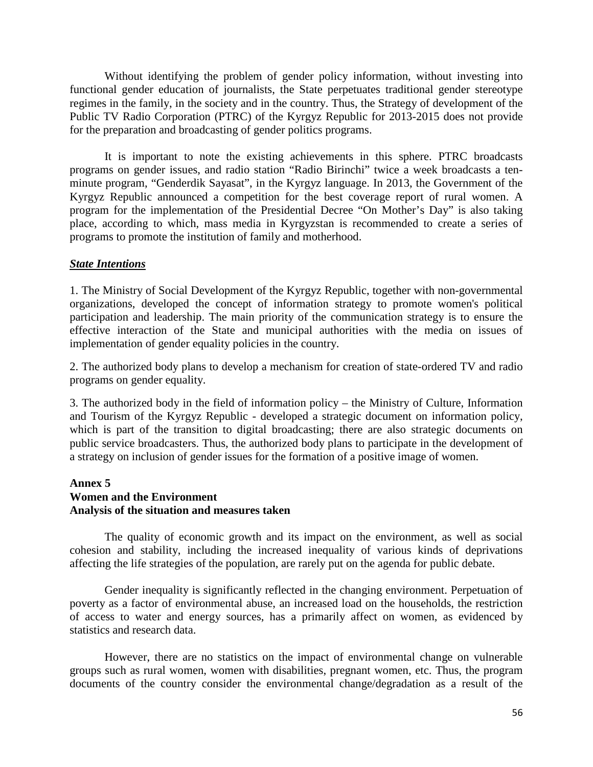Without identifying the problem of gender policy information, without investing into functional gender education of journalists, the State perpetuates traditional gender stereotype regimes in the family, in the society and in the country. Thus, the Strategy of development of the Public TV Radio Corporation (PTRC) of the Kyrgyz Republic for 2013-2015 does not provide for the preparation and broadcasting of gender politics programs.

It is important to note the existing achievements in this sphere. PTRC broadcasts programs on gender issues, and radio station "Radio Birinchi" twice a week broadcasts a tenminute program, "Genderdik Sayasat", in the Kyrgyz language. In 2013, the Government of the Kyrgyz Republic announced a competition for the best coverage report of rural women. A program for the implementation of the Presidential Decree "On Mother's Day" is also taking place, according to which, mass media in Kyrgyzstan is recommended to create a series of programs to promote the institution of family and motherhood.

#### *State Intentions*

1. The Ministry of Social Development of the Kyrgyz Republic, together with non-governmental organizations, developed the concept of information strategy to promote women's political participation and leadership. The main priority of the communication strategy is to ensure the effective interaction of the State and municipal authorities with the media on issues of implementation of gender equality policies in the country.

2. The authorized body plans to develop a mechanism for creation of state-ordered TV and radio programs on gender equality.

3. The authorized body in the field of information policy – the Ministry of Culture, Information and Tourism of the Kyrgyz Republic - developed a strategic document on information policy, which is part of the transition to digital broadcasting; there are also strategic documents on public service broadcasters. Thus, the authorized body plans to participate in the development of a strategy on inclusion of gender issues for the formation of a positive image of women.

# **Annex 5 Women and the Environment Analysis of the situation and measures taken**

The quality of economic growth and its impact on the environment, as well as social cohesion and stability, including the increased inequality of various kinds of deprivations affecting the life strategies of the population, are rarely put on the agenda for public debate.

Gender inequality is significantly reflected in the changing environment. Perpetuation of poverty as a factor of environmental abuse, an increased load on the households, the restriction of access to water and energy sources, has a primarily affect on women, as evidenced by statistics and research data.

However, there are no statistics on the impact of environmental change on vulnerable groups such as rural women, women with disabilities, pregnant women, etc. Thus, the program documents of the country consider the environmental change/degradation as a result of the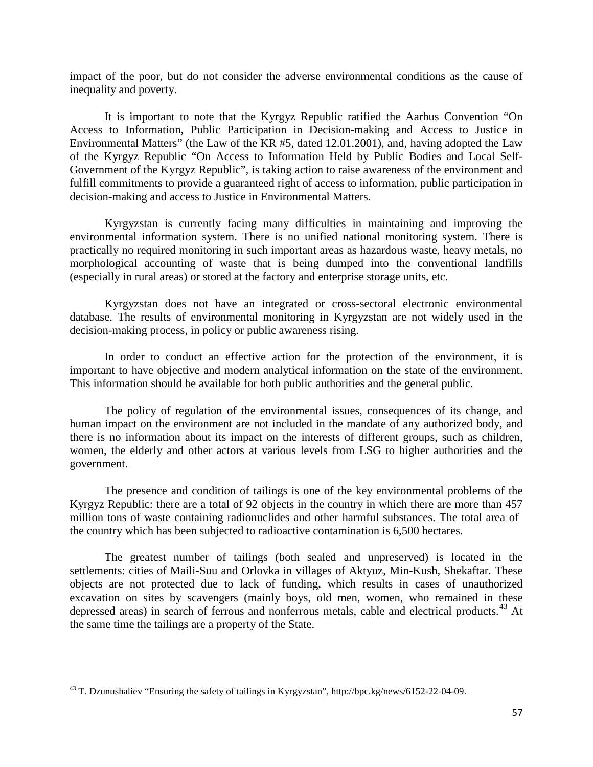impact of the poor, but do not consider the adverse environmental conditions as the cause of inequality and poverty.

It is important to note that the Kyrgyz Republic ratified the Aarhus Convention "On Access to Information, Public Participation in Decision-making and Access to Justice in Environmental Matters" (the Law of the KR #5, dated 12.01.2001), and, having adopted the Law of the Kyrgyz Republic "On Access to Information Held by Public Bodies and Local Self-Government of the Kyrgyz Republic", is taking action to raise awareness of the environment and fulfill commitments to provide a guaranteed right of access to information, public participation in decision-making and access to Justice in Environmental Matters.

Kyrgyzstan is currently facing many difficulties in maintaining and improving the environmental information system. There is no unified national monitoring system. There is practically no required monitoring in such important areas as hazardous waste, heavy metals, no morphological accounting of waste that is being dumped into the conventional landfills (especially in rural areas) or stored at the factory and enterprise storage units, etc.

Kyrgyzstan does not have an integrated or cross-sectoral electronic environmental database. The results of environmental monitoring in Kyrgyzstan are not widely used in the decision-making process, in policy or public awareness rising.

In order to conduct an effective action for the protection of the environment, it is important to have objective and modern analytical information on the state of the environment. This information should be available for both public authorities and the general public.

The policy of regulation of the environmental issues, consequences of its change, and human impact on the environment are not included in the mandate of any authorized body, and there is no information about its impact on the interests of different groups, such as children, women, the elderly and other actors at various levels from LSG to higher authorities and the government.

The presence and condition of tailings is one of the key environmental problems of the Kyrgyz Republic: there are a total of 92 objects in the country in which there are more than 457 million tons of waste containing radionuclides and other harmful substances. The total area of the country which has been subjected to radioactive contamination is 6,500 hectares.

The greatest number of tailings (both sealed and unpreserved) is located in the settlements: cities of Maili-Suu and Orlovka in villages of Aktyuz, Min-Kush, Shekaftar. These objects are not protected due to lack of funding, which results in cases of unauthorized excavation on sites by scavengers (mainly boys, old men, women, who remained in these depressed areas) in search of ferrous and nonferrous metals, cable and electrical products.<sup>[43](#page-56-0)</sup> At the same time the tailings are a property of the State.

<span id="page-56-0"></span><sup>&</sup>lt;sup>43</sup> T. Dzunushaliev "Ensuring the safety of tailings in Kyrgyzstan", http://bpc.kg/news/6152-22-04-09.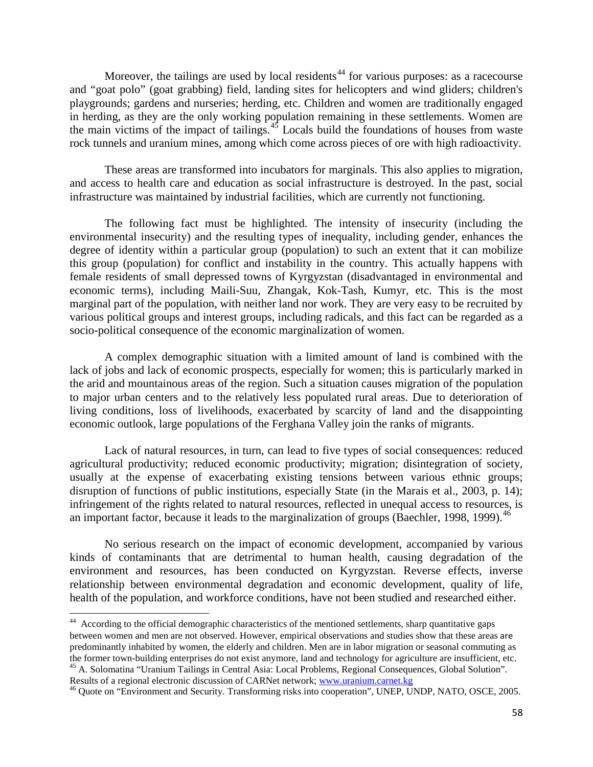Moreover, the tailings are used by local residents<sup> $44$ </sup> for various purposes: as a racecourse and "goat polo" (goat grabbing) field, landing sites for helicopters and wind gliders; children's playgrounds; gardens and nurseries; herding, etc. Children and women are traditionally engaged in herding, as they are the only working population remaining in these settlements. Women are the main victims of the impact of tailings. $45$  Locals build the foundations of houses from waste rock tunnels and uranium mines, among which come across pieces of ore with high radioactivity.

These areas are transformed into incubators for marginals. This also applies to migration, and access to health care and education as social infrastructure is destroyed. In the past, social infrastructure was maintained by industrial facilities, which are currently not functioning.

The following fact must be highlighted. The intensity of insecurity (including the environmental insecurity) and the resulting types of inequality, including gender, enhances the degree of identity within a particular group (population) to such an extent that it can mobilize this group (population) for conflict and instability in the country. This actually happens with female residents of small depressed towns of Kyrgyzstan (disadvantaged in environmental and economic terms), including Maili-Suu, Zhangak, Kok-Tash, Kumyr, etc. This is the most marginal part of the population, with neither land nor work. They are very easy to be recruited by various political groups and interest groups, including radicals, and this fact can be regarded as a socio-political consequence of the economic marginalization of women.

A complex demographic situation with a limited amount of land is combined with the lack of jobs and lack of economic prospects, especially for women; this is particularly marked in the arid and mountainous areas of the region. Such a situation causes migration of the population to major urban centers and to the relatively less populated rural areas. Due to deterioration of living conditions, loss of livelihoods, exacerbated by scarcity of land and the disappointing economic outlook, large populations of the Ferghana Valley join the ranks of migrants.

Lack of natural resources, in turn, can lead to five types of social consequences: reduced agricultural productivity; reduced economic productivity; migration; disintegration of society, usually at the expense of exacerbating existing tensions between various ethnic groups; disruption of functions of public institutions, especially State (in the Marais et al., 2003, p. 14); infringement of the rights related to natural resources, reflected in unequal access to resources, is an important factor, because it leads to the marginalization of groups (Baechler, 1998, 1999).<sup>[46](#page-57-2)</sup>

No serious research on the impact of economic development, accompanied by various kinds of contaminants that are detrimental to human health, causing degradation of the environment and resources, has been conducted on Kyrgyzstan. Reverse effects, inverse relationship between environmental degradation and economic development, quality of life, health of the population, and workforce conditions, have not been studied and researched either.

<span id="page-57-0"></span><sup>&</sup>lt;sup>44</sup> According to the official demographic characteristics of the mentioned settlements, sharp quantitative gaps between women and men are not observed. However, empirical observations and studies show that these areas are predominantly inhabited by women, the elderly and children. Men are in labor migration or seasonal commuting as the former town-building enterprises do not exist anymore, land and technology for agriculture are insufficien <sup>45</sup> A. Solomatina "Uranium Tailings in Central Asia: Local Problems, Regional Consequences, Global Solution".<br>Results of a regional electronic discussion of CARNet network; www.uranium.carnet.kg

<span id="page-57-2"></span><span id="page-57-1"></span><sup>&</sup>lt;sup>46</sup> Quote on "Environment and Security. Transforming risks into cooperation", UNEP, UNDP, NATO, OSCE, 2005.